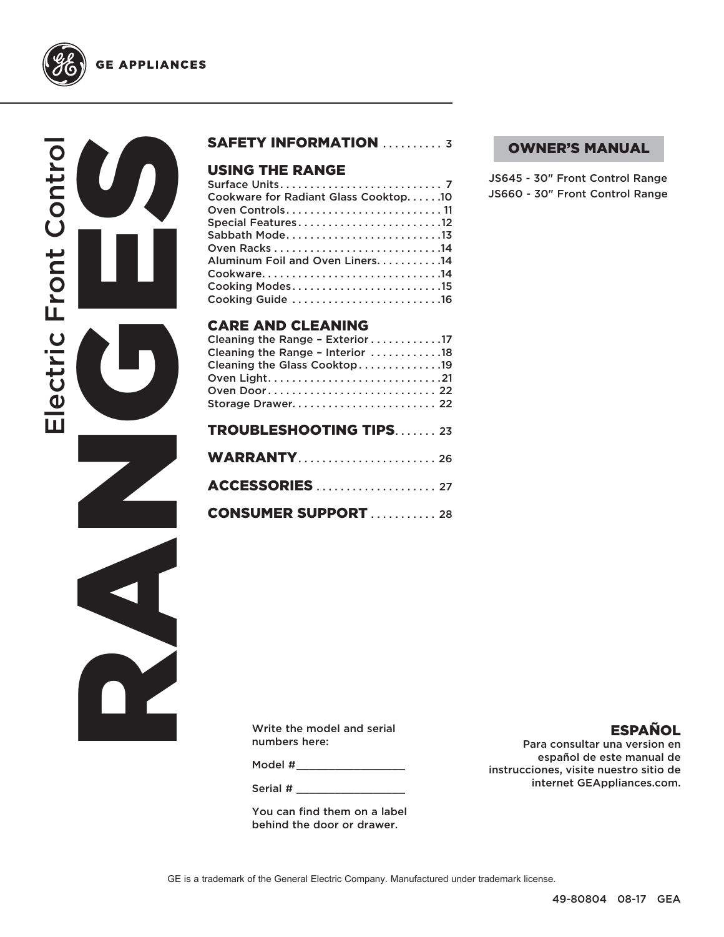

**GE APPLIANCES** 

# RANGES<br>RANGES Electric Front Control ectric Front Contro  $\overline{\mathbf{u}}$

## SAFETY INFORMATION .......... 3

## USING THE RANGE

| Cookware for Radiant Glass Cooktop10 |
|--------------------------------------|
|                                      |
| Special Features12                   |
| Sabbath Mode13                       |
|                                      |
| Aluminum Foil and Oven Liners14      |
| Cookware14                           |
| Cooking Modes15                      |
| Cooking Guide 16                     |
|                                      |

## CARE AND CLEANING

| Cleaning the Range - Exterior17<br>Cleaning the Range - Interior 18<br>Cleaning the Glass Cooktop19<br>Oven Door 22 |
|---------------------------------------------------------------------------------------------------------------------|
| <b>TROUBLESHOOTING TIPS23</b>                                                                                       |
| <b>WARRANTY 26</b>                                                                                                  |

CONSUMER SUPPORT . . . . . . . . . . 28

### OWNER'S MANUAL

JS645 - 30" Front Control Range JS660 - 30" Front Control Range

Write the model and serial numbers here:

Model #

Serial #

You can find them on a label behind the door or drawer.

## ESPAÑOL

Para consultar una version en español de este manual de instrucciones, visite nuestro sitio de internet GEAppliances.com.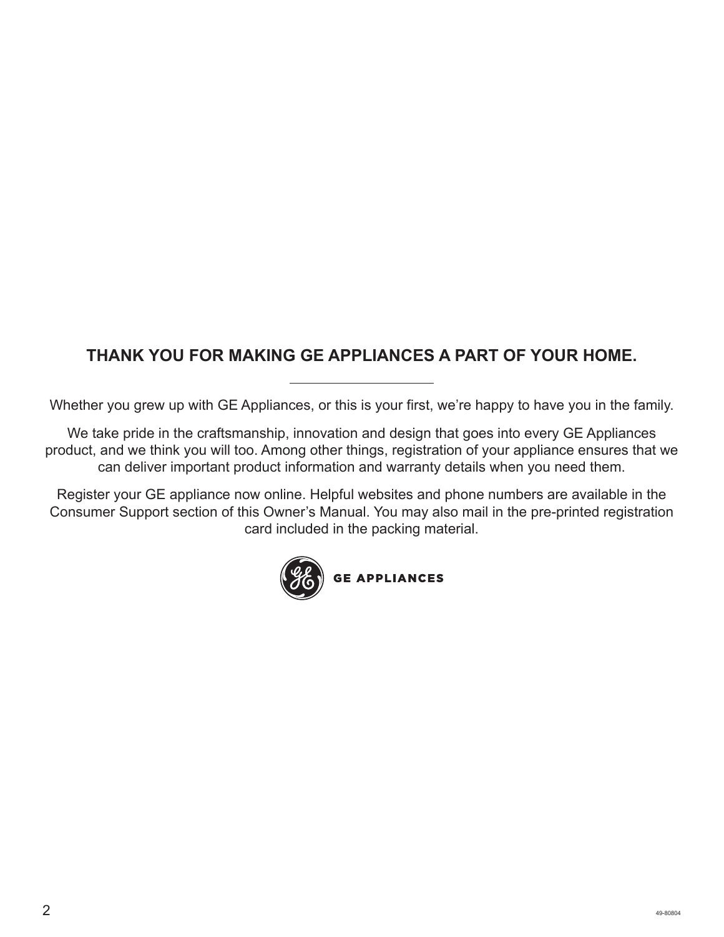## **THANK YOU FOR MAKING GE APPLIANCES A PART OF YOUR HOME.**

Whether you grew up with GE Appliances, or this is your first, we're happy to have you in the family.

We take pride in the craftsmanship, innovation and design that goes into every GE Appliances product, and we think you will too. Among other things, registration of your appliance ensures that we can deliver important product information and warranty details when you need them.

Register your GE appliance now online. Helpful websites and phone numbers are available in the Consumer Support section of this Owner's Manual. You may also mail in the pre-printed registration card included in the packing material.

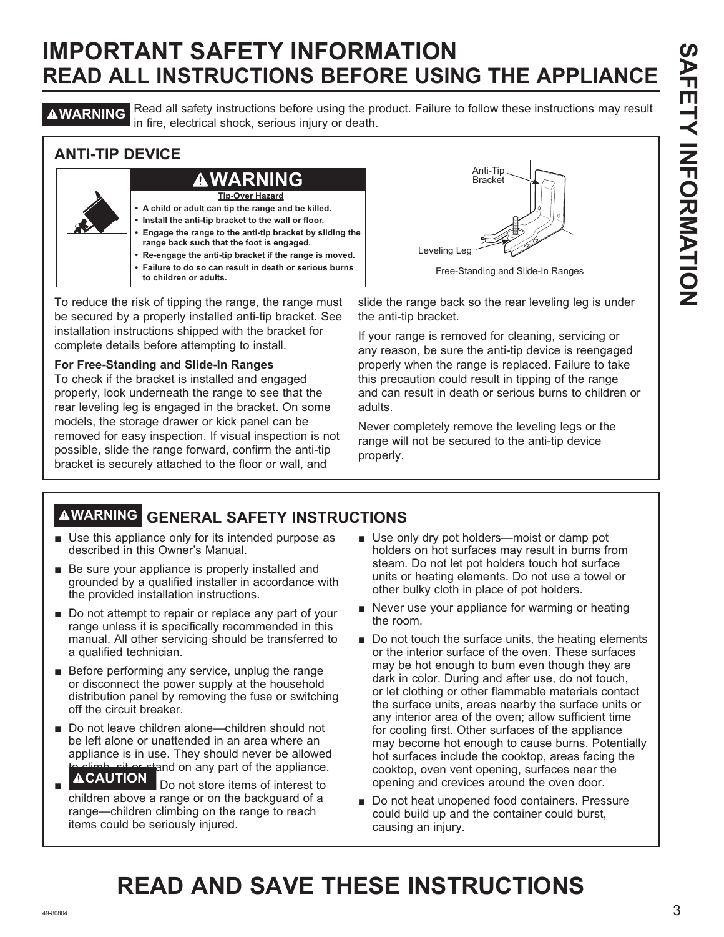**A WARNING** Read all safety instructions before using the product. Failure to follow these instructions may result in fire, electrical shock, serious injury or death.

## **ANTI-TIP DEVICE**



To reduce the risk of tipping the range, the range must be secured by a properly installed anti-tip bracket. See installation instructions shipped with the bracket for complete details before attempting to install.

#### **For Free-Standing and Slide-In Ranges**

To check if the bracket is installed and engaged properly, look underneath the range to see that the rear leveling leg is engaged in the bracket. On some models, the storage drawer or kick panel can be removed for easy inspection. If visual inspection is not possible, slide the range forward, confirm the anti-tip bracket is securely attached to the floor or wall, and



Free-Standing and Slide-In Ranges

slide the range back so the rear leveling leg is under the anti-tip bracket.

If your range is removed for cleaning, servicing or any reason, be sure the anti-tip device is reengaged properly when the range is replaced. Failure to take this precaution could result in tipping of the range and can result in death or serious burns to children or adults.

Never completely remove the leveling legs or the range will not be secured to the anti-tip device properly.

## **WARNING GENERAL SAFETY INSTRUCTIONS**

- $\blacksquare$  Use this appliance only for its intended purpose as described in this Owner's Manual.
- $\blacksquare$  Be sure your appliance is properly installed and grounded by a qualified installer in accordance with the provided installation instructions.
- $\blacksquare$  Do not attempt to repair or replace any part of your range unless it is specifically recommended in this manual. All other servicing should be transferred to a qualified technician.
- $\blacksquare$  Before performing any service, unplug the range or disconnect the power supply at the household distribution panel by removing the fuse or switching off the circuit breaker.
- Do not leave children alone—children should not be left alone or unattended in an area where an appliance is in use. They should never be allowed  $\widehat{\Delta}$  climb, sit or stand on any part of the appliance.
- Ŷ **Do not store items of interest to** children above a range or on the backguard of a range—children climbing on the range to reach items could be seriously injured.
- $\blacksquare$  Use only dry pot holders—moist or damp pot holders on hot surfaces may result in burns from steam. Do not let pot holders touch hot surface units or heating elements. Do not use a towel or other bulky cloth in place of pot holders.
- $\blacksquare$  Never use your appliance for warming or heating the room.
- $\blacksquare$  Do not touch the surface units, the heating elements or the interior surface of the oven. These surfaces may be hot enough to burn even though they are dark in color. During and after use, do not touch, or let clothing or other flammable materials contact the surface units, areas nearby the surface units or any interior area of the oven; allow sufficient time for cooling first. Other surfaces of the appliance may become hot enough to cause burns. Potentially hot surfaces include the cooktop, areas facing the cooktop, oven vent opening, surfaces near the opening and crevices around the oven door.
- Do not heat unopened food containers. Pressure could build up and the container could burst, causing an injury.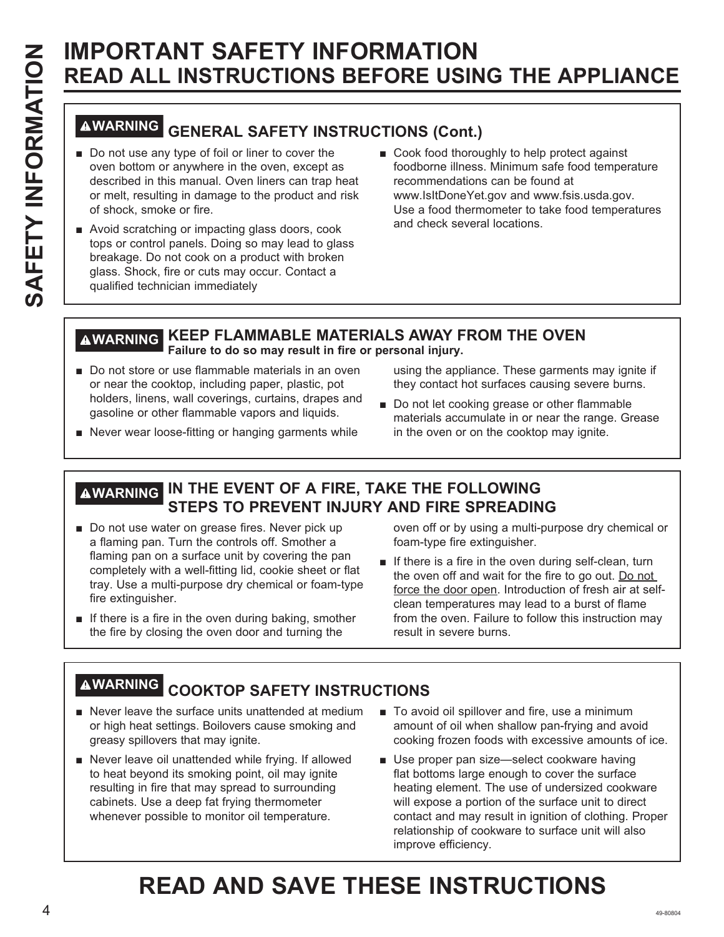# **WARNING GENERAL SAFETY INSTRUCTIONS (Cont.)**

- Do not use any type of foil or liner to cover the oven bottom or anywhere in the oven, except as described in this manual. Oven liners can trap heat or melt, resulting in damage to the product and risk of shock, smoke or fire.
- Avoid scratching or impacting glass doors, cook tops or control panels. Doing so may lead to glass breakage. Do not cook on a product with broken glass. Shock, fire or cuts may occur. Contact a qualified technician immediately
- Cook food thoroughly to help protect against foodborne illness. Minimum safe food temperature recommendations can be found at www.lsltDoneYet.gov and www.fsis.usda.gov. Use a food thermometer to take food temperatures and check several locations.

## **WARNING KEEP FLAMMABLE MATERIALS AWAY FROM THE OVEN Failure to do so may result in fire or personal injury.**

Do not store or use flammable materials in an oven or near the cooktop, including paper, plastic, pot holders, linens, wall coverings, curtains, drapes and gasoline or other flammable vapors and liquids.

using the appliance. These garments may ignite if they contact hot surfaces causing severe burns.

- Do not let cooking grease or other flammable materials accumulate in or near the range. Grease in the oven or on the cooktop may ignite.
- Never wear loose-fitting or hanging garments while

## **WARNING IN THE EVENT OF A FIRE, TAKE THE FOLLOWING STEPS TO PREVENT INJURY AND FIRE SPREADING**

- Do not use water on grease fires. Never pick up a flaming pan. Turn the controls off. Smother a flaming pan on a surface unit by covering the pan completely with a well-fitting lid, cookie sheet or flat tray. Use a multi-purpose dry chemical or foam-type fire extinguisher.
- $\blacksquare$  If there is a fire in the oven during baking, smother the fire by closing the oven door and turning the

oven off or by using a multi-purpose dry chemical or foam-type fire extinguisher.

 $\blacksquare$  If there is a fire in the oven during self-clean, turn the oven off and wait for the fire to go out. Do not force the door open. Introduction of fresh air at selfclean temperatures may lead to a burst of flame from the oven. Failure to follow this instruction may result in severe burns.

## **WARNING COOKTOP SAFETY INSTRUCTIONS**

- $\blacksquare$  Never leave the surface units unattended at medium or high heat settings. Boilovers cause smoking and greasy spillovers that may ignite.
- Never leave oil unattended while frying. If allowed to heat beyond its smoking point, oil may ignite resulting in fire that may spread to surrounding cabinets. Use a deep fat frying thermometer whenever possible to monitor oil temperature.
- To avoid oil spillover and fire, use a minimum amount of oil when shallow pan-frying and avoid cooking frozen foods with excessive amounts of ice.
- Use proper pan size-select cookware having flat bottoms large enough to cover the surface heating element. The use of undersized cookware will expose a portion of the surface unit to direct contact and may result in ignition of clothing. Proper relationship of cookware to surface unit will also improve efficiency.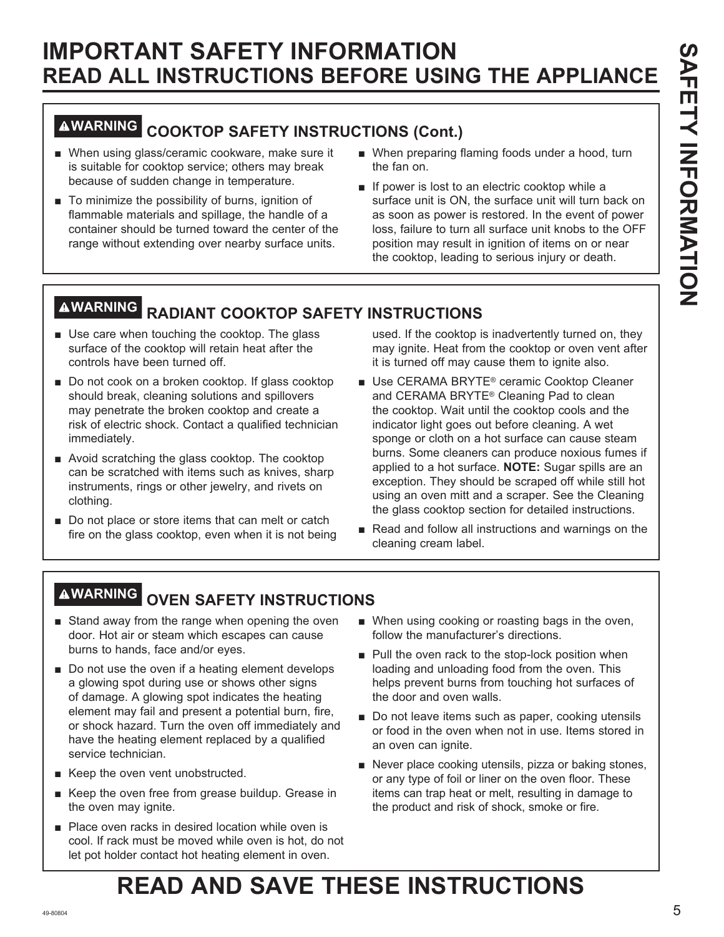## **WARNING COOKTOP SAFETY INSTRUCTIONS (Cont.)**

- When using glass/ceramic cookware, make sure it is suitable for cooktop service; others may break because of sudden change in temperature.
- $\blacksquare$  To minimize the possibility of burns, ignition of flammable materials and spillage, the handle of a container should be turned toward the center of the range without extending over nearby surface units.
- When preparing flaming foods under a hood, turn the fan on.
- **If power is lost to an electric cooktop while a** surface unit is ON, the surface unit will turn back on as soon as power is restored. In the event of power loss, failure to turn all surface unit knobs to the OFF position may result in ignition of items on or near the cooktop, leading to serious injury or death.

## **WARNING RADIANT COOKTOP SAFETY INSTRUCTIONS**

- $\blacksquare$  Use care when touching the cooktop. The glass surface of the cooktop will retain heat after the controls have been turned off.
- Do not cook on a broken cooktop. If glass cooktop should break, cleaning solutions and spillovers may penetrate the broken cooktop and create a risk of electric shock. Contact a qualified technician immediately.
- $\blacksquare$  Avoid scratching the glass cooktop. The cooktop can be scratched with items such as knives, sharp instruments, rings or other jewelry, and rivets on clothing.
- $\blacksquare$  Do not place or store items that can melt or catch fire on the glass cooktop, even when it is not being

used. If the cooktop is inadvertently turned on, they may ignite. Heat from the cooktop or oven vent after it is turned off may cause them to ignite also.

- Use CERAMA BRYTE<sup>®</sup> ceramic Cooktop Cleaner and CERAMA BRYTE® Cleaning Pad to clean the cooktop. Wait until the cooktop cools and the indicator light goes out before cleaning. A wet sponge or cloth on a hot surface can cause steam burns. Some cleaners can produce noxious fumes if applied to a hot surface. **NOTE:** Sugar spills are an exception. They should be scraped off while still hot using an oven mitt and a scraper. See the Cleaning the glass cooktop section for detailed instructions.
- Read and follow all instructions and warnings on the cleaning cream label.

## **WARNING OVEN SAFETY INSTRUCTIONS**

- Stand away from the range when opening the oven door. Hot air or steam which escapes can cause burns to hands, face and/or eyes.
- $\blacksquare$  Do not use the oven if a heating element develops a glowing spot during use or shows other signs of damage. A glowing spot indicates the heating element may fail and present a potential burn, fire, or shock hazard. Turn the oven off immediately and have the heating element replaced by a qualified service technician.
- Keep the oven vent unobstructed.
- Keep the oven free from grease buildup. Grease in the oven may ignite.
- Place oven racks in desired location while oven is cool. If rack must be moved while oven is hot, do not let pot holder contact hot heating element in oven.
- When using cooking or roasting bags in the oven, follow the manufacturer's directions.
- $\blacksquare$  Pull the oven rack to the stop-lock position when loading and unloading food from the oven. This helps prevent burns from touching hot surfaces of the door and oven walls.
- Do not leave items such as paper, cooking utensils or food in the oven when not in use. Items stored in an oven can ignite.
- Never place cooking utensils, pizza or baking stones, or any type of foil or liner on the oven floor. These items can trap heat or melt, resulting in damage to the product and risk of shock, smoke or fire.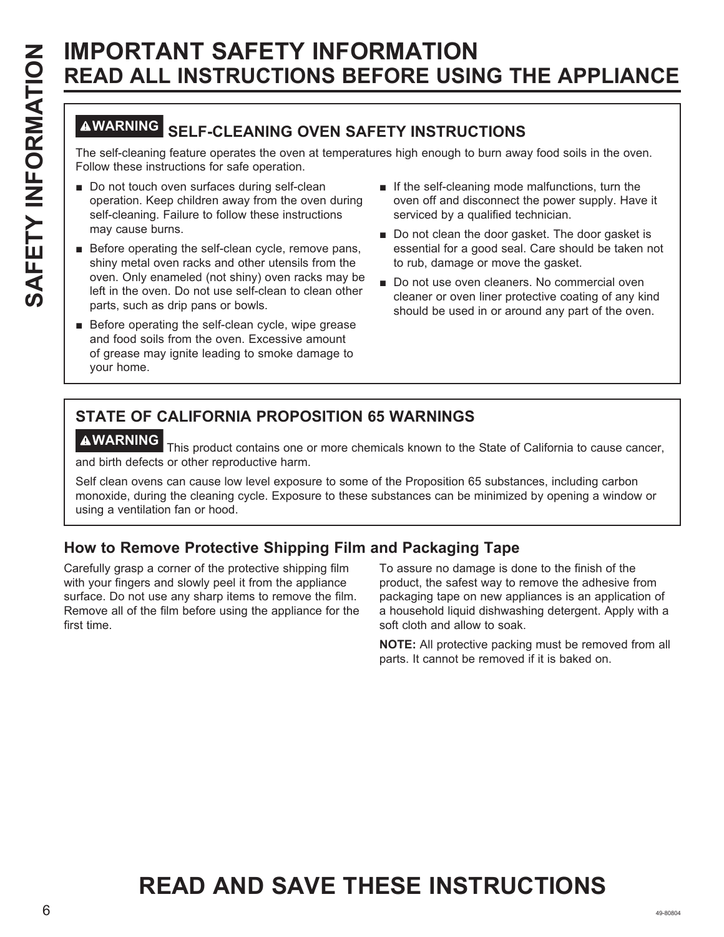## **WARNING SELF-CLEANING OVEN SAFETY INSTRUCTIONS**

The self-cleaning feature operates the oven at temperatures high enough to burn away food soils in the oven. Follow these instructions for safe operation.

- Do not touch oven surfaces during self-clean operation. Keep children away from the oven during self-cleaning. Failure to follow these instructions may cause burns.
- Before operating the self-clean cycle, remove pans, shiny metal oven racks and other utensils from the oven. Only enameled (not shiny) oven racks may be left in the oven. Do not use self-clean to clean other parts, such as drip pans or bowls.
- $\blacksquare$  Before operating the self-clean cycle, wipe grease and food soils from the oven. Excessive amount of grease may ignite leading to smoke damage to your home.
- $\blacksquare$  If the self-cleaning mode malfunctions, turn the oven off and disconnect the power supply. Have it serviced by a qualified technician.
- Do not clean the door gasket. The door gasket is essential for a good seal. Care should be taken not to rub, damage or move the gasket.
- Do not use oven cleaners. No commercial oven cleaner or oven liner protective coating of any kind should be used in or around any part of the oven.

## **STATE OF CALIFORNIA PROPOSITION 65 WARNINGS**

**WARNING** This product contains one or more chemicals known to the State of California to cause cancer, and birth defects or other reproductive harm.

Self clean ovens can cause low level exposure to some of the Proposition 65 substances, including carbon monoxide, during the cleaning cycle. Exposure to these substances can be minimized by opening a window or using a ventilation fan or hood.

## **How to Remove Protective Shipping Film and Packaging Tape**

Carefully grasp a corner of the protective shipping film with your fingers and slowly peel it from the appliance surface. Do not use any sharp items to remove the film. Remove all of the film before using the appliance for the first time.

To assure no damage is done to the finish of the product, the safest way to remove the adhesive from packaging tape on new appliances is an application of a household liquid dishwashing detergent. Apply with a soft cloth and allow to soak.

**NOTE:** All protective packing must be removed from all parts. It cannot be removed if it is baked on.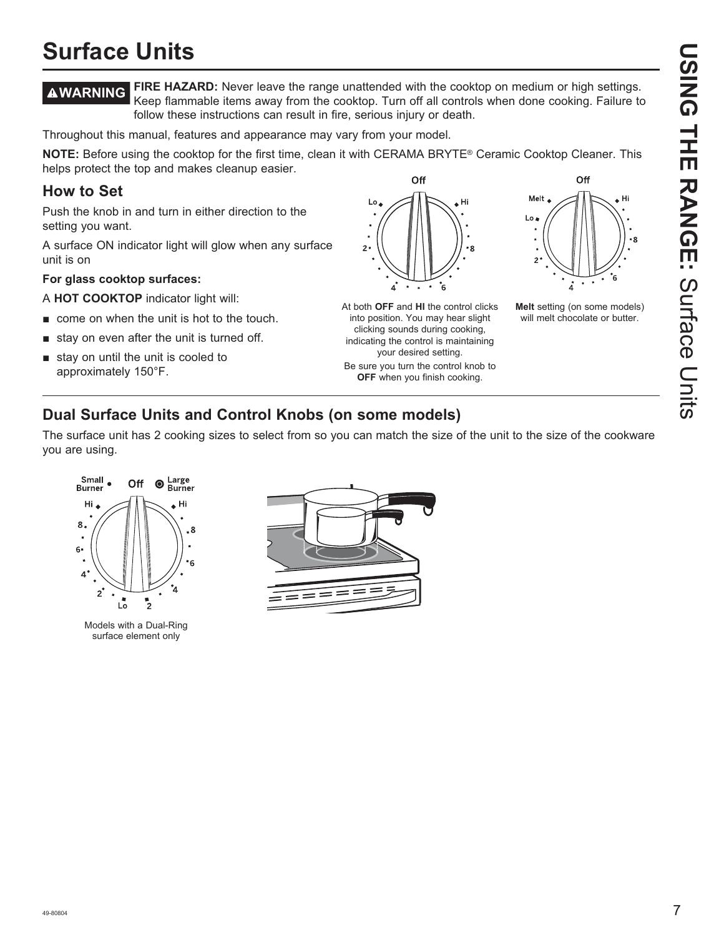# **USING THE RANGE: Scree Disco USING THE RANGE:**Surface Units

## **Surface Units**

**WARNING FIRE HAZARD:** Never leave the range unattended with the cooktop on medium or high settings. Keep flammable items away from the cooktop. Turn off all controls when done cooking. Failure to follow these instructions can result in fire, serious injury or death.

Throughout this manual, features and appearance may vary from your model.

**NOTE:** Before using the cooktop for the first time, clean it with CERAMA BRYTE® Ceramic Cooktop Cleaner. This helps protect the top and makes cleanup easier. Off

## **How to Set**

Push the knob in and turn in either direction to the setting you want.

A surface ON indicator light will glow when any surface unit is on

#### **For glass cooktop surfaces:**

A **HOT COOKTOP** indicator light will:

- $\blacksquare$  come on when the unit is hot to the touch.
- $\blacksquare$  stay on even after the unit is turned off.
- $\blacksquare$  stay on until the unit is cooled to approximately 150°F.





**OFF** when you finish cooking.



Hi

**Melt** setting (on some models) will melt chocolate or butter.

## **Dual Surface Units and Control Knobs (on some models)**

The surface unit has 2 cooking sizes to select from so you can match the size of the unit to the size of the cookware you are using.



Models with a Dual-Ring surface element only

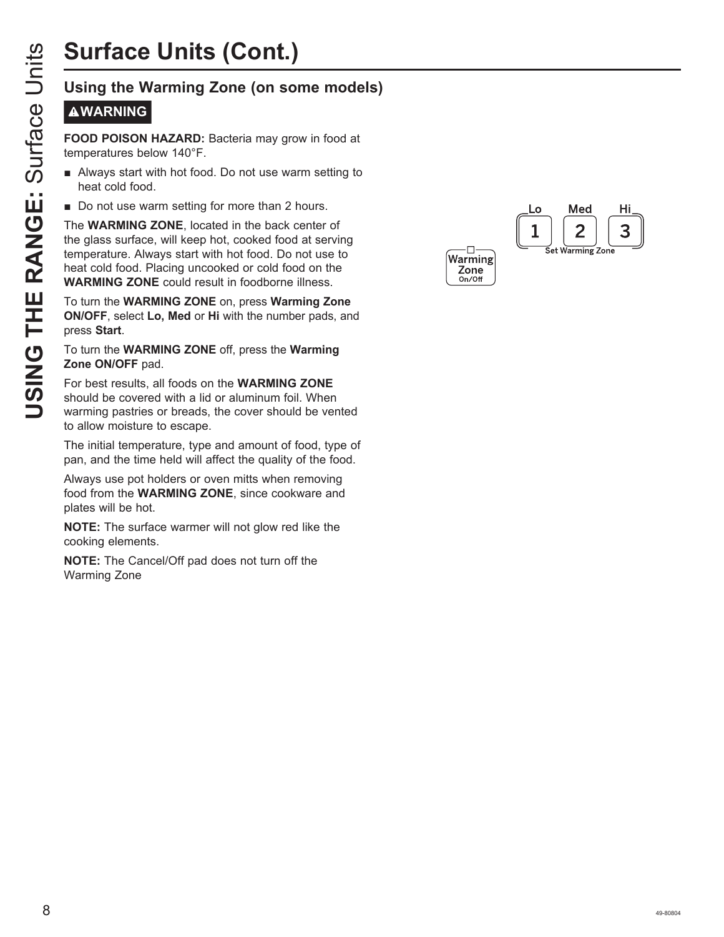# **Surface Units (Cont.)**

## **WARNING**

**FOOD POISON HAZARD:** Bacteria may grow in food at temperatures below 140°F.

- Always start with hot food. Do not use warm setting to heat cold food.
- Do not use warm setting for more than 2 hours.

**USIT THE RANGE:**<br>
USING THE RANGE: Bacteria may grow in food at<br>
temperatures below 140°F.<br> **USIT THE RANGE:**<br> **USIT THE WARMING**<br> **USIT THE WARMING ZONE**, located in the back center of<br>
the glass surface. Will keep hot, The **WARMING ZONE**, located in the back center of the glass surface, will keep hot, cooked food at serving temperature. Always start with hot food. Do not use to heat cold food. Placing uncooked or cold food on the **WARMING ZONE** could result in foodborne illness.

To turn the **WARMING ZONE** on, press **Warming Zone ON/OFF**, select **Lo, Med** or **Hi** with the number pads, and press **Start** .

#### To turn the **WARMING ZONE** off, press the **Warming Zone ON/OFF** pad.

For best results, all foods on the **WARMING ZONE** should be covered with a lid or aluminum foil. When warming pastries or breads, the cover should be vented to allow moisture to escape.

The initial temperature, type and amount of food, type of pan, and the time held will affect the quality of the food.

Always use pot holders or oven mitts when removing food from the **WARMING ZONE**, since cookware and plates will be hot.

**NOTE:** The surface warmer will not glow red like the cooking elements.

**NOTE:** The Cancel/Off pad does not turn off the Warming Zone

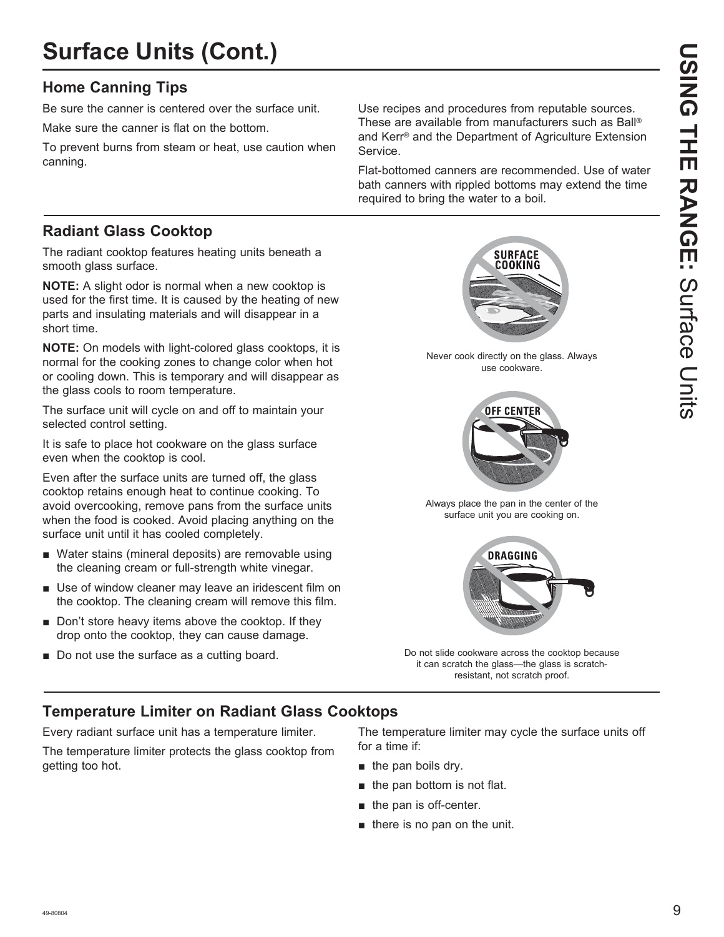## **Surface Units (Cont.)**

## **Home Canning Tips**

Be sure the canner is centered over the surface unit.

Make sure the canner is flat on the bottom.

To prevent burns from steam or heat, use caution when canning.

Use recipes and procedures from reputable sources. These are available from manufacturers such as Ball® and Kerr<sup>®</sup> and the Department of Agriculture Extension Service.

Flat-bottomed canners are recommended. Use of water bath canners with rippled bottoms may extend the time required to bring the water to a boil.

## **Radiant Glass Cooktop**

The radiant cooktop features heating units beneath a smooth glass surface.

**NOTE:** A slight odor is normal when a new cooktop is used for the first time. It is caused by the heating of new parts and insulating materials and will disappear in a short time.

**NOTE:** On models with light-colored glass cooktops, it is normal for the cooking zones to change color when hot or cooling down. This is temporary and will disappear as the glass cools to room temperature.

The surface unit will cycle on and off to maintain your selected control setting.

It is safe to place hot cookware on the glass surface even when the cooktop is cool.

Even after the surface units are turned off, the glass cooktop retains enough heat to continue cooking. To avoid overcooking, remove pans from the surface units when the food is cooked. Avoid placing anything on the surface unit until it has cooled completely.

- Water stains (mineral deposits) are removable using the cleaning cream or full-strength white vinegar.
- $\blacksquare$  Use of window cleaner may leave an iridescent film on the cooktop. The cleaning cream will remove this film.
- $\blacksquare$  Don't store heavy items above the cooktop. If they drop onto the cooktop, they can cause damage.
- Do not use the surface as a cutting board.



Never cook directly on the glass. Always use cookware.



Always place the pan in the center of the surface unit you are cooking on.



Do not slide cookware across the cooktop because it can scratch the glass-the glass is scratchresistant, not scratch proof.

## **Temperature Limiter on Radiant Glass Cooktops**

Every radiant surface unit has a temperature limiter.

The temperature limiter protects the glass cooktop from getting too hot.

The temperature limiter may cycle the surface units off for a time if:

- $\blacksquare$  the pan boils dry.
- $\blacksquare$  the pan bottom is not flat.
- $\blacksquare$  the pan is off-center.
- $\blacksquare$  there is no pan on the unit.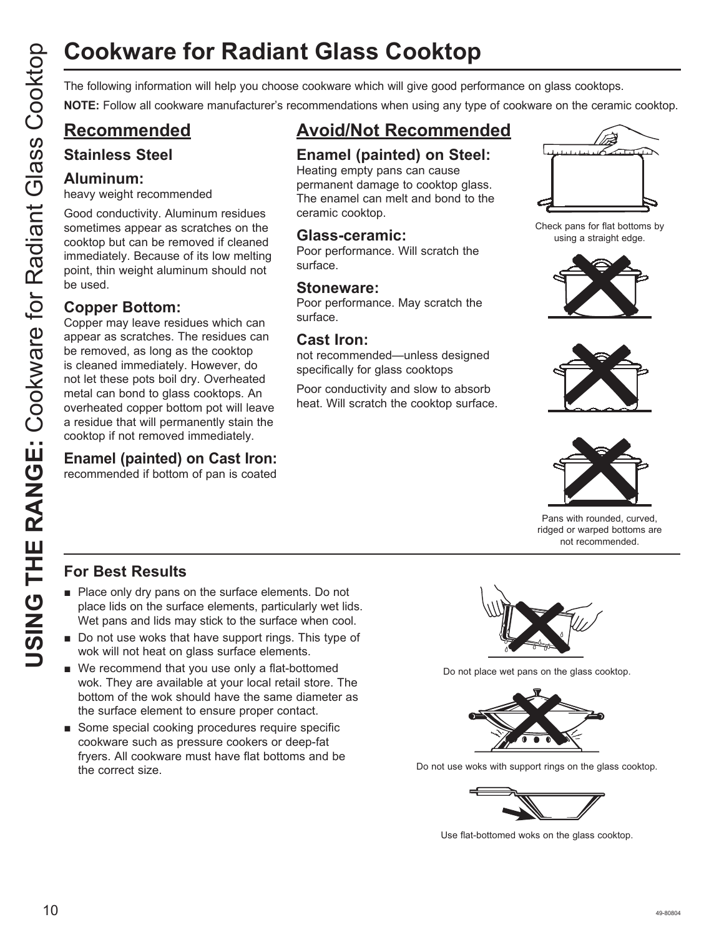# **Cookware for Radiant Glass Cooktop**

**NOTE:** Follow all cookware manufacturer's recommendations when using any type of cookware on the ceramic cooktop.

## **Recommended**

## **Stainless Steel**

## **Aluminum:**

heavy weight recommended

Good conductivity. Aluminum residues sometimes appear as scratches on the cooktop but can be removed if cleaned immediately. Because of its low melting point, thin weight aluminum should not be used.

## **Copper Bottom:**

Cookware for Radiant Glass Cooktop<br>
The following information will help you choose cookware which will give good performance on glass cookdop<br>
O Recommended Expedimentalisms when under concernent and cook and concernent an Copper may leave residues which can appear as scratches. The residues can be removed, as long as the cooktop is cleaned immediately. However, do not let these pots boil dry. Overheated metal can bond to glass cooktops. An overheated copper bottom pot will leave a residue that will permanently stain the cooktop if not removed immediately.

## **Enamel (painted) on Cast Iron:**

recommended if bottom of pan is coated

## **Avoid/Not Recommended**

## **Enamel (painted) on Steel:**

Heating empty pans can cause permanent damage to cooktop glass. The enamel can melt and bond to the ceramic cooktop.

## **Glass-ceramic:**

Poor performance. Will scratch the surface.

## **Stoneware:**

Poor performance. May scratch the surface.

## **Cast Iron:**

not recommended—unless designed specifically for glass cooktops

Poor conductivity and slow to absorb heat. Will scratch the cooktop surface.



Check pans for flat bottoms by using a straight edge.







Pans with rounded, curved, ridged or warped bottoms are not recommended.

## **For Best Results**

- $\blacksquare$  Place only dry pans on the surface elements. Do not place lids on the surface elements, particularly wet lids. Wet pans and lids may stick to the surface when cool.
- $\blacksquare$  Do not use woks that have support rings. This type of wok will not heat on glass surface elements.
- $\blacksquare$  We recommend that you use only a flat-bottomed wok. They are available at your local retail store. The bottom of the wok should have the same diameter as the surface element to ensure proper contact.
- Some special cooking procedures require specific cookware such as pressure cookers or deep-fat fryers. All cookware must have flat bottoms and be the correct size.



Do not place wet pans on the glass cooktop.



Do not use woks with support rings on the glass cooktop.



Use flat-bottomed woks on the glass cooktop.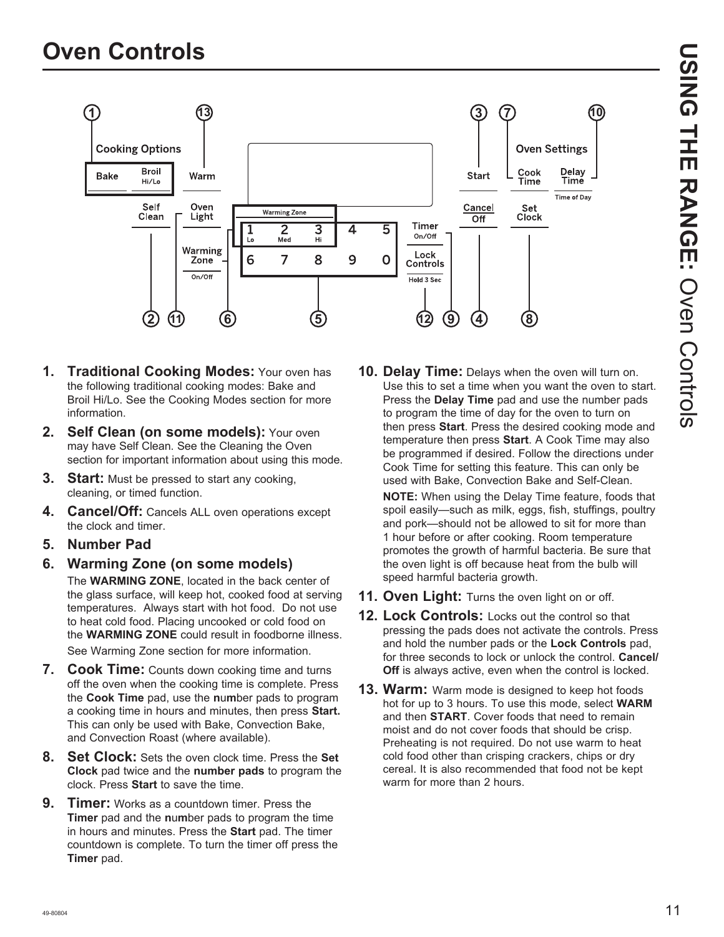

- **1. Traditional Cooking Modes:** Your oven has the following traditional cooking modes: Bake and Broil Hi/Lo. See the Cooking Modes section for more information.
- 2. Self Clean (on some models): Your oven may have Self Clean. See the Cleaning the Oven section for important information about using this mode.
- **3.** Start: Must be pressed to start any cooking, cleaning, or timed function.
- **4. Cancel/Off:** Cancels ALL oven operations except the clock and timer.
- **5. Number Pad**
- **6. Warming Zone (on some models)** The **WARMING ZONE**, located in the back center of the glass surface, will keep hot, cooked food at serving temperatures. Always start with hot food. Do not use to heat cold food. Placing uncooked or cold food on the **WARMING ZONE** could result in foodborne illness. See Warming Zone section for more information.
- **7. Cook Time:** Counts down cooking time and turns off the oven when the cooking time is complete. Press the **Cook Time** pad, use the **n**u**m**ber pads to program a cooking time in hours and minutes, then press **Start.** This can only be used with Bake, Convection Bake, and Convection Roast (where available).
- **8. Set Clock:** Sets the oven clock time. Press the **Set Clock** pad twice and the **number pads** to program the clock. Press **Start** to save the time.
- **9. Timer:** Works as a countdown timer. Press the **Timer** pad and the **n**u**m**ber pads to program the time in hours and minutes. Press the **Start** pad. The timer countdown is complete. To turn the timer off press the **Timer** pad.

**10. Delay Time:** Delays when the oven will turn on. Use this to set a time when you want the oven to start. Press the **Delay Time** pad and use the number pads to program the time of day for the oven to turn on then press **Start**. Press the desired cooking mode and temperature then press **Start**. A Cook Time may also be programmed if desired. Follow the directions under Cook Time for setting this feature. This can only be used with Bake, Convection Bake and Self-Clean.

**NOTE:** When using the Delay Time feature, foods that spoil easily-such as milk, eggs, fish, stuffings, poultry and pork—should not be allowed to sit for more than 1 hour before or after cooking. Room temperature promotes the growth of harmful bacteria. Be sure that the oven light is off because heat from the bulb will speed harmful bacteria growth.

- **11. Oven Light:** Turns the oven light on or off.
- **12. Lock Controls:** Locks out the control so that pressing the pads does not activate the controls. Press and hold the number pads or the **Lock Controls** pad, for three seconds to lock or unlock the control. **Cancel/ Off** is always active, even when the control is locked.
- **13. Warm:** Warm mode is designed to keep hot foods hot for up to 3 hours. To use this mode, select **WARM** and then **START**. Cover foods that need to remain moist and do not cover foods that should be crisp. Preheating is not required. Do not use warm to heat cold food other than crisping crackers, chips or dry cereal. It is also recommended that food not be kept warm for more than 2 hours.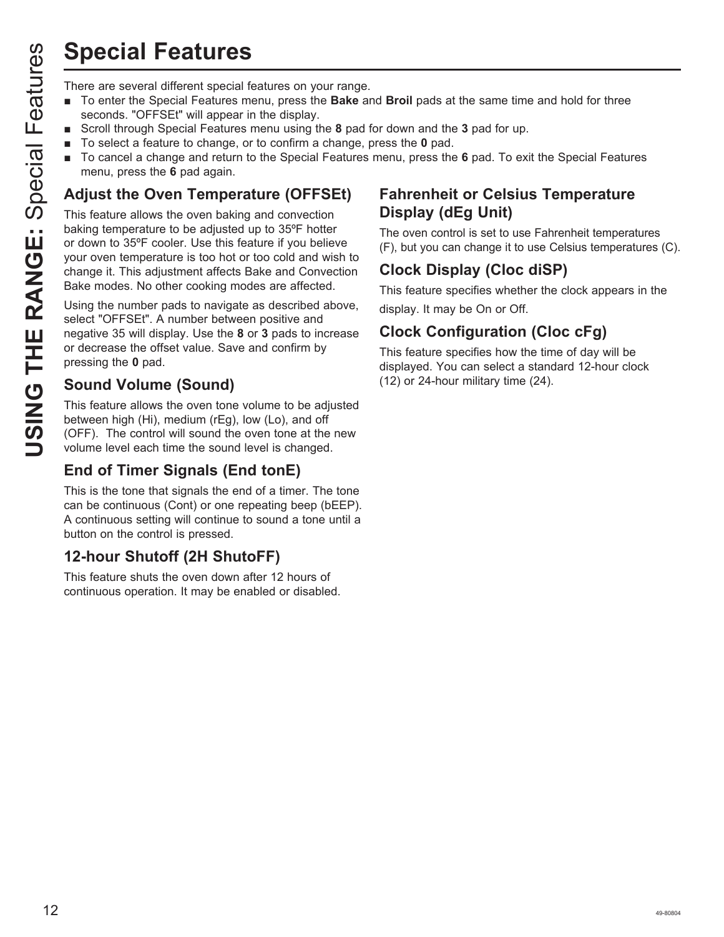## **Special Features**

- To enter the Special Features menu, press the **Bake** and **Broil** pads at the same time and hold for three seconds. "OFFSEt" will appear in the display.
- Scroll through Special Features menu using the 8 pad for down and the 3 pad for up.
- To select a feature to change, or to confirm a change, press the **0** pad.
- **The Cancel a change and return to the Special Features menu, press the 6 pad. To exit the Special Features** menu, press the **6** pad again.

## **Adjust the Oven Temperature (OFFSEt)**

**Special Features**<br>
There are several different special features on your range.<br>
To enter the Special Features menu, press the Bake at<br>
Scroll firough Special Features menu using the 8 pad 1<br>
To select a feature to change, This feature allows the oven baking and convection baking temperature to be adjusted up to 35ºF hotter or down to 35°F cooler. Use this feature if you believe your oven temperature is too hot or too cold and wish to change it. This adjustment affects Bake and Convection Bake modes. No other cooking modes are affected.

Using the number pads to navigate as described above, select "OFFSEt". A number between positive and hegative 35 will display. Use the 8 or 3 pads to increase or decrease the offset value. Save and confirm by pressing the **0** pad.

## **Sound Volume (Sound)**

This feature allows the oven tone volume to be adjusted between high (Hi), medium (rEg), low (Lo), and off (OFF). The control will sound the oven tone at the new volume level each time the sound level is changed.

## **End of Timer Signals (End tonE)**

This is the tone that signals the end of a timer. The tone can be continuous (Cont) or one repeating beep (bEEP). A continuous setting will continue to sound a tone until a button on the control is pressed.

## **12-hour Shutoff (2H ShutoFF)**

This feature shuts the oven down after 12 hours of continuous operation. It may be enabled or disabled.

## **Fahrenheit or Celsius Temperature Display (dEg Unit)**

The oven control is set to use Fahrenheit temperatures (F), but you can change it to use Celsius temperatures (C).

## **Clock Display (Cloc diSP)**

This feature specifies whether the clock appears in the display. It may be On or Off.

## **Clock Configuration (Cloc cFg)**

This feature specifies how the time of day will be displayed. You can select a standard 12-hour clock (12) or 24-hour military time (24).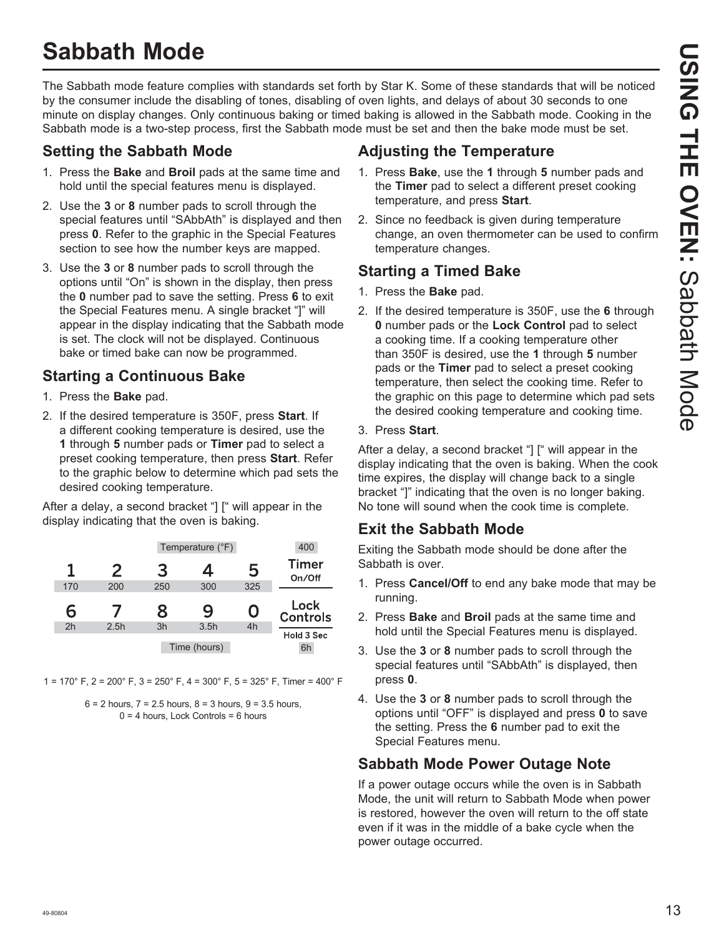## **Sabbath Mode**

The Sabbath mode feature complies with standards set forth by Star K. Some of these standards that will be noticed by the consumer include the disabling of tones, disabling of oven lights, and delays of about 30 seconds to one minute on display changes. Only continuous baking or timed baking is allowed in the Sabbath mode. Cooking in the Sabbath mode is a two-step process, first the Sabbath mode must be set and then the bake mode must be set.

## **Setting the Sabbath Mode**

- 1. Press the **Bake** and **Broil** pads at the same time and hold until the special features menu is displayed.
- 2. Use the **3** or **8** number pads to scroll through the special features until "SAbbAth" is displayed and then press **0**. Refer to the graphic in the Special Features section to see how the number keys are mapped.
- 3. Use the 3 or 8 number pads to scroll through the options until "On" is shown in the display, then press the **0** number pad to save the setting. Press **6** to exit the Special Features menu. A single bracket "]" will appear in the display indicating that the Sabbath mode is set. The clock will not be displayed. Continuous bake or timed bake can now be programmed.

## **Starting a Continuous Bake**

- 1. Press the **Bake** pad.
- 2. If the desired temperature is 350F, press **Start**. If a different cooking temperature is desired, use the **1** through **5** number pads or **Timer** pad to select a preset cooking temperature, then press **Start**. Refer to the graphic below to determine which pad sets the desired cooking temperature.

After a delay, a second bracket "] [" will appear in the display indicating that the oven is baking.

| 400                     | Temperature (°F) |      |     |      |     |
|-------------------------|------------------|------|-----|------|-----|
| <b>Timer</b><br>On/Off  | 5                | 4    | 3   | 2    |     |
|                         | 325              | 300  | 250 | 200  | 170 |
| Lock<br><b>Controls</b> | ( )              | 9    | 8   |      | 6   |
|                         | 4h               | 3.5h | 3h  | 2.5h | 2h  |
| Hold 3 Sec              |                  |      |     |      |     |

1 = 170° F, 2 = 200° F, 3 = 250° F, 4 = 300° F, 5 = 325° F, Timer = 400° F



## **Adjusting the Temperature**

- 1. Press **Bake**, use the **1** through **5** number pads and the **Timer** pad to select a different preset cooking temperature, and press **Start**.
- 2. Since no feedback is given during temperature change, an oven thermometer can be used to confirm temperature changes.

## **Starting a Timed Bake**

- 1. Press the **Bake** pad.
- 2. If the desired temperature is 350F, use the **6** through **0** number pads or the **Lock Control** pad to select a cooking time. If a cooking temperature other than 350F is desired, use the **1** through **5** number pads or the **Timer** pad to select a preset cooking temperature, then select the cooking time. Refer to the graphic on this page to determine which pad sets the desired cooking temperature and cooking time.

### 3. Press **Start**.

After a delay, a second bracket "] [" will appear in the display indicating that the oven is baking. When the cook time expires, the display will change back to a single bracket "]" indicating that the oven is no longer baking. No tone will sound when the cook time is complete.

## **Exit the Sabbath Mode**

Exiting the Sabbath mode should be done after the Sabbath is over.

- 1. Press **Cancel/Off** to end any bake mode that may be running.
- 2. Press **Bake** and **Broil** pads at the same time and hold until the Special Features menu is displayed.
- 3. Use the 3 or 8 number pads to scroll through the special features until "SAbbAth" is displayed, then press **0**.
- 4. Use the 3 or 8 number pads to scroll through the options until "OFF" is displayed and press **0** to save the setting. Press the **6** number pad to exit the Special Features menu.

## **Sabbath Mode Power Outage Note**

If a power outage occurs while the oven is in Sabbath Mode, the unit will return to Sabbath Mode when power is restored, however the oven will return to the off state even if it was in the middle of a bake cycle when the power outage occurred.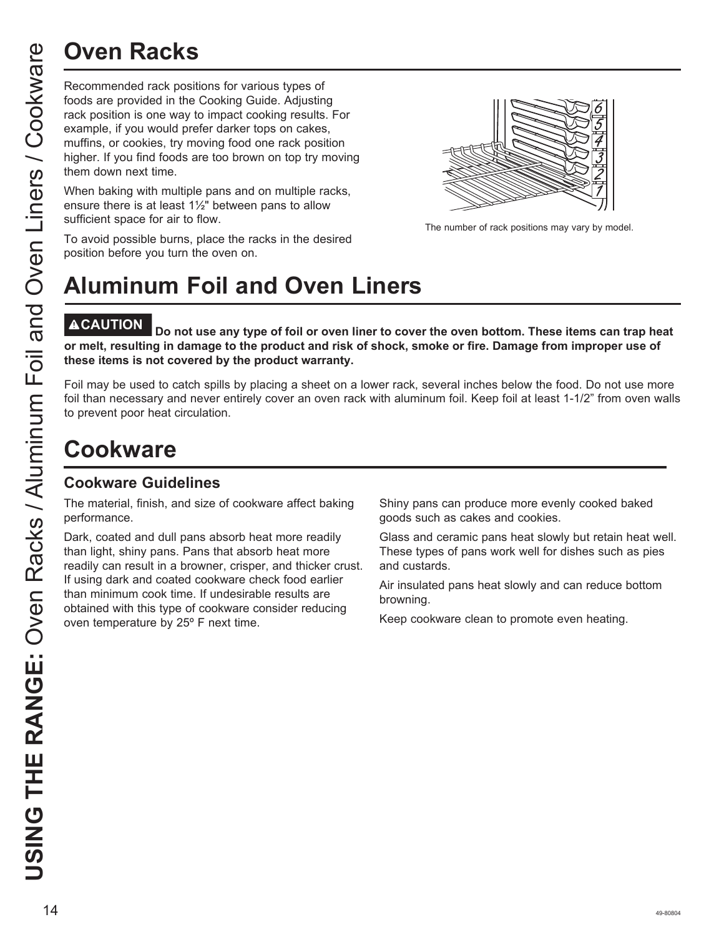Recommended rack positions for various types of foods are provided in the Cooking Guide. Adjusting rack position is one way to impact cooking results. For example, if you would prefer darker tops on cakes, muffins, or cookies, try moving food one rack position higher. If you find foods are too brown on top try moving them down next time.

When baking with multiple pans and on multiple racks, ensure there is at least 1½" between pans to allow sufficient space for air to flow.

The number of rack positions may vary by model.

#### To avoid possible burns, place the racks in the desired position before you turn the oven on.

# **Aluminum Foil and Oven Liners**

Do not use any type of foil or oven liner to cover the oven bottom. These items can trap heat **or melt, resulting in damage to the product and risk of shock, smoke or fire. Damage from improper use of these items is not covered by the product warranty.** 

Foil may be used to catch spills by placing a sheet on a lower rack, several inches below the food. Do not use more foil than necessary and never entirely cover an oven rack with aluminum foil. Keep foil at least 1-1/2" from oven walls to prevent poor heat circulation.

## **Cookware**

## **Cookware Guidelines**

The material, finish, and size of cookware affect baking performance.

Dark, coated and dull pans absorb heat more readily than light, shiny pans. Pans that absorb heat more readily can result in a browner, crisper, and thicker crust. If using dark and coated cookware check food earlier than minimum cook time. If undesirable results are obtained with this type of cookware consider reducing oven temperature by 25º F next time.

Shiny pans can produce more evenly cooked baked goods such as cakes and cookies.

Glass and ceramic pans heat slowly but retain heat well. These types of pans work well for dishes such as pies and custards.

Air insulated pans heat slowly and can reduce bottom browning.

Keep cookware clean to promote even heating.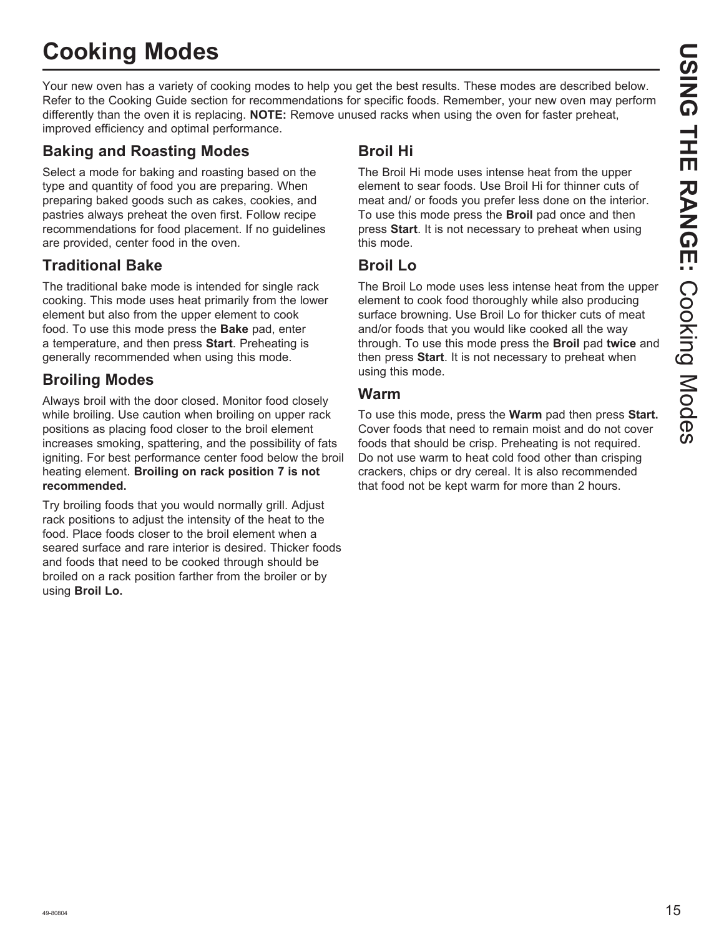# **Cooking Modes**

Your new oven has a variety of cooking modes to help you get the best results. These modes are described below. Refer to the Cooking Guide section for recommendations for specific foods. Remember, your new oven may perform differently than the oven it is replacing. **NOTE:** Remove unused racks when using the oven for faster preheat, improved efficiency and optimal performance.

## **Baking and Roasting Modes**

Select a mode for baking and roasting based on the type and quantity of food you are preparing. When preparing baked goods such as cakes, cookies, and pastries always preheat the oven first. Follow recipe recommendations for food placement. If no guidelines are provided, center food in the oven.

## **Traditional Bake**

The traditional bake mode is intended for single rack cooking. This mode uses heat primarily from the lower element but also from the upper element to cook food. To use this mode press the **Bake** pad, enter a temperature, and then press **Start**. Preheating is generally recommended when using this mode.

## **Broiling Modes**

Always broil with the door closed. Monitor food closely while broiling. Use caution when broiling on upper rack positions as placing food closer to the broil element increases smoking, spattering, and the possibility of fats igniting. For best performance center food below the broil heating element. **Broiling on rack position 7 is not recommended.**

Try broiling foods that you would normally grill. Adjust rack positions to adjust the intensity of the heat to the food. Place foods closer to the broil element when a seared surface and rare interior is desired. Thicker foods and foods that need to be cooked through should be broiled on a rack position farther from the broiler or by using **Broil Lo.**

## **Broil Hi**

The Broil Hi mode uses intense heat from the upper element to sear foods. Use Broil Hi for thinner cuts of meat and/ or foods you prefer less done on the interior. To use this mode press the **Broil** pad once and then press **Start**. It is not necessary to preheat when using this mode.

## **Broil Lo**

The Broil Lo mode uses less intense heat from the upper element to cook food thoroughly while also producing surface browning. Use Broil Lo for thicker cuts of meat and/or foods that you would like cooked all the way through. To use this mode press the **Broil** pad **twice** and then press **Start**. It is not necessary to preheat when using this mode.

## **Warm**

To use this mode, press the **Warm** pad then press **Start.** Cover foods that need to remain moist and do not cover foods that should be crisp. Preheating is not required. Do not use warm to heat cold food other than crisping crackers, chips or dry cereal. It is also recommended that food not be kept warm for more than 2 hours.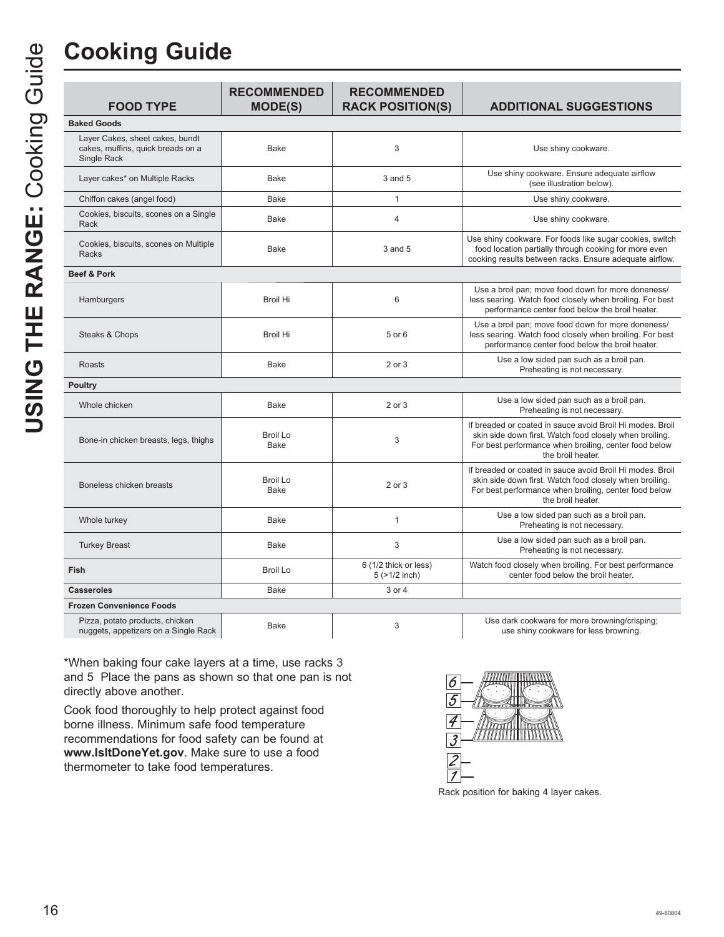| <b>FOOD TYPE</b>                                                                           | <b>RECOMMENDED</b><br><b>MODE(S)</b> | <b>RECOMMENDED</b><br><b>RACK POSITION(S)</b> | <b>ADDITIONAL SUGGESTIONS</b>                                                                                                                                                                      |
|--------------------------------------------------------------------------------------------|--------------------------------------|-----------------------------------------------|----------------------------------------------------------------------------------------------------------------------------------------------------------------------------------------------------|
| <b>Baked Goods</b>                                                                         |                                      |                                               |                                                                                                                                                                                                    |
| Layer Cakes, sheet cakes, bundt<br>cakes, muffins, quick breads on a<br><b>Single Rack</b> | Bake                                 | 3                                             | Use shiny cookware.                                                                                                                                                                                |
| Layer cakes* on Multiple Racks                                                             | Bake                                 | 3 and 5                                       | Use shiny cookware. Ensure adequate airflow<br>(see illustration below).                                                                                                                           |
| Chiffon cakes (angel food)                                                                 | Bake                                 | $\mathbf{1}$                                  | Use shiny cookware.                                                                                                                                                                                |
| Cookies, biscuits, scones on a Single<br>Rack                                              | Bake                                 | $\overline{4}$                                | Use shiny cookware.                                                                                                                                                                                |
| Cookies, biscuits, scones on Multiple<br><b>Racks</b>                                      | Bake                                 | 3 and 5                                       | Use shiny cookware. For foods like sugar cookies, switch<br>food location partially through cooking for more even<br>cooking results between racks. Ensure adequate airflow.                       |
| <b>Beef &amp; Pork</b>                                                                     |                                      |                                               |                                                                                                                                                                                                    |
| Hamburgers                                                                                 | <b>Broil Hi</b>                      | $6\,$                                         | Use a broil pan; move food down for more doneness/<br>less searing. Watch food closely when broiling. For best<br>performance center food below the broil heater.                                  |
| Steaks & Chops                                                                             | <b>Broil Hi</b>                      | 5 or 6                                        | Use a broil pan: move food down for more doneness/<br>less searing. Watch food closely when broiling. For best<br>performance center food below the broil heater.                                  |
| Roasts                                                                                     | Bake                                 | 2 or 3                                        | Use a low sided pan such as a broil pan.<br>Preheating is not necessary.                                                                                                                           |
| <b>Poultry</b>                                                                             |                                      |                                               |                                                                                                                                                                                                    |
| Whole chicken                                                                              | Bake                                 | 2 or 3                                        | Use a low sided pan such as a broil pan.<br>Preheating is not necessary.                                                                                                                           |
| Bone-in chicken breasts, legs, thighs                                                      | <b>Broil Lo</b><br><b>Bake</b>       | 3                                             | If breaded or coated in sauce avoid Broil Hi modes. Broil<br>skin side down first. Watch food closely when broiling.<br>For best performance when broiling, center food below<br>the broil heater. |
| Boneless chicken breasts                                                                   | Broil Lo<br>Bake                     | 2 or 3                                        | If breaded or coated in sauce avoid Broil Hi modes. Broil<br>skin side down first. Watch food closely when broiling.<br>For best performance when broiling, center food below<br>the broil heater. |
| Whole turkey                                                                               | <b>Bake</b>                          | $\mathbf{1}$                                  | Use a low sided pan such as a broil pan.<br>Preheating is not necessary.                                                                                                                           |
| <b>Turkey Breast</b>                                                                       | <b>Bake</b>                          | 3                                             | Use a low sided pan such as a broil pan.<br>Preheating is not necessary.                                                                                                                           |
| Fish                                                                                       | <b>Broil Lo</b>                      | 6 (1/2 thick or less)<br>$5$ ( $>1/2$ inch)   | Watch food closely when broiling. For best performance<br>center food below the broil heater.                                                                                                      |
| <b>Casseroles</b>                                                                          | <b>Bake</b>                          | 3 or 4                                        |                                                                                                                                                                                                    |

Pizza, potato products, chicken

nuggets, appetizers on a Single Rack Bake 3 8VHGDUNFRENZER Bake 3 8VHGDUNFRENCHIRUP USe dark cookware for more browning/crisping;<br>Antiggets, appetizers on a Single Rack Bake 3 8VHGDUNFR 2006 8VHGDUNFRLQUEL use shiny cookware for less browning.

\*When baking four cake layers at a time, use racks 3 and 5. Place the pans as shown so that one pan is not directly above another.

Cook food thoroughly to help protect against food borne illness. Minimum safe food temperature recommendations for food safety can be found at **www.IsItDoneYet.gov**. Make sure to use a food thermometer to take food temperatures.

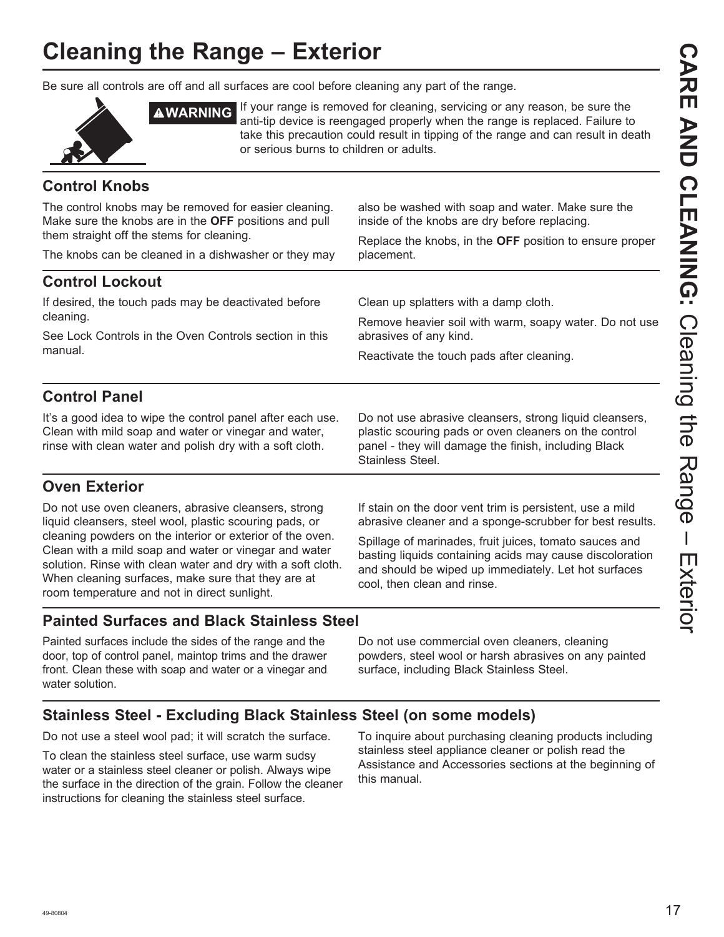# **Cleaning the Range – Exterior**

Be sure all controls are off and all surfaces are cool before cleaning any part of the range.



**AWARNING** If your range is removed for cleaning, servicing or any reason, be sure the anti-tip device is reengaged properly when the range is replaced. Failure to take this precaution could result in tipping of the range and can result in death or serious burns to children or adults.

## **Control Knobs**

The control knobs may be removed for easier cleaning. Make sure the knobs are in the **OFF** positions and pull them straight off the stems for cleaning. The knobs can be cleaned in a dishwasher or they may also be washed with soap and water. Make sure the inside of the knobs are dry before replacing. Replace the knobs, in the **OFF** position to ensure proper placement. **Control Lockout** If desired, the touch pads may be deactivated before cleaning. See Lock Controls in the Oven Controls section in this manual. Clean up splatters with a damp cloth. Remove heavier soil with warm, soapy water. Do not use abrasives of any kind. Reactivate the touch pads after cleaning. **Control Panel** It's a good idea to wipe the control panel after each use. Clean with mild soap and water or vinegar and water, Do not use abrasive cleansers, strong liquid cleansers,

**Oven Exterior**

Do not use oven cleaners, abrasive cleansers, strong liquid cleansers, steel wool, plastic scouring pads, or cleaning powders on the interior or exterior of the oven. Clean with a mild soap and water or vinegar and water solution. Rinse with clean water and dry with a soft cloth. When cleaning surfaces, make sure that they are at room temperature and not in direct sunlight.

rinse with clean water and polish dry with a soft cloth.

plastic scouring pads or oven cleaners on the control panel - they will damage the finish, including Black Stainless Steel.

If stain on the door vent trim is persistent, use a mild abrasive cleaner and a sponge-scrubber for best results.

Spillage of marinades, fruit juices, tomato sauces and basting liquids containing acids may cause discoloration and should be wiped up immediately. Let hot surfaces cool, then clean and rinse.

## **Painted Surfaces and Black Stainless Steel**

Painted surfaces include the sides of the range and the door, top of control panel, maintop trims and the drawer front. Clean these with soap and water or a vinegar and water solution.

Do not use commercial oven cleaners, cleaning powders, steel wool or harsh abrasives on any painted surface, including Black Stainless Steel.

## **Stainless Steel - Excluding Black Stainless Steel (on some models)**

Do not use a steel wool pad; it will scratch the surface.

To clean the stainless steel surface, use warm sudsy water or a stainless steel cleaner or polish. Always wipe the surface in the direction of the grain. Follow the cleaner instructions for cleaning the stainless steel surface.

To inquire about purchasing cleaning products including stainless steel appliance cleaner or polish read the Assistance and Accessories sections at the beginning of this manual.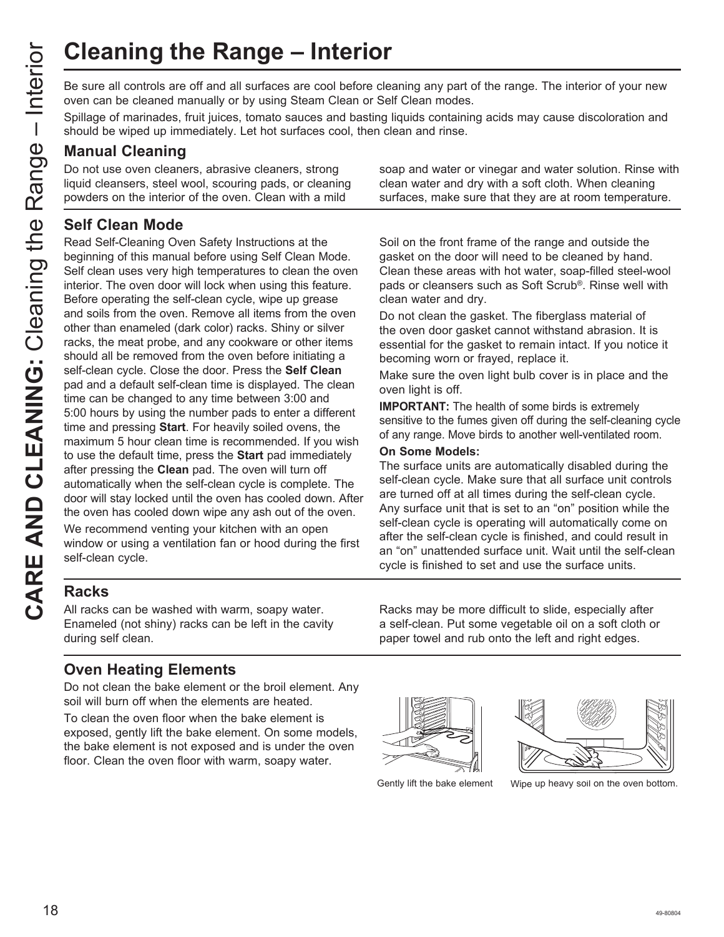Be sure all controls are off and all surfaces are cool before cleaning any part of the range. The interior of your new oven can be cleaned manually or by using Steam Clean or Self Clean modes.

Spillage of marinades, fruit juices, tomato sauces and basting liquids containing acids may cause discoloration and should be wiped up immediately. Let hot surfaces cool, then clean and rinse.

## **Manual Cleaning**

Do not use oven cleaners, abrasive cleaners, strong liquid cleansers, steel wool, scouring pads, or cleaning powders on the interior of the oven. Clean with a mild

## **Self Clean Mode**

Read Self-Cleaning Oven Safety Instructions at the beginning of this manual before using Self Clean Mode. Self clean uses very high temperatures to clean the oven interior. The oven door will lock when using this feature. Before operating the self-clean cycle, wipe up grease and soils from the oven. Remove all items from the oven other than enameled (dark color) racks. Shiny or silver racks, the meat probe, and any cookware or other items should all be removed from the oven before initiating a self-clean cycle. Close the door. Press the **Self Clean** pad and a default self-clean time is displayed. The clean time can be changed to any time between 3:00 and 5:00 hours by using the number pads to enter a different time and pressing **Start**. For heavily soiled ovens, the maximum 5 hour clean time is recommended. If you wish to use the default time, press the **Start** pad immediately after pressing the **Clean** pad. The oven will turn off automatically when the self-clean cycle is complete. The door will stay locked until the oven has cooled down. After the oven has cooled down wipe any ash out of the oven.

We recommend venting your kitchen with an open window or using a ventilation fan or hood during the first self-clean cycle.

**Racks**

All racks can be washed with warm, soapy water. Enameled (not shiny) racks can be left in the cavity during self clean.

## **Oven Heating Elements**

Do not clean the bake element or the broil element. Any soil will burn off when the elements are heated.

To clean the oven floor when the bake element is exposed, gently lift the bake element. On some models, the bake element is not exposed and is under the oven floor. Clean the oven floor with warm, soapy water.

soap and water or vinegar and water solution. Rinse with clean water and dry with a soft cloth. When cleaning surfaces, make sure that they are at room temperature.

Soil on the front frame of the range and outside the gasket on the door will need to be cleaned by hand. Clean these areas with hot water, soap-filled steel-wool pads or cleansers such as Soft Scrub®. Rinse well with clean water and dry.

Do not clean the gasket. The fiberglass material of the oven door gasket cannot withstand abrasion. It is essential for the gasket to remain intact. If you notice it becoming worn or frayed, replace it.

Make sure the oven light bulb cover is in place and the oven light is off.

**IMPORTANT:** The health of some birds is extremely sensitive to the fumes given off during the self-cleaning cycle of any range. Move birds to another well-ventilated room.

#### **On Some Models:**

The surface units are automatically disabled during the self-clean cycle. Make sure that all surface unit controls are turned off at all times during the self-clean cycle. Any surface unit that is set to an "on" position while the self-clean cycle is operating will automatically come on after the self-clean cycle is finished, and could result in an "on" unattended surface unit. Wait until the self-clean cycle is finished to set and use the surface units.

Racks may be more difficult to slide, especially after a self-clean. Put some vegetable oil on a soft cloth or paper towel and rub onto the left and right edges.





Gently lift the bake element Wipe up heavy soil on the oven bottom.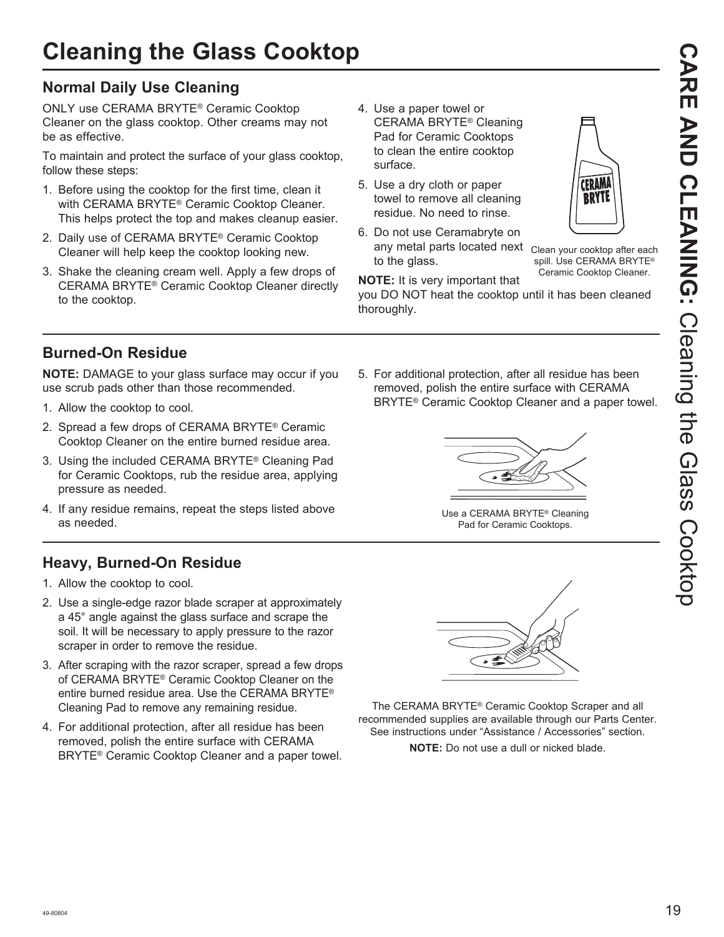## **Normal Daily Use Cleaning**

ONLY use CERAMA BRYTE® Ceramic Cooktop Cleaner on the glass cooktop. Other creams may not be as effective.

To maintain and protect the surface of your glass cooktop, follow these steps:

- 1. Before using the cooktop for the first time, clean it with CERAMA BRYTE® Ceramic Cooktop Cleaner. This helps protect the top and makes cleanup easier.
- 2. Daily use of CERAMA BRYTE® Ceramic Cooktop Cleaner will help keep the cooktop looking new.
- 3. Shake the cleaning cream well. Apply a few drops of CERAMA BRYTE® Ceramic Cooktop Cleaner directly to the cooktop.
- 4. Use a paper towel or CERAMA BRYTE® Cleaning Pad for Ceramic Cooktops to clean the entire cooktop surface.
- 5. Use a dry cloth or paper towel to remove all cleaning residue. No need to rinse.
- 6. Do not use Ceramabryte on any metal parts located next Clean your cooktop after each to the glass.



spill. Use CERAMA BRYTE® Ceramic Cooktop Cleaner.

**NOTE:** It is very important that

you DO NOT heat the cooktop until it has been cleaned thoroughly.

## **Burned-On Residue**

**NOTE:** DAMAGE to your glass surface may occur if you use scrub pads other than those recommended.

- 1. Allow the cooktop to cool.
- 2. Spread a few drops of CERAMA BRYTE® Ceramic Cooktop Cleaner on the entire burned residue area.
- 3. Using the included CERAMA BRYTE® Cleaning Pad for Ceramic Cooktops, rub the residue area, applying pressure as needed.
- 4. If any residue remains, repeat the steps listed above as needed.

## **Heavy, Burned-On Residue**

- 1. Allow the cooktop to cool.
- 2. Use a single-edge razor blade scraper at approximately a 45° angle against the glass surface and scrape the soil. It will be necessary to apply pressure to the razor scraper in order to remove the residue.
- 3. After scraping with the razor scraper, spread a few drops of CERAMA BRYTE® Ceramic Cooktop Cleaner on the entire burned residue area. Use the CERAMA BRYTE<sup>®</sup> Cleaning Pad to remove any remaining residue.
- 4. For additional protection, after all residue has been removed, polish the entire surface with CERAMA BRYTE® Ceramic Cooktop Cleaner and a paper towel.

5. For additional protection, after all residue has been removed, polish the entire surface with CERAMA BRYTE® Ceramic Cooktop Cleaner and a paper towel.



Use a CERAMA BRYTE® Cleaning Pad for Ceramic Cooktops.



The CERAMA BRYTE® Ceramic Cooktop Scraper and all recommended supplies are available through our Parts Center. See instructions under "Assistance / Accessories" section.

**NOTE:** Do not use a dull or nicked blade.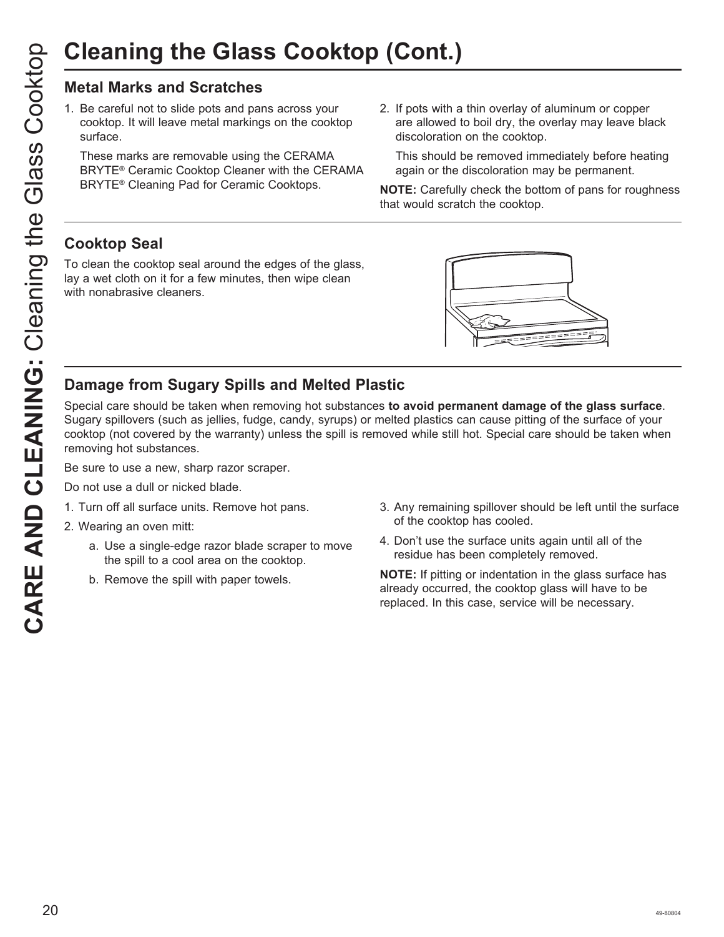## **Metal Marks and Scratches**

1. Be careful not to slide pots and pans across your cooktop. It will leave metal markings on the cooktop surface.

 These marks are removable using the CERAMA BRYTE® Ceramic Cooktop Cleaner with the CERAMA BRYTE® Cleaning Pad for Ceramic Cooktops.

2. If pots with a thin overlay of aluminum or copper are allowed to boil dry, the overlay may leave black discoloration on the cooktop.

 This should be removed immediately before heating again or the discoloration may be permanent.

**NOTE:** Carefully check the bottom of pans for roughness that would scratch the cooktop.

## **Cooktop Seal**

To clean the cooktop seal around the edges of the glass, lay a wet cloth on it for a few minutes, then wipe clean with nonabrasive cleaners.



## **Damage from Sugary Spills and Melted Plastic**

Special care should be taken when removing hot substances **to avoid permanent damage of the glass surface**. Sugary spillovers (such as jellies, fudge, candy, syrups) or melted plastics can cause pitting of the surface of your cooktop (not covered by the warranty) unless the spill is removed while still hot. Special care should be taken when removing hot substances.

Be sure to use a new, sharp razor scraper.

- Do not use a dull or nicked blade.
- 1. Turn off all surface units. Remove hot pans.
- 2. Wearing an oven mitt:
	- a. Use a single-edge razor blade scraper to move the spill to a cool area on the cooktop.
	- b. Remove the spill with paper towels.
- 3. Any remaining spillover should be left until the surface of the cooktop has cooled.
- 4. Don't use the surface units again until all of the residue has been completely removed.

**NOTE:** If pitting or indentation in the glass surface has already occurred, the cooktop glass will have to be replaced. In this case, service will be necessary.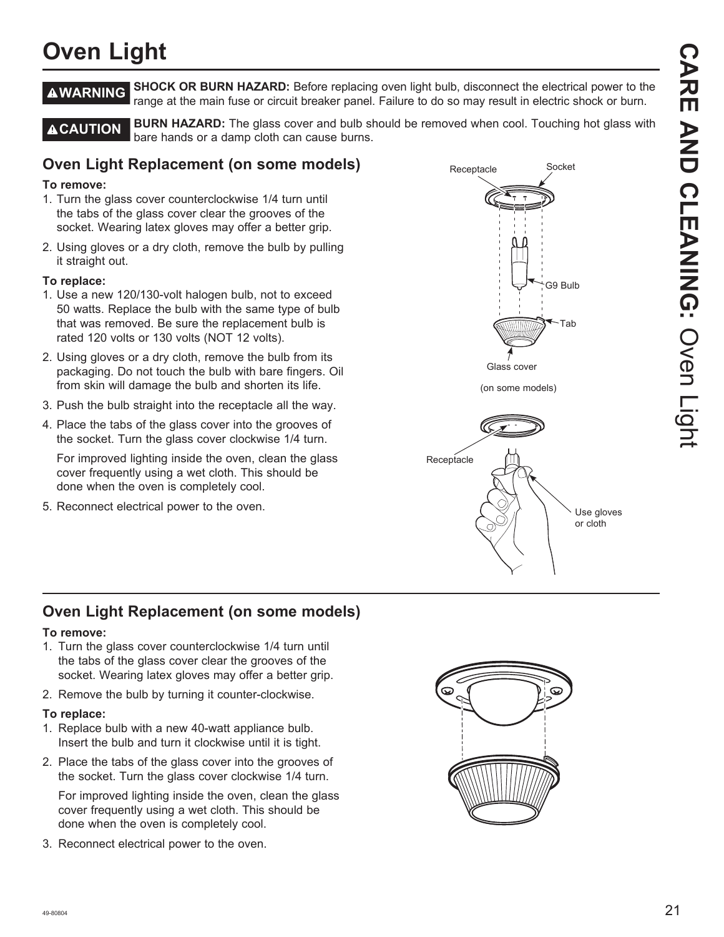## **Oven Light**

**A WARNING** SHOCK OR BURN HAZARD: Before replacing oven light bulb, disconnect the electrical power to the range at the main fuse or circuit breaker panel. Failure to do so may result in electric shock or burn.

**A CAUTION** BURN HAZARD: The glass cover and bulb should be removed when cool. Touching hot glass with bare hands or a damp cloth can cause burns.

## **Oven Light Replacement (on some models)**

#### **To remove:**

- 1. Turn the glass cover counterclockwise 1/4 turn until the tabs of the glass cover clear the grooves of the socket. Wearing latex gloves may offer a better grip.
- 2. Using gloves or a dry cloth, remove the bulb by pulling it straight out.

#### **To replace:**

- 1. Use a new 120/130-volt halogen bulb, not to exceed 50 watts. Replace the bulb with the same type of bulb that was removed. Be sure the replacement bulb is rated 120 volts or 130 volts (NOT 12 volts).
- 2. Using gloves or a dry cloth, remove the bulb from its packaging. Do not touch the bulb with bare fingers. Oil from skin will damage the bulb and shorten its life.
- 3. Push the bulb straight into the receptacle all the way.
- 4. Place the tabs of the glass cover into the grooves of the socket. Turn the glass cover clockwise 1/4 turn.

 For improved lighting inside the oven, clean the glass cover frequently using a wet cloth. This should be done when the oven is completely cool.

5. Reconnect electrical power to the oven.



## **Oven Light Replacement (on some models)**

#### **To remove:**

- 1. Turn the glass cover counterclockwise 1/4 turn until the tabs of the glass cover clear the grooves of the socket. Wearing latex gloves may offer a better grip.
- 2. Remove the bulb by turning it counter-clockwise.

#### **To replace:**

- 1. Replace bulb with a new 40-watt appliance bulb. Insert the bulb and turn it clockwise until it is tight.
- 2. Place the tabs of the glass cover into the grooves of the socket. Turn the glass cover clockwise 1/4 turn.

 For improved lighting inside the oven, clean the glass cover frequently using a wet cloth. This should be done when the oven is completely cool.

3. Reconnect electrical power to the oven.

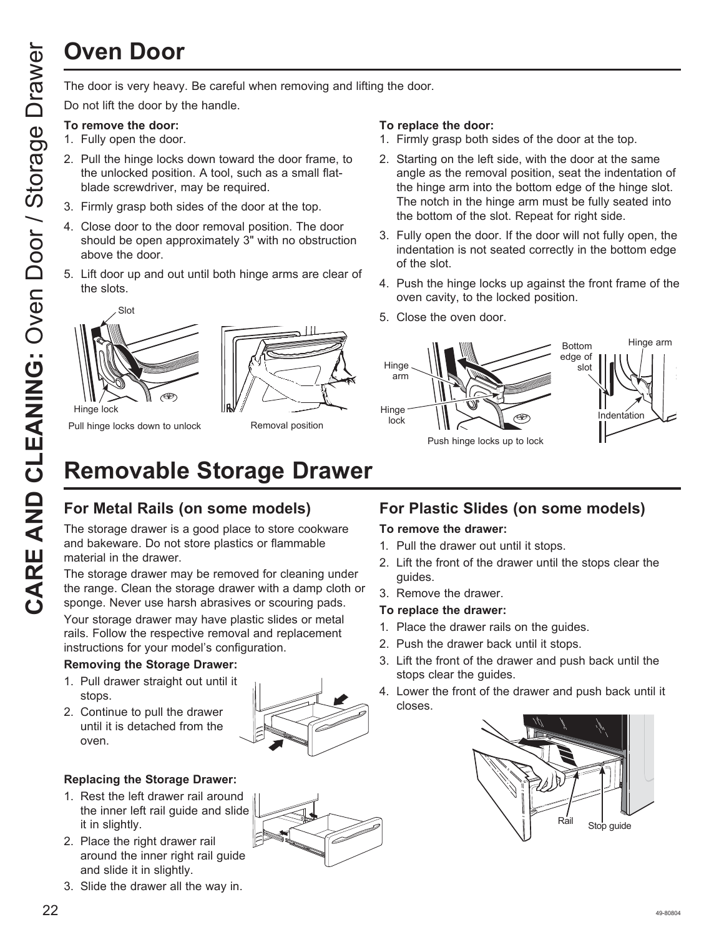# **Oven Door**

Do not lift the door by the handle.

#### **To remove the door:**

- 1. Fully open the door.
- 2. Pull the hinge locks down toward the door frame, to the unlocked position. A tool, such as a small flatblade screwdriver, may be required.
- 3. Firmly grasp both sides of the door at the top.
- 4. Close door to the door removal position. The door should be open approximately 3" with no obstruction above the door.
- 5. Lift door up and out until both hinge arms are clear of the slots.





Pull hinge locks down to unlock

Removal position

#### **To replace the door:**

- 1. Firmly grasp both sides of the door at the top.
- 2. Starting on the left side, with the door at the same angle as the removal position, seat the indentation of the hinge arm into the bottom edge of the hinge slot. The notch in the hinge arm must be fully seated into the bottom of the slot. Repeat for right side.
- 3. Fully open the door. If the door will not fully open, the indentation is not seated correctly in the bottom edge of the slot.
- 4. Push the hinge locks up against the front frame of the oven cavity, to the locked position.
- 5. Close the oven door.



# **Removable Storage Drawer**

## **For Metal Rails (on some models)**

The storage drawer is a good place to store cookware and bakeware. Do not store plastics or flammable material in the drawer.

The storage drawer may be removed for cleaning under the range. Clean the storage drawer with a damp cloth or sponge. Never use harsh abrasives or scouring pads.

Your storage drawer may have plastic slides or metal rails. Follow the respective removal and replacement instructions for your model's configuration.

### **Removing the Storage Drawer:**

- 1. Pull drawer straight out until it stops.
- 2. Continue to pull the drawer until it is detached from the oven.



## **Replacing the Storage Drawer:**

- 1. Rest the left drawer rail around the inner left rail guide and slide it in slightly.
- 2. Place the right drawer rail around the inner right rail guide and slide it in slightly.
- 3. Slide the drawer all the way in.

## **For Plastic Slides (on some models)**

#### **To remove the drawer:**

- 1. Pull the drawer out until it stops.
- 2. Lift the front of the drawer until the stops clear the guides.
- 3. Remove the drawer.

#### **To replace the drawer:**

- 1. Place the drawer rails on the guides.
- 2. Push the drawer back until it stops.
- 3. Lift the front of the drawer and push back until the stops clear the guides.
- 4. Lower the front of the drawer and push back until it closes.

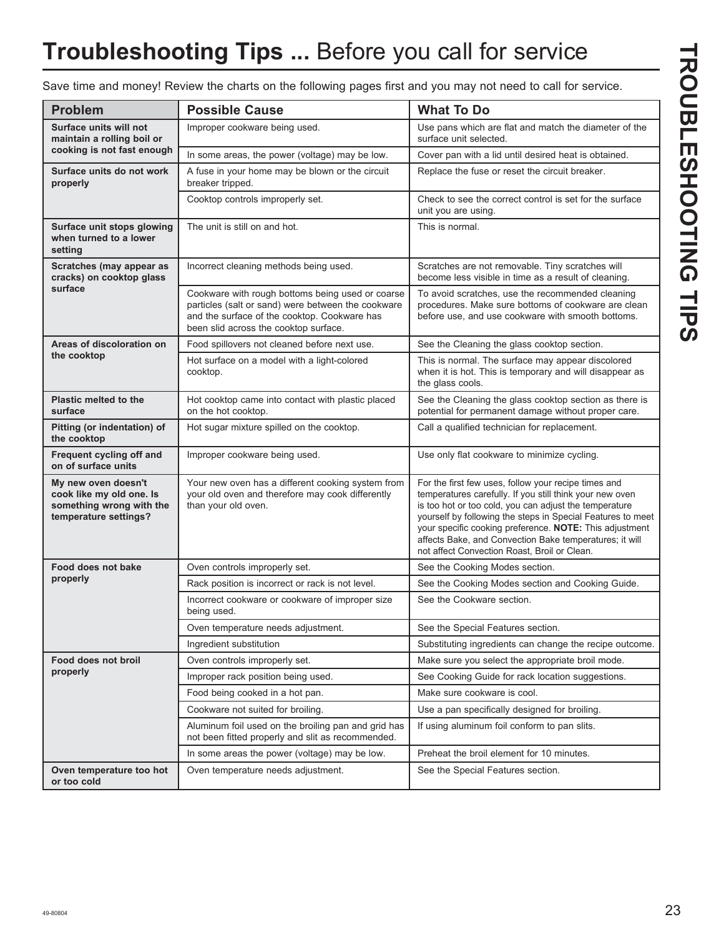# **Troubleshooting Tips ...** Before you call for service

Save time and money! Review the charts on the following pages first and you may not need to call for service.

| <b>Problem</b>                                                                                       | <b>Possible Cause</b>                                                                                                                                                                           | <b>What To Do</b>                                                                                                                                                                                                                                                                                                                                                                                               |
|------------------------------------------------------------------------------------------------------|-------------------------------------------------------------------------------------------------------------------------------------------------------------------------------------------------|-----------------------------------------------------------------------------------------------------------------------------------------------------------------------------------------------------------------------------------------------------------------------------------------------------------------------------------------------------------------------------------------------------------------|
| Surface units will not<br>maintain a rolling boil or                                                 | Improper cookware being used.                                                                                                                                                                   | Use pans which are flat and match the diameter of the<br>surface unit selected.                                                                                                                                                                                                                                                                                                                                 |
| cooking is not fast enough                                                                           | In some areas, the power (voltage) may be low.                                                                                                                                                  | Cover pan with a lid until desired heat is obtained.                                                                                                                                                                                                                                                                                                                                                            |
| Surface units do not work<br>properly                                                                | A fuse in your home may be blown or the circuit<br>breaker tripped.                                                                                                                             | Replace the fuse or reset the circuit breaker.                                                                                                                                                                                                                                                                                                                                                                  |
|                                                                                                      | Cooktop controls improperly set.                                                                                                                                                                | Check to see the correct control is set for the surface<br>unit you are using.                                                                                                                                                                                                                                                                                                                                  |
| Surface unit stops glowing<br>when turned to a lower<br>setting                                      | The unit is still on and hot.                                                                                                                                                                   | This is normal.                                                                                                                                                                                                                                                                                                                                                                                                 |
| Scratches (may appear as<br>cracks) on cooktop glass                                                 | Incorrect cleaning methods being used.                                                                                                                                                          | Scratches are not removable. Tiny scratches will<br>become less visible in time as a result of cleaning.                                                                                                                                                                                                                                                                                                        |
| surface                                                                                              | Cookware with rough bottoms being used or coarse<br>particles (salt or sand) were between the cookware<br>and the surface of the cooktop. Cookware has<br>been slid across the cooktop surface. | To avoid scratches, use the recommended cleaning<br>procedures. Make sure bottoms of cookware are clean<br>before use, and use cookware with smooth bottoms.                                                                                                                                                                                                                                                    |
| Areas of discoloration on                                                                            | Food spillovers not cleaned before next use.                                                                                                                                                    | See the Cleaning the glass cooktop section.                                                                                                                                                                                                                                                                                                                                                                     |
| the cooktop                                                                                          | Hot surface on a model with a light-colored<br>cooktop.                                                                                                                                         | This is normal. The surface may appear discolored<br>when it is hot. This is temporary and will disappear as<br>the glass cools.                                                                                                                                                                                                                                                                                |
| <b>Plastic melted to the</b><br>surface                                                              | Hot cooktop came into contact with plastic placed<br>on the hot cooktop.                                                                                                                        | See the Cleaning the glass cooktop section as there is<br>potential for permanent damage without proper care.                                                                                                                                                                                                                                                                                                   |
| Pitting (or indentation) of<br>the cooktop                                                           | Hot sugar mixture spilled on the cooktop.                                                                                                                                                       | Call a qualified technician for replacement.                                                                                                                                                                                                                                                                                                                                                                    |
| Frequent cycling off and<br>on of surface units                                                      | Improper cookware being used.                                                                                                                                                                   | Use only flat cookware to minimize cycling.                                                                                                                                                                                                                                                                                                                                                                     |
| My new oven doesn't<br>cook like my old one. Is<br>something wrong with the<br>temperature settings? | Your new oven has a different cooking system from<br>your old oven and therefore may cook differently<br>than your old oven.                                                                    | For the first few uses, follow your recipe times and<br>temperatures carefully. If you still think your new oven<br>is too hot or too cold, you can adjust the temperature<br>yourself by following the steps in Special Features to meet<br>your specific cooking preference. NOTE: This adjustment<br>affects Bake, and Convection Bake temperatures; it will<br>not affect Convection Roast, Broil or Clean. |
| Food does not bake                                                                                   | Oven controls improperly set.                                                                                                                                                                   | See the Cooking Modes section.                                                                                                                                                                                                                                                                                                                                                                                  |
| properly                                                                                             | Rack position is incorrect or rack is not level.                                                                                                                                                | See the Cooking Modes section and Cooking Guide.                                                                                                                                                                                                                                                                                                                                                                |
|                                                                                                      | Incorrect cookware or cookware of improper size<br>being used.                                                                                                                                  | See the Cookware section.                                                                                                                                                                                                                                                                                                                                                                                       |
|                                                                                                      | Oven temperature needs adjustment.                                                                                                                                                              | See the Special Features section.                                                                                                                                                                                                                                                                                                                                                                               |
|                                                                                                      | Ingredient substitution                                                                                                                                                                         | Substituting ingredients can change the recipe outcome.                                                                                                                                                                                                                                                                                                                                                         |
| Food does not broil                                                                                  | Oven controls improperly set.                                                                                                                                                                   | Make sure you select the appropriate broil mode.                                                                                                                                                                                                                                                                                                                                                                |
| properly                                                                                             | Improper rack position being used.                                                                                                                                                              | See Cooking Guide for rack location suggestions.                                                                                                                                                                                                                                                                                                                                                                |
|                                                                                                      | Food being cooked in a hot pan.                                                                                                                                                                 | Make sure cookware is cool.                                                                                                                                                                                                                                                                                                                                                                                     |
|                                                                                                      | Cookware not suited for broiling.                                                                                                                                                               | Use a pan specifically designed for broiling.                                                                                                                                                                                                                                                                                                                                                                   |
|                                                                                                      | Aluminum foil used on the broiling pan and grid has<br>not been fitted properly and slit as recommended.                                                                                        | If using aluminum foil conform to pan slits.                                                                                                                                                                                                                                                                                                                                                                    |
|                                                                                                      | In some areas the power (voltage) may be low.                                                                                                                                                   | Preheat the broil element for 10 minutes.                                                                                                                                                                                                                                                                                                                                                                       |
| Oven temperature too hot<br>or too cold                                                              | Oven temperature needs adjustment.                                                                                                                                                              | See the Special Features section.                                                                                                                                                                                                                                                                                                                                                                               |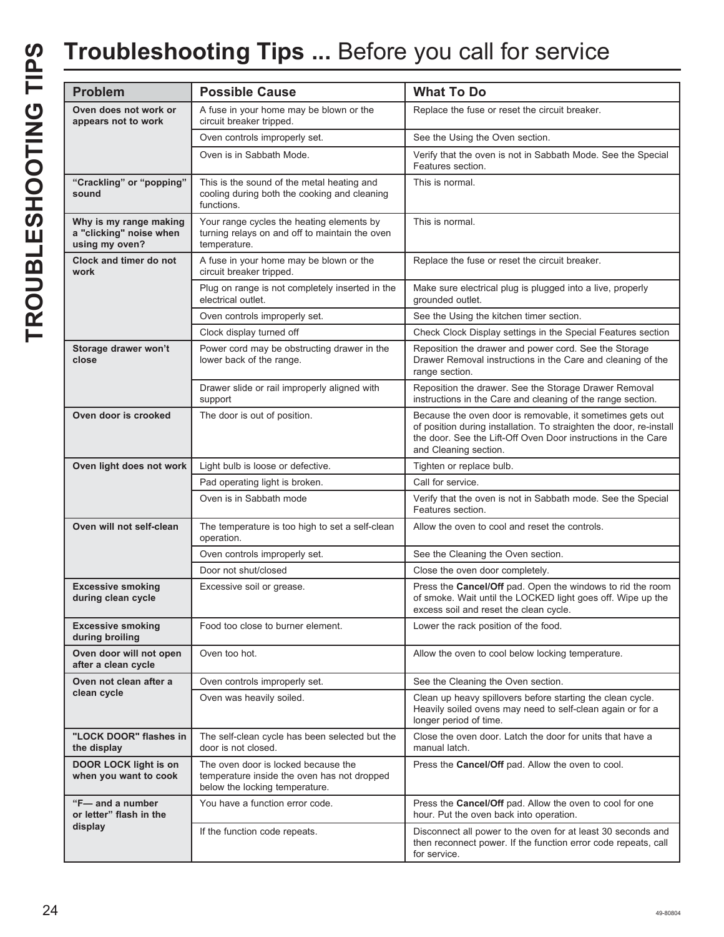## **Troubleshooting Tips ...** Before you call for service

| <b>Problem</b>                                                      | <b>Possible Cause</b>                                                                                                | <b>What To Do</b>                                                                                                                                                                                                          |
|---------------------------------------------------------------------|----------------------------------------------------------------------------------------------------------------------|----------------------------------------------------------------------------------------------------------------------------------------------------------------------------------------------------------------------------|
| Oven does not work or<br>appears not to work                        | A fuse in your home may be blown or the<br>circuit breaker tripped.                                                  | Replace the fuse or reset the circuit breaker.                                                                                                                                                                             |
|                                                                     | Oven controls improperly set.                                                                                        | See the Using the Oven section.                                                                                                                                                                                            |
|                                                                     | Oven is in Sabbath Mode.                                                                                             | Verify that the oven is not in Sabbath Mode. See the Special<br>Features section.                                                                                                                                          |
| "Crackling" or "popping"<br>sound                                   | This is the sound of the metal heating and<br>cooling during both the cooking and cleaning<br>functions.             | This is normal.                                                                                                                                                                                                            |
| Why is my range making<br>a "clicking" noise when<br>using my oven? | Your range cycles the heating elements by<br>turning relays on and off to maintain the oven<br>temperature.          | This is normal.                                                                                                                                                                                                            |
| Clock and timer do not<br>work                                      | A fuse in your home may be blown or the<br>circuit breaker tripped.                                                  | Replace the fuse or reset the circuit breaker.                                                                                                                                                                             |
|                                                                     | Plug on range is not completely inserted in the<br>electrical outlet.                                                | Make sure electrical plug is plugged into a live, properly<br>grounded outlet.                                                                                                                                             |
|                                                                     | Oven controls improperly set.                                                                                        | See the Using the kitchen timer section.                                                                                                                                                                                   |
|                                                                     | Clock display turned off                                                                                             | Check Clock Display settings in the Special Features section                                                                                                                                                               |
| Storage drawer won't<br>close                                       | Power cord may be obstructing drawer in the<br>lower back of the range.                                              | Reposition the drawer and power cord. See the Storage<br>Drawer Removal instructions in the Care and cleaning of the<br>range section.                                                                                     |
|                                                                     | Drawer slide or rail improperly aligned with<br>support                                                              | Reposition the drawer. See the Storage Drawer Removal<br>instructions in the Care and cleaning of the range section.                                                                                                       |
| Oven door is crooked                                                | The door is out of position.                                                                                         | Because the oven door is removable, it sometimes gets out<br>of position during installation. To straighten the door, re-install<br>the door. See the Lift-Off Oven Door instructions in the Care<br>and Cleaning section. |
| Oven light does not work                                            | Light bulb is loose or defective.                                                                                    | Tighten or replace bulb.                                                                                                                                                                                                   |
|                                                                     | Pad operating light is broken.                                                                                       | Call for service.                                                                                                                                                                                                          |
|                                                                     | Oven is in Sabbath mode                                                                                              | Verify that the oven is not in Sabbath mode. See the Special<br>Features section.                                                                                                                                          |
| Oven will not self-clean                                            | The temperature is too high to set a self-clean<br>operation.                                                        | Allow the oven to cool and reset the controls.                                                                                                                                                                             |
|                                                                     | Oven controls improperly set.                                                                                        | See the Cleaning the Oven section.                                                                                                                                                                                         |
|                                                                     | Door not shut/closed                                                                                                 | Close the oven door completely.                                                                                                                                                                                            |
| <b>Excessive smoking</b><br>during clean cycle                      | Excessive soil or grease.                                                                                            | Press the Cancel/Off pad. Open the windows to rid the room<br>of smoke. Wait until the LOCKED light goes off. Wipe up the<br>excess soil and reset the clean cycle.                                                        |
| <b>Excessive smoking</b><br>during broiling                         | Food too close to burner element.                                                                                    | Lower the rack position of the food.                                                                                                                                                                                       |
| Oven door will not open<br>after a clean cycle                      | Oven too hot.                                                                                                        | Allow the oven to cool below locking temperature.                                                                                                                                                                          |
| Oven not clean after a                                              | Oven controls improperly set.                                                                                        | See the Cleaning the Oven section.                                                                                                                                                                                         |
| clean cycle                                                         | Oven was heavily soiled.                                                                                             | Clean up heavy spillovers before starting the clean cycle.<br>Heavily soiled ovens may need to self-clean again or for a<br>longer period of time.                                                                         |
| "LOCK DOOR" flashes in<br>the display                               | The self-clean cycle has been selected but the<br>door is not closed.                                                | Close the oven door. Latch the door for units that have a<br>manual latch.                                                                                                                                                 |
| DOOR LOCK light is on<br>when you want to cook                      | The oven door is locked because the<br>temperature inside the oven has not dropped<br>below the locking temperature. | Press the Cancel/Off pad. Allow the oven to cool.                                                                                                                                                                          |
| "F- and a number<br>or letter" flash in the                         | You have a function error code.                                                                                      | Press the Cancel/Off pad. Allow the oven to cool for one<br>hour. Put the oven back into operation.                                                                                                                        |
| display                                                             | If the function code repeats.                                                                                        | Disconnect all power to the oven for at least 30 seconds and<br>then reconnect power. If the function error code repeats, call<br>for service.                                                                             |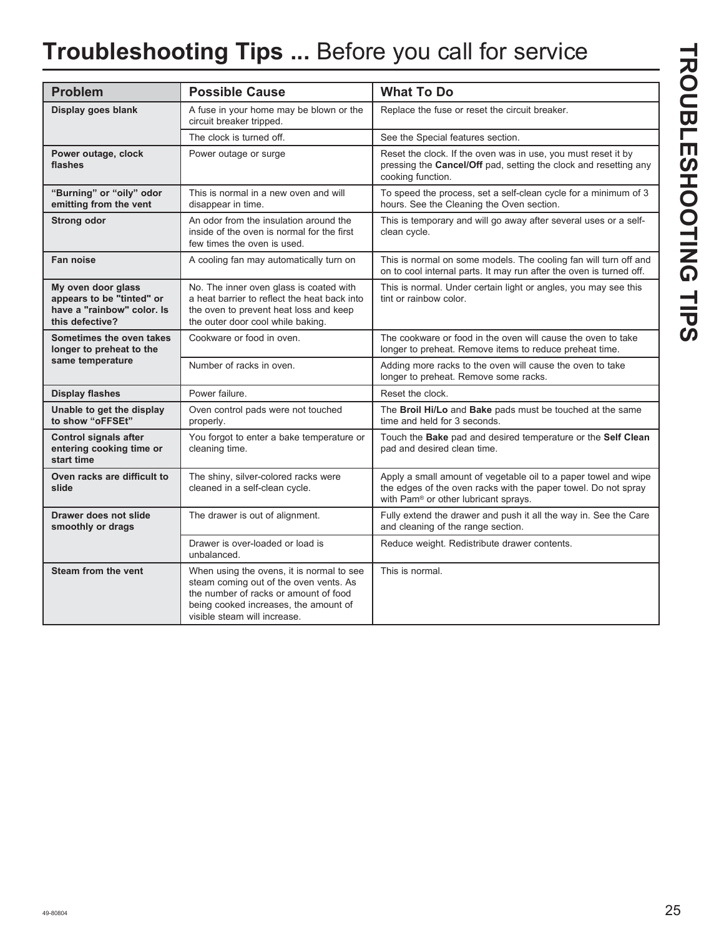# **Troubleshooting Tips ...** Before you call for service

| <b>Problem</b>                                                                                   | <b>Possible Cause</b>                                                                                                                                                                                 | <b>What To Do</b>                                                                                                                                                                     |
|--------------------------------------------------------------------------------------------------|-------------------------------------------------------------------------------------------------------------------------------------------------------------------------------------------------------|---------------------------------------------------------------------------------------------------------------------------------------------------------------------------------------|
| Display goes blank                                                                               | A fuse in your home may be blown or the<br>circuit breaker tripped.                                                                                                                                   | Replace the fuse or reset the circuit breaker.                                                                                                                                        |
|                                                                                                  | The clock is turned off.                                                                                                                                                                              | See the Special features section.                                                                                                                                                     |
| Power outage, clock<br>flashes                                                                   | Power outage or surge                                                                                                                                                                                 | Reset the clock. If the oven was in use, you must reset it by<br>pressing the Cancel/Off pad, setting the clock and resetting any<br>cooking function.                                |
| "Burning" or "oily" odor<br>emitting from the vent                                               | This is normal in a new oven and will<br>disappear in time.                                                                                                                                           | To speed the process, set a self-clean cycle for a minimum of 3<br>hours. See the Cleaning the Oven section.                                                                          |
| <b>Strong odor</b>                                                                               | An odor from the insulation around the<br>inside of the oven is normal for the first<br>few times the oven is used.                                                                                   | This is temporary and will go away after several uses or a self-<br>clean cycle.                                                                                                      |
| Fan noise                                                                                        | A cooling fan may automatically turn on                                                                                                                                                               | This is normal on some models. The cooling fan will turn off and<br>on to cool internal parts. It may run after the oven is turned off.                                               |
| My oven door glass<br>appears to be "tinted" or<br>have a "rainbow" color. Is<br>this defective? | No. The inner oven glass is coated with<br>a heat barrier to reflect the heat back into<br>the oven to prevent heat loss and keep<br>the outer door cool while baking.                                | This is normal. Under certain light or angles, you may see this<br>tint or rainbow color.                                                                                             |
| Sometimes the oven takes<br>longer to preheat to the                                             | Cookware or food in oven.                                                                                                                                                                             | The cookware or food in the oven will cause the oven to take<br>longer to preheat. Remove items to reduce preheat time.                                                               |
| same temperature                                                                                 | Number of racks in oven.                                                                                                                                                                              | Adding more racks to the oven will cause the oven to take<br>longer to preheat. Remove some racks.                                                                                    |
| <b>Display flashes</b>                                                                           | Power failure.                                                                                                                                                                                        | Reset the clock.                                                                                                                                                                      |
| Unable to get the display<br>to show "oFFSEt"                                                    | Oven control pads were not touched<br>properly.                                                                                                                                                       | The Broil Hi/Lo and Bake pads must be touched at the same<br>time and held for 3 seconds.                                                                                             |
| <b>Control signals after</b><br>entering cooking time or<br>start time                           | You forgot to enter a bake temperature or<br>cleaning time.                                                                                                                                           | Touch the Bake pad and desired temperature or the Self Clean<br>pad and desired clean time.                                                                                           |
| Oven racks are difficult to<br>slide                                                             | The shiny, silver-colored racks were<br>cleaned in a self-clean cycle.                                                                                                                                | Apply a small amount of vegetable oil to a paper towel and wipe<br>the edges of the oven racks with the paper towel. Do not spray<br>with Pam <sup>®</sup> or other lubricant sprays. |
| Drawer does not slide<br>smoothly or drags                                                       | The drawer is out of alignment.                                                                                                                                                                       | Fully extend the drawer and push it all the way in. See the Care<br>and cleaning of the range section.                                                                                |
|                                                                                                  | Drawer is over-loaded or load is<br>unbalanced.                                                                                                                                                       | Reduce weight. Redistribute drawer contents.                                                                                                                                          |
| <b>Steam from the vent</b>                                                                       | When using the ovens, it is normal to see<br>steam coming out of the oven vents. As<br>the number of racks or amount of food<br>being cooked increases, the amount of<br>visible steam will increase. | This is normal.                                                                                                                                                                       |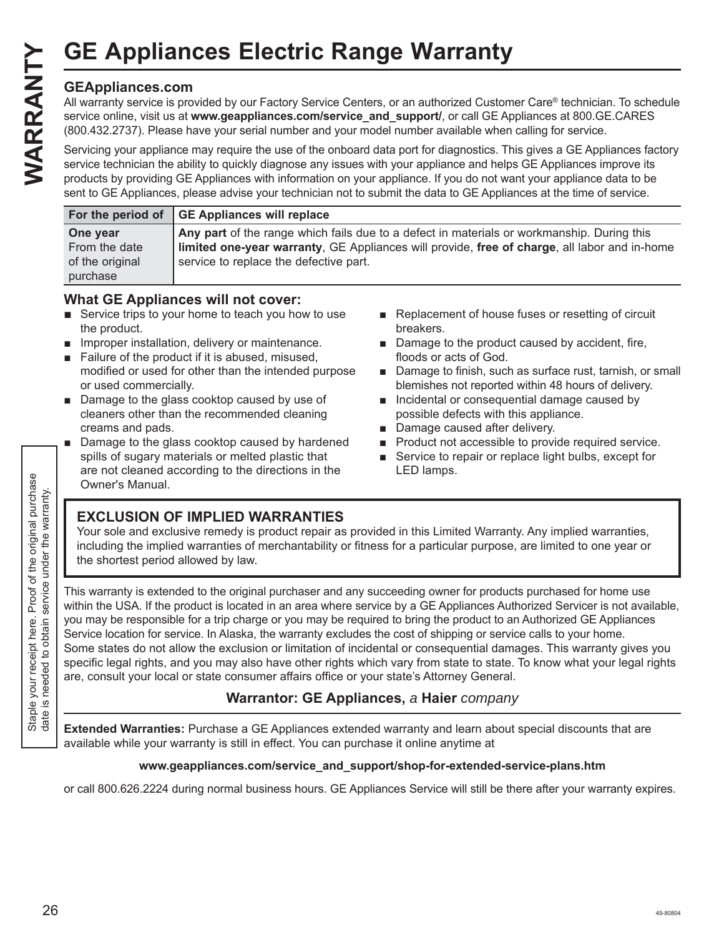## **GEAppliances.com**

All warranty service is provided by our Factory Service Centers, or an authorized Customer Care® technician. To schedule service online, visit us at **www.geappliances.com/service\_and\_support/**, or call GE Appliances at 800.GE.CARES (800.432.2737). Please have your serial number and your model number available when calling for service.

Servicing your appliance may require the use of the onboard data port for diagnostics. This gives a GE Appliances factory service technician the ability to quickly diagnose any issues with your appliance and helps GE Appliances improve its products by providing GE Appliances with information on your appliance. If you do not want your appliance data to be sent to GE Appliances, please advise your technician not to submit the data to GE Appliances at the time of service.

|                 | For the period of GE Appliances will replace                                                 |
|-----------------|----------------------------------------------------------------------------------------------|
| One year        | Any part of the range which fails due to a defect in materials or workmanship. During this   |
| From the date   | limited one-year warranty, GE Appliances will provide, free of charge, all labor and in-home |
| of the original | service to replace the defective part.                                                       |
| purchase        |                                                                                              |

## **What GE Appliances will not cover:**

- $\blacksquare$  Service trips to your home to teach you how to use the product.
- Improper installation, delivery or maintenance.
- Failure of the product if it is abused, misused, modified or used for other than the intended purpose or used commercially.
- Damage to the glass cooktop caused by use of cleaners other than the recommended cleaning creams and pads.
- Damage to the glass cooktop caused by hardened spills of sugary materials or melted plastic that are not cleaned according to the directions in the Owner's Manual.
- Replacement of house fuses or resetting of circuit breakers.
- $\blacksquare$  Damage to the product caused by accident, fire, floods or acts of God.
- Damage to finish, such as surface rust, tarnish, or small blemishes not reported within 48 hours of delivery.
- **n** Incidental or consequential damage caused by possible defects with this appliance.
- Damage caused after delivery.
- **Product not accessible to provide required service.**
- Service to repair or replace light bulbs, except for LED lamps.

## **EXCLUSION OF IMPLIED WARRANTIES**

Your sole and exclusive remedy is product repair as provided in this Limited Warranty. Any implied warranties, including the implied warranties of merchantability or fitness for a particular purpose, are limited to one year or the shortest period allowed by law.

This warranty is extended to the original purchaser and any succeeding owner for products purchased for home use within the USA. If the product is located in an area where service by a GE Appliances Authorized Servicer is not available, you may be responsible for a trip charge or you may be required to bring the product to an Authorized GE Appliances Service location for service. In Alaska, the warranty excludes the cost of shipping or service calls to your home. Some states do not allow the exclusion or limitation of incidental or consequential damages. This warranty gives you specific legal rights, and you may also have other rights which vary from state to state. To know what your legal rights are, consult your local or state consumer affairs office or your state's Attorney General. GE Appliances Electric Range Warranty<br>
CEAppliances.com<br>
(600-412.2737). Please have you related Service Centers, or an authorized Custom<br>
(600-412.2737). Please have you related monoton the war of the chromaton will be we

## **Warrantor: GE Appliances,** *a* **Haier** *company*

**Extended Warranties:** Purchase a GE Appliances extended warranty and learn about special discounts that are available while your warranty is still in effect. You can purchase it online anytime at

## **www.geappliances.com/service\_and\_support/shop-for-extended-service-plans.htm**

or call 800.626.2224 during normal business hours. GE Appliances Service will still be there after your warranty expires.

Staple your receipt here. Proof of the original purchase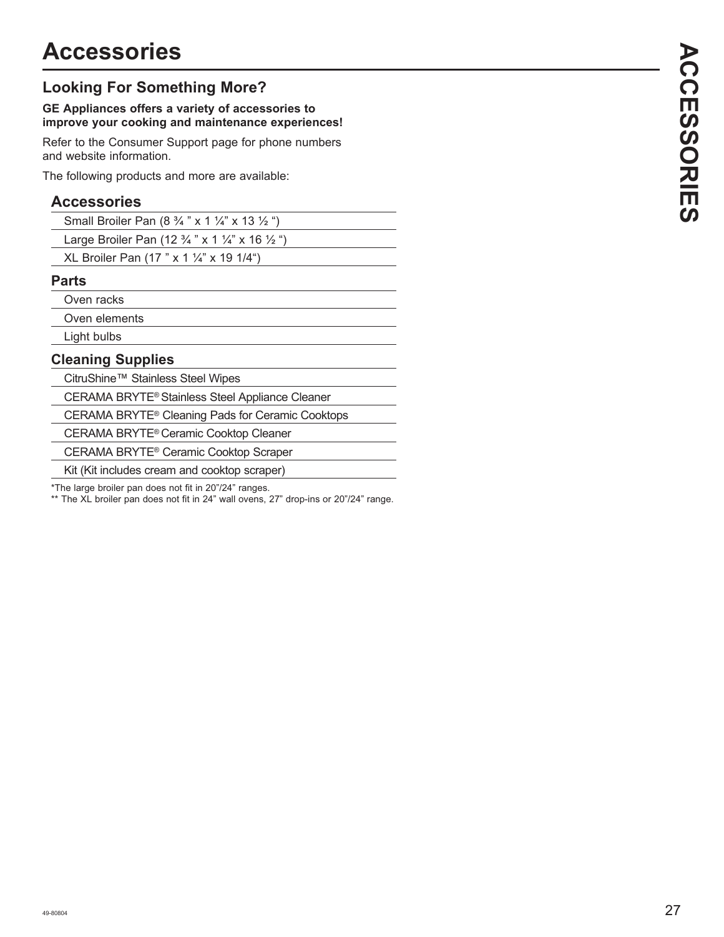## **Looking For Something More?**

#### **GE Appliances offers a variety of accessories to improve your cooking and maintenance experiences!**

Refer to the Consumer Support page for phone numbers and website information.

The following products and more are available:

## **Accessories**

| <b>Parts</b>                                                                    |  |
|---------------------------------------------------------------------------------|--|
| XL Broiler Pan $(17 " x 1 \frac{1}{4"} x 19 1/4")$                              |  |
| Large Broiler Pan (12 $\frac{3}{4}$ " x 1 $\frac{1}{4}$ " x 16 $\frac{1}{2}$ ") |  |
| Small Broiler Pan $(8\frac{3}{4}$ " x 1 $\frac{1}{4}$ " x 13 $\frac{1}{2}$ ")   |  |

Oven racks

Oven elements

Light bulbs

## **Cleaning Supplies**

CitruShine™ Stainless Steel Wipes

CERAMA BRYTE® Stainless Steel Appliance Cleaner

CERAMA BRYTE® Cleaning Pads for Ceramic Cooktops

CERAMA BRYTE® Ceramic Cooktop Cleaner

CERAMA BRYTE® Ceramic Cooktop Scraper

Kit (Kit includes cream and cooktop scraper)

\*The large broiler pan does not fit in 20"/24" ranges.

\*\* The XL broiler pan does not fit in 24" wall ovens, 27" drop-ins or 20"/24" range.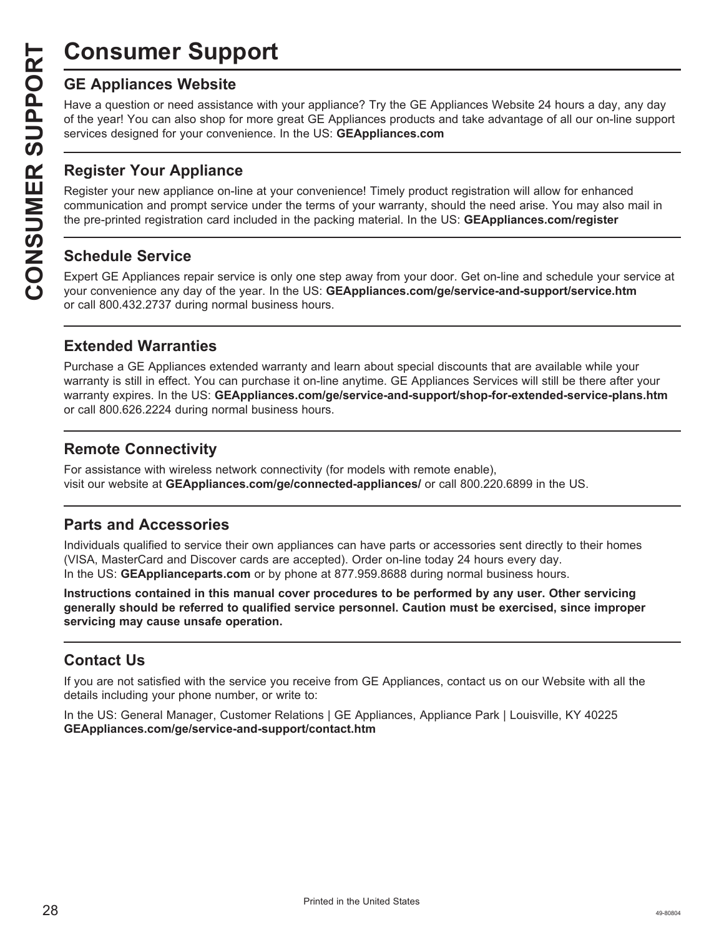# **Consumer Support**

Have a question or need assistance with your appliance? Try the GE Appliances Website 24 hours a day, any day of the year! You can also shop for more great GE Appliances products and take advantage of all our on-line support services designed for your convenience. In the US: **GEAppliances.com** 

## **Register Your Appliance**

**CONSUMER SUP**<br> **GE Appliances Website**<br>
Have a question or need assistant of the year! You can also shop for<br>
services designed for your conver<br> **CONSUMER PEAPLE APPLIANCE CONSUMER PREPAREM**<br> **Register Your Appliance on-1** Register your new appliance on-line at your convenience! Timely product registration will allow for enhanced communication and prompt service under the terms of your warranty, should the need arise. You may also mail in the pre-printed registration card included in the packing material. In the US: **GEAppliances.com/register** 

## **Schedule Service**

Expert GE Appliances repair service is only one step away from your door. Get on-line and schedule your service at your convenience any day of the year. In the US: **GEAppliances.com/ge/service-and-support/service.htm** or call 800.432.2737 during normal business hours.

## **Extended Warranties**

Purchase a GE Appliances extended warranty and learn about special discounts that are available while your warranty is still in effect. You can purchase it on-line anytime. GE Appliances Services will still be there after your warranty expires. In the US: GEAppliances.com/ge/service-and-support/shop-for-extended-service-plans.htm or call 800.626.2224 during normal business hours.

## **Remote Connectivity**

For assistance with wireless network connectivity (for models with remote enable), visit our website at **GEAppliances.com/ge/connected-appliances/** or call 800.220.6899 in the US.

## **Parts and Accessories**

Individuals qualified to service their own appliances can have parts or accessories sent directly to their homes (VISA, MasterCard and Discover cards are accepted). Order on-line today 24 hours every day. In the US: **GEApplianceparts.com** or by phone at 877.959.8688 during normal business hours.

**Instructions contained in this manual cover procedures to be performed by any user. Other servicing generally should be referred to qualified service personnel. Caution must be exercised, since improper servicing may cause unsafe operation.**

## **Contact Us**

If you are not satisfied with the service you receive from GE Appliances, contact us on our Website with all the details including your phone number, or write to:

In the US: General Manager, Customer Relations | GE Appliances, Appliance Park | Louisville, KY 40225 **GEAppliances.com/ge/service-and-support/contact.htm**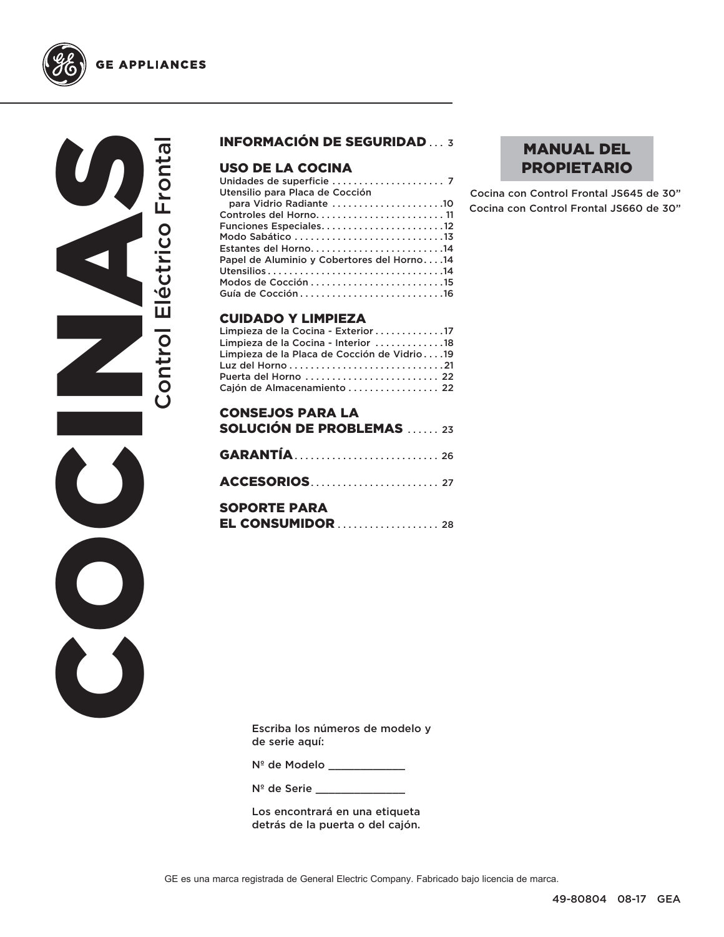



 $\bullet$ 

 $\breve{\mathbf{C}}$ 

### INFORMACIÓN DE SEGURIDAD ... 3

#### USO DE LA COCINA

| Utensilio para Placa de Cocción            |  |
|--------------------------------------------|--|
| para Vidrio Radiante 10                    |  |
| Controles del Horno 11                     |  |
| Funciones Especiales12                     |  |
|                                            |  |
| Estantes del Horno14                       |  |
| Papel de Aluminio y Cobertores del Horno14 |  |
|                                            |  |
|                                            |  |
|                                            |  |
|                                            |  |

#### CUIDADO Y LIMPIEZA

| Limpieza de la Cocina - Exterior 17         |  |
|---------------------------------------------|--|
| Limpieza de la Cocina - Interior 18         |  |
| Limpieza de la Placa de Cocción de Vidrio19 |  |
|                                             |  |
| Puerta del Horno  22                        |  |
| Cajón de Almacenamiento  22                 |  |

| <b>CONSEJOS PARA LA</b><br><b>SOLUCIÓN DE PROBLEMAS</b> 23 |  |
|------------------------------------------------------------|--|
|                                                            |  |
| <b>ACCESORIOS</b>                                          |  |
| <b>SOPORTE PARA</b>                                        |  |

## MANUAL DEL PROPIETARIO

Cocina con Control Frontal JS645 de 30" Cocina con Control Frontal JS660 de 30"

Escriba los números de modelo y de serie aquí:

Nº de Modelo \_\_\_\_\_\_\_\_\_\_\_\_

N<sup>º</sup> de Serie \_\_\_\_\_\_\_

Los encontrará en una etiqueta detrás de la puerta o del cajón.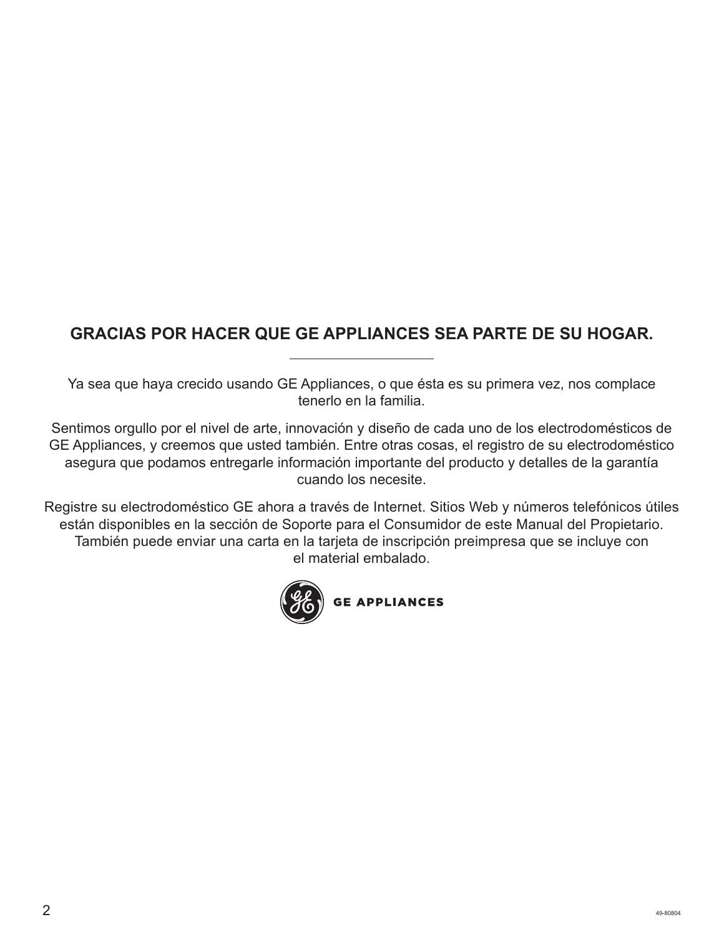## **GRACIAS POR HACER QUE GE APPLIANCES SEA PARTE DE SU HOGAR.**

Ya sea que haya crecido usando GE Appliances, o que ésta es su primera vez, nos complace tenerlo en la familia.

Sentimos orgullo por el nivel de arte, innovación y diseño de cada uno de los electrodomésticos de GE Appliances, y creemos que usted también. Entre otras cosas, el registro de su electrodoméstico asegura que podamos entregarle información importante del producto y detalles de la garantía cuando los necesite.

Registre su electrodoméstico GE ahora a través de Internet. Sitios Web y números telefónicos útiles están disponibles en la sección de Soporte para el Consumidor de este Manual del Propietario. También puede enviar una carta en la tarjeta de inscripción preimpresa que se incluye con el material embalado.

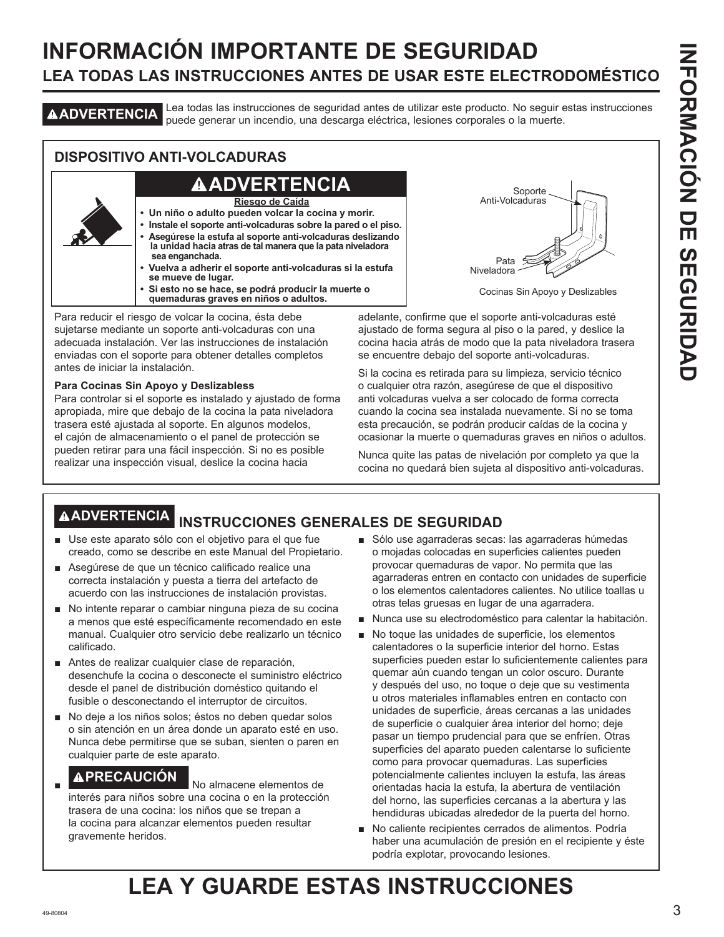## **INFORMACIÓN IMPORTANTE DE SEGURIDAD LEA TODAS LAS INSTRUCCIONES ANTES DE USAR ESTE ELECTRODOMÉSTICO**

**ADVERTENCIA** Lea todas las instrucciones de seguridad antes de utilizar este producto. No seguir estas instrucciones puede generar un incendio, una descarga eléctrica, lesiones corporales o la muerte.

## **DISPOSITIVO ANTI-VOLCADURAS**

## **ADVERTENCIA**

**Riesgo de Caída**

- **Un niño o adulto pueden volcar la cocina y morir.**
- **Instale el soporte anti-volcaduras sobre la pared o el piso. • Asegúrese la estufa al soporte anti-volcaduras deslizando la unidad hacia atras de tal manera que la pata niveladora sea enganchada.**
- **Vuelva a adherir el soporte anti-volcaduras si la estufa se mueve de lugar.**
- **Si esto no se hace, se podrá producir la muerte o quemaduras graves en niños o adultos.**

Para reducir el riesgo de volcar la cocina, ésta debe sujetarse mediante un soporte anti-volcaduras con una adecuada instalación. Ver las instrucciones de instalación enviadas con el soporte para obtener detalles completos antes de iniciar la instalación.

#### **Para Cocinas Sin Apoyo y Deslizabless**

Para controlar si el soporte es instalado y ajustado de forma apropiada, mire que debajo de la cocina la pata niveladora trasera esté ajustada al soporte. En algunos modelos, el cajón de almacenamiento o el panel de protección se pueden retirar para una fácil inspección. Si no es posible realizar una inspección visual, deslice la cocina hacia



Cocinas Sin Apoyo y Deslizables

adelante, confirme que el soporte anti-volcaduras esté ajustado de forma segura al piso o la pared, y deslice la cocina hacia atrás de modo que la pata niveladora trasera se encuentre debajo del soporte anti-volcaduras.

Si la cocina es retirada para su limpieza, servicio técnico o cualquier otra razón, asegúrese de que el dispositivo anti volcaduras vuelva a ser colocado de forma correcta cuando la cocina sea instalada nuevamente. Si no se toma esta precaución, se podrán producir caídas de la cocina y ocasionar la muerte o quemaduras graves en niños o adultos.

Nunca quite las patas de nivelación por completo ya que la cocina no quedará bien sujeta al dispositivo anti-volcaduras.

## **ADVERTENCIA INSTRUCCIONES GENERALES DE SEGURIDAD**

- Use este aparato sólo con el objetivo para el que fue creado, como se describe en este Manual del Propietario.
- Asegúrese de que un técnico calificado realice una correcta instalación y puesta a tierra del artefacto de acuerdo con las instrucciones de instalación provistas.
- No intente reparar o cambiar ninguna pieza de su cocina a menos que esté específicamente recomendado en este manual. Cualquier otro servicio debe realizarlo un técnico calificado.
- Antes de realizar cualquier clase de reparación, desenchufe la cocina o desconecte el suministro eléctrico desde el panel de distribución doméstico quitando el fusible o desconectando el interruptor de circuitos.
- No deje a los niños solos; éstos no deben quedar solos o sin atención en un área donde un aparato esté en uso. Nunca debe permitirse que se suban, sienten o paren en cualquier parte de este aparato.

## **APRECAUCIÓN** No almacene elementos de

interés para niños sobre una cocina o en la protección trasera de una cocina: los niños que se trepan a la cocina para alcanzar elementos pueden resultar gravemente heridos.

- Sólo use agarraderas secas: las agarraderas húmedas o mojadas colocadas en superficies calientes pueden provocar quemaduras de vapor. No permita que las agarraderas entren en contacto con unidades de superficie o los elementos calentadores calientes. No utilice toallas u otras telas gruesas en lugar de una agarradera.
- Nunca use su electrodoméstico para calentar la habitación.
- No toque las unidades de superficie, los elementos calentadores o la superficie interior del horno. Estas superficies pueden estar lo suficientemente calientes para quemar aún cuando tengan un color oscuro. Durante y después del uso, no toque o deje que su vestimenta u otros materiales inflamables entren en contacto con unidades de superficie, áreas cercanas a las unidades de superficie o cualquier área interior del horno; deje pasar un tiempo prudencial para que se enfríen. Otras superficies del aparato pueden calentarse lo suficiente como para provocar quemaduras. Las superficies potencialmente calientes incluyen la estufa, las áreas orientadas hacia la estufa, la abertura de ventilación del horno, las superficies cercanas a la abertura y las hendiduras ubicadas alrededor de la puerta del horno.
- No caliente recipientes cerrados de alimentos. Podría haber una acumulación de presión en el recipiente y éste podría explotar, provocando lesiones.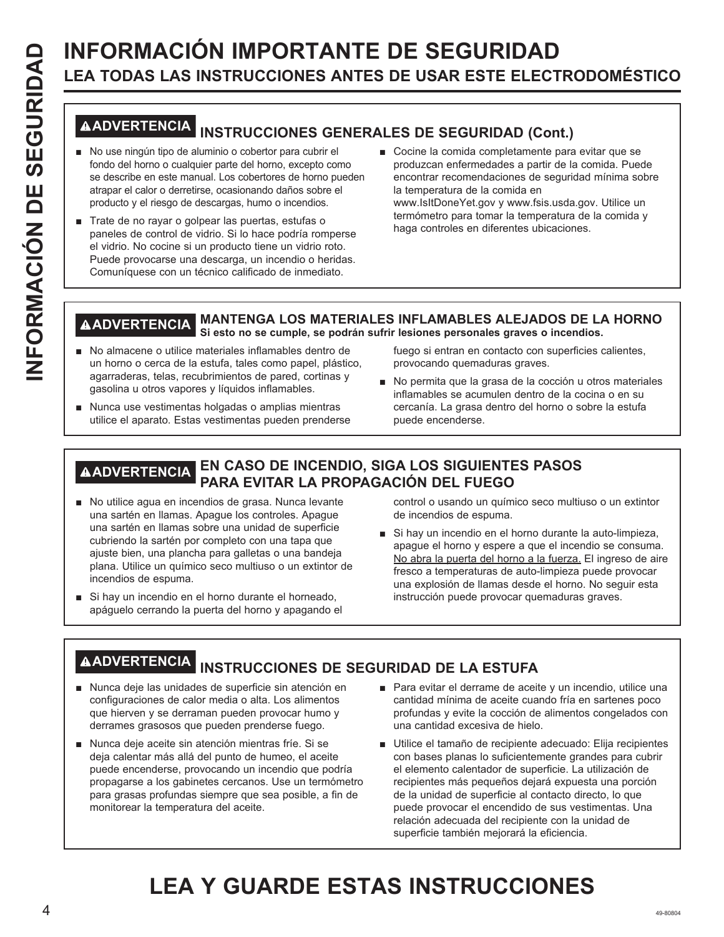# **INFORMACIÓN IMPORTANTE DE SEGURIDAD**<br> **INFORMACIÓN IMPORTANTE DE SEGURIDAD**<br> **INFORMACIÓN INSTRUCCIONES GENERALES DE SEGURIDAD (CON CONTENTE DE SEGURIDAD (CONTENTE DE SEGURIDAD INTERFERIGATE DE SEGURIDAD (CONTENTE DE SEGU LEA TODAS LAS INSTRUCCIONES ANTES DE USAR ESTE ELECTRODOMÉSTICO**

## **ADVERTENCIA INSTRUCCIONES GENERALES DE SEGURIDAD (Cont.)**

- No use ningún tipo de aluminio o cobertor para cubrir el fondo del horno o cualquier parte del horno, excepto como se describe en este manual. Los cobertores de horno pueden atrapar el calor o derretirse, ocasionando daños sobre el producto y el riesgo de descargas, humo o incendios.
- Trate de no rayar o golpear las puertas, estufas o paneles de control de vidrio. Si lo hace podría romperse el vidrio. No cocine si un producto tiene un vidrio roto. Puede provocarse una descarga, un incendio o heridas. Comuníquese con un técnico calificado de inmediato.
- Cocine la comida completamente para evitar que se produzcan enfermedades a partir de la comida. Puede encontrar recomendaciones de seguridad mínima sobre la temperatura de la comida en www.IsItDoneYet.gov y www.fsis.usda.gov. Utilice un termómetro para tomar la temperatura de la comida y haga controles en diferentes ubicaciones.

#### **ADVERTENCIA MANTENGA LOS MATERIALES INFLAMABLES ALEJADOS DE LA HORNO Si esto no se cumple, se podrán sufrir lesiones personales graves o incendios.**

- No almacene o utilice materiales inflamables dentro de un horno o cerca de la estufa, tales como papel, plástico, agarraderas, telas, recubrimientos de pared, cortinas y gasolina u otros vapores y líquidos inflamables.
- Nunca use vestimentas holgadas o amplias mientras utilice el aparato. Estas vestimentas pueden prenderse

fuego si entran en contacto con superficies calientes, provocando quemaduras graves.

No permita que la grasa de la cocción u otros materiales inflamables se acumulen dentro de la cocina o en su cercanía. La grasa dentro del horno o sobre la estufa puede encenderse.

## **ADVERTENCIA EN CASO DE INCENDIO, SIGA LOS SIGUIENTES PASOS PARA EVITAR LA PROPAGACIÓN DEL FUEGO**

- No utilice agua en incendios de grasa. Nunca levante una sartén en llamas. Apague los controles. Apague una sartén en llamas sobre una unidad de superficie cubriendo la sartén por completo con una tapa que ajuste bien, una plancha para galletas o una bandeja plana. Utilice un químico seco multiuso o un extintor de incendios de espuma.
- Si hay un incendio en el horno durante el horneado, apáguelo cerrando la puerta del horno y apagando el

control o usando un químico seco multiuso o un extintor de incendios de espuma.

Si hay un incendio en el horno durante la auto-limpieza, apague el horno y espere a que el incendio se consuma. No abra la puerta del horno a la fuerza. El ingreso de aire fresco a temperaturas de auto-limpieza puede provocar una explosión de llamas desde el horno. No seguir esta instrucción puede provocar quemaduras graves.

## **ADVERTENCIA INSTRUCCIONES DE SEGURIDAD DE LA ESTUFA**

- Nunca deje las unidades de superficie sin atención en configuraciones de calor media o alta. Los alimentos que hierven y se derraman pueden provocar humo y derrames grasosos que pueden prenderse fuego.
- Nunca deje aceite sin atención mientras fríe. Si se deja calentar más allá del punto de humeo, el aceite puede encenderse, provocando un incendio que podría propagarse a los gabinetes cercanos. Use un termómetro para grasas profundas siempre que sea posible, a fin de monitorear la temperatura del aceite.
- **Para evitar el derrame de aceite y un incendio, utilice una** cantidad mínima de aceite cuando fría en sartenes poco profundas y evite la cocción de alimentos congelados con una cantidad excesiva de hielo.
- Utilice el tamaño de recipiente adecuado: Elija recipientes con bases planas lo suficientemente grandes para cubrir el elemento calentador de superficie. La utilización de recipientes más pequeños dejará expuesta una porción de la unidad de superficie al contacto directo, lo que puede provocar el encendido de sus vestimentas. Una relación adecuada del recipiente con la unidad de superficie también mejorará la eficiencia.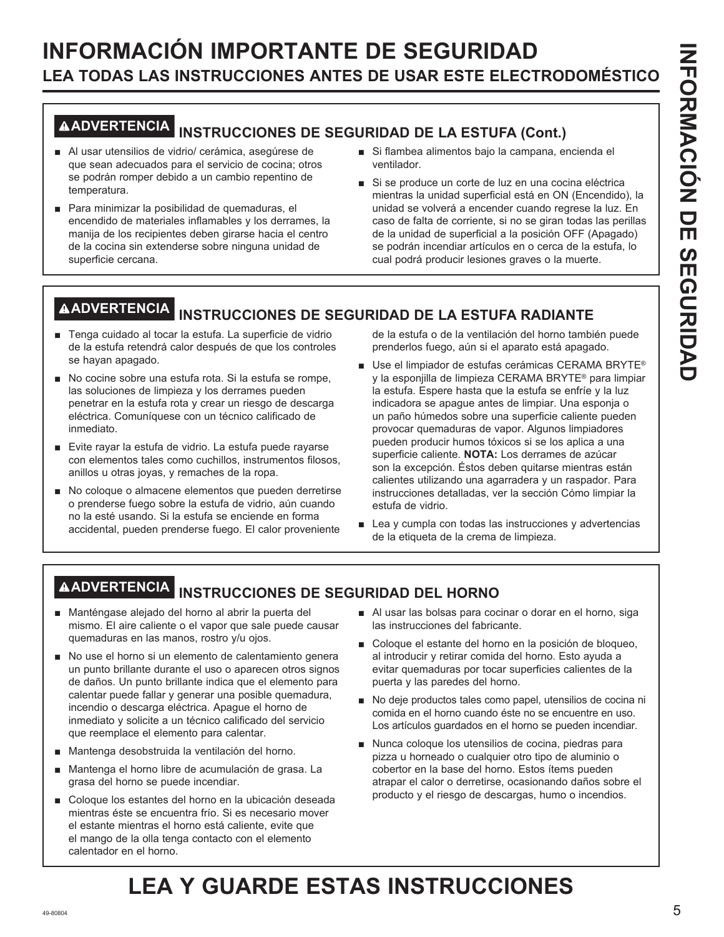## **INFORMACIÓN IMPORTANTE DE SEGURIDAD LEA TODAS LAS INSTRUCCIONES ANTES DE USAR ESTE ELECTRODOMÉSTICO**

# **ADVERTENCIA INSTRUCCIONES DE SEGURIDAD DE LA ESTUFA (Cont.)**

- Al usar utensilios de vidrio/ cerámica, asegúrese de que sean adecuados para el servicio de cocina; otros se podrán romper debido a un cambio repentino de temperatura.
- Para minimizar la posibilidad de quemaduras, el encendido de materiales inflamables y los derrames, la manija de los recipientes deben girarse hacia el centro de la cocina sin extenderse sobre ninguna unidad de superficie cercana.
- Si flambea alimentos bajo la campana, encienda el ventilador.
- Si se produce un corte de luz en una cocina eléctrica mientras la unidad superficial está en ON (Encendido), la unidad se volverá a encender cuando regrese la luz. En caso de falta de corriente, si no se giran todas las perillas de la unidad de superficial a la posición OFF (Apagado) se podrán incendiar artículos en o cerca de la estufa, lo cual podrá producir lesiones graves o la muerte.

# **ADVERTENCIA INSTRUCCIONES DE SEGURIDAD DE LA ESTUFA RADIANTE**

- F Tenga cuidado al tocar la estufa. La superficie de vidrio de la estufa retendrá calor después de que los controles se hayan apagado.
- No cocine sobre una estufa rota. Si la estufa se rompe, las soluciones de limpieza y los derrames pueden penetrar en la estufa rota y crear un riesgo de descarga eléctrica. Comuníquese con un técnico calificado de inmediato.
- Evite rayar la estufa de vidrio. La estufa puede rayarse con elementos tales como cuchillos, instrumentos filosos, anillos u otras joyas, y remaches de la ropa.
- No coloque o almacene elementos que pueden derretirse o prenderse fuego sobre la estufa de vidrio, aún cuando no la esté usando. Si la estufa se enciende en forma accidental, pueden prenderse fuego. El calor proveniente

de la estufa o de la ventilación del horno también puede prenderlos fuego, aún si el aparato está apagado.

- Use el limpiador de estufas cerámicas CERAMA BRYTE® y la esponjilla de limpieza CERAMA BRYTE<sup>®</sup> para limpiar la estufa. Espere hasta que la estufa se enfríe y la luz indicadora se apague antes de limpiar. Una esponja o un paño húmedos sobre una superficie caliente pueden provocar quemaduras de vapor. Algunos limpiadores pueden producir humos tóxicos si se los aplica a una superficie caliente. **NOTA:** Los derrames de azúcar son la excepción. Éstos deben quitarse mientras están calientes utilizando una agarradera y un raspador. Para instrucciones detalladas, ver la sección Cómo limpiar la estufa de vidrio.
- $\blacksquare$  Lea y cumpla con todas las instrucciones y advertencias de la etiqueta de la crema de limpieza.

## **ADVERTENCIA INSTRUCCIONES DE SEGURIDAD DEL HORNO**

- Manténgase alejado del horno al abrir la puerta del mismo. El aire caliente o el vapor que sale puede causar quemaduras en las manos, rostro y/u ojos.
- No use el horno si un elemento de calentamiento genera un punto brillante durante el uso o aparecen otros signos de daños. Un punto brillante indica que el elemento para calentar puede fallar y generar una posible quemadura, incendio o descarga eléctrica. Apague el horno de inmediato y solicite a un técnico calificado del servicio que reemplace el elemento para calentar.
- Mantenga desobstruida la ventilación del horno.
- Mantenga el horno libre de acumulación de grasa. La grasa del horno se puede incendiar.
- Coloque los estantes del horno en la ubicación deseada mientras éste se encuentra frío. Si es necesario mover el estante mientras el horno está caliente, evite que el mango de la olla tenga contacto con el elemento calentador en el horno.
- Al usar las bolsas para cocinar o dorar en el horno, siga las instrucciones del fabricante.
- Coloque el estante del horno en la posición de bloqueo, al introducir y retirar comida del horno. Esto ayuda a evitar quemaduras por tocar superficies calientes de la puerta y las paredes del horno.
- No deje productos tales como papel, utensilios de cocina ni comida en el horno cuando éste no se encuentre en uso. Los artículos guardados en el horno se pueden incendiar.
- Nunca coloque los utensilios de cocina, piedras para pizza u horneado o cualquier otro tipo de aluminio o cobertor en la base del horno. Estos ítems pueden atrapar el calor o derretirse, ocasionando daños sobre el producto y el riesgo de descargas, humo o incendios.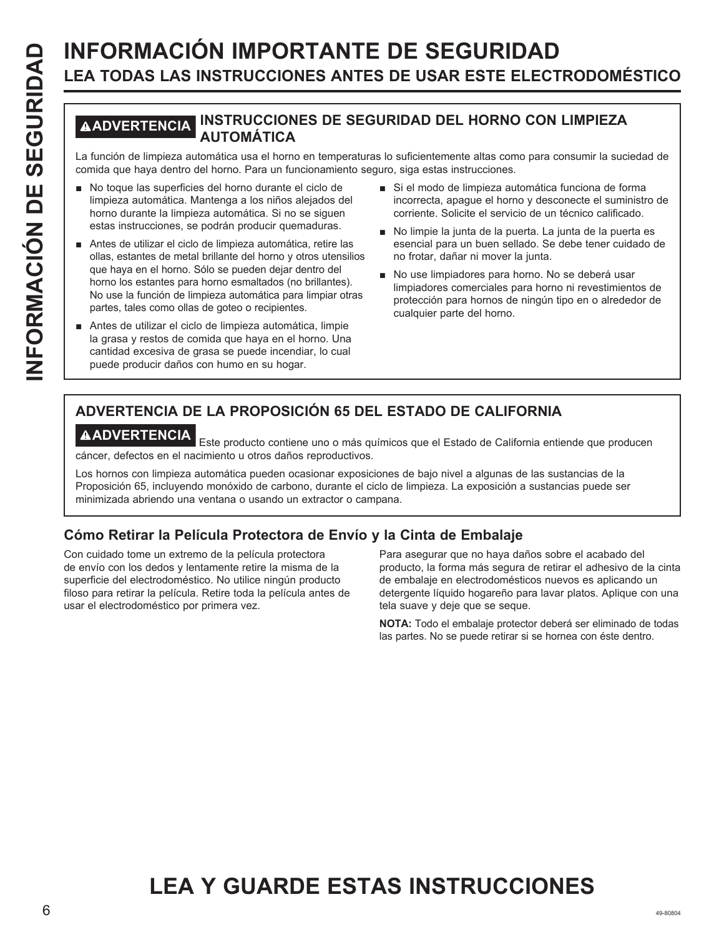# **INFORMACIÓN IMPORTANTE DE SEGURIDAD**<br> **ILEA TODAS LAS INSTRUCCIONES ANTES DE USAR ESTE ELECT<br>
MADVERTIENCIA INSTRUCCIONES DE SEGURIDAD DEL HORNO CON<br>
La función de limpieza automática . Mars un funcionamiento seguro, siga LEA TODAS LAS INSTRUCCIONES ANTES DE USAR ESTE ELECTRODOMÉSTICO**

## **ADVERTENCIA INSTRUCCIONES DE SEGURIDAD DEL HORNO CON LIMPIEZA AUTOMÁTICA**

La función de limpieza automática usa el horno en temperaturas lo suficientemente altas como para consumir la suciedad de comida que haya dentro del horno. Para un funcionamiento seguro, siga estas instrucciones.

- No toque las superficies del horno durante el ciclo de limpieza automática. Mantenga a los niños alejados del horno durante la limpieza automática. Si no se siguen estas instrucciones, se podrán producir quemaduras.
- Antes de utilizar el ciclo de limpieza automática, retire las ollas, estantes de metal brillante del horno y otros utensilios que haya en el horno. Sólo se pueden dejar dentro del horno los estantes para horno esmaltados (no brillantes). No use la función de limpieza automática para limpiar otras partes, tales como ollas de goteo o recipientes.
- Antes de utilizar el ciclo de limpieza automática, limpie la grasa y restos de comida que haya en el horno. Una cantidad excesiva de grasa se puede incendiar, lo cual puede producir daños con humo en su hogar.
- Si el modo de limpieza automática funciona de forma incorrecta, apague el horno y desconecte el suministro de corriente. Solicite el servicio de un técnico calificado.
- No limpie la junta de la puerta. La junta de la puerta es esencial para un buen sellado. Se debe tener cuidado de no frotar, dañar ni mover la junta.
- No use limpiadores para horno. No se deberá usar limpiadores comerciales para horno ni revestimientos de protección para hornos de ningún tipo en o alrededor de cualquier parte del horno.

## **ADVERTENCIA DE LA PROPOSICIÓN 65 DEL ESTADO DE CALIFORNIA**

**AADVERTENCIA**<br>Este producto contiene uno o más químicos que el Estado de California entiende que producen cáncer, defectos en el nacimiento u otros daños reproductivos.

Los hornos con limpieza automática pueden ocasionar exposiciones de bajo nivel a algunas de las sustancias de la Proposición 65, incluyendo monóxido de carbono, durante el ciclo de limpieza. La exposición a sustancias puede ser minimizada abriendo una ventana o usando un extractor o campana.

## **Cómo Retirar la Película Protectora de Envío y la Cinta de Embalaje**

Con cuidado tome un extremo de la película protectora de envío con los dedos y lentamente retire la misma de la superficie del electrodoméstico. No utilice ningún producto filoso para retirar la película. Retire toda la película antes de usar el electrodoméstico por primera vez.

Para asegurar que no haya daños sobre el acabado del producto, la forma más segura de retirar el adhesivo de la cinta de embalaje en electrodomésticos nuevos es aplicando un detergente líquido hogareño para lavar platos. Aplique con una tela suave y deje que se seque.

**NOTA:** Todo el embalaje protector deberá ser eliminado de todas las partes. No se puede retirar si se hornea con éste dentro.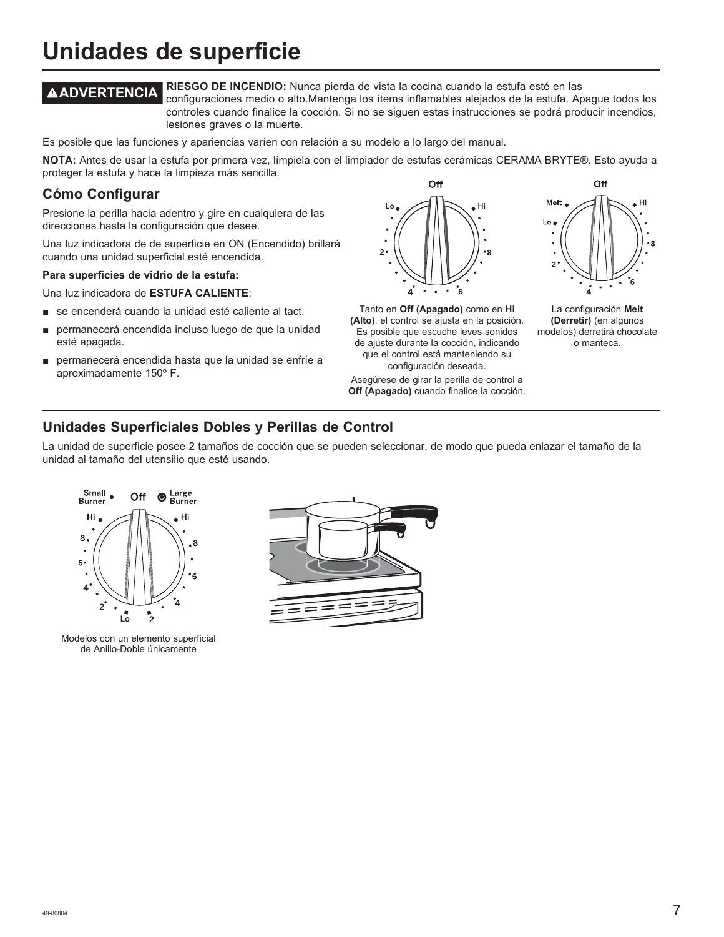## **Unidades de superficie**

**ADVERTENCIA RIESGO DE INCENDIO:** Nunca pierda de vista la cocina cuando la estufa esté en las configuraciones medio o alto.Mantenga los ítems inflamables alejados de la estufa. Apague todos los controles cuando finalice la cocción. Si no se siguen estas instrucciones se podrá producir incendios, lesiones graves o la muerte.

Es posible que las funciones y apariencias varíen con relación a su modelo a lo largo del manual.

NOTA: Antes de usar la estufa por primera vez, límpiela con el limpiador de estufas cerámicas CERAMA BRYTE®. Esto ayuda a proteger la estufa y hace la limpieza más sencilla.

## **Cómo Configurar**

Presione la perilla hacia adentro y gire en cualquiera de las direcciones hasta la configuración que desee.

Una luz indicadora de de superficie en ON (Encendido) brillará cuando una unidad superficial esté encendida.

#### **Para superficies de vidrio de la estufa:**

Una luz indicadora de ESTUFA CALIENTE:

- se encenderá cuando la unidad esté caliente al tact.
- permanecerá encendida incluso luego de que la unidad esté apagada.
- permanecerá encendida hasta que la unidad se enfríe a aproximadamente 150º F.



Tanto en **Off (Apagado)** como en **Hi (Alto)**, el control se ajusta en la posición. Es posible que escuche leves sonidos de ajuste durante la cocción, indicando que el control está manteniendo su configuración deseada.

Asegúrese de girar la perilla de control a **Off (Apagado)** cuando finalice la cocción.



La configuración **Melt (Derretir)** (en algunos modelos) derretirá chocolate o manteca.

## **Unidades Superficiales Dobles y Perillas de Control**

La unidad de superficie posee 2 tamaños de cocción que se pueden seleccionar, de modo que pueda enlazar el tamaño de la unidad al tamaño del utensilio que esté usando.



Modelos con un elemento superficial de Anillo-Doble únicamente

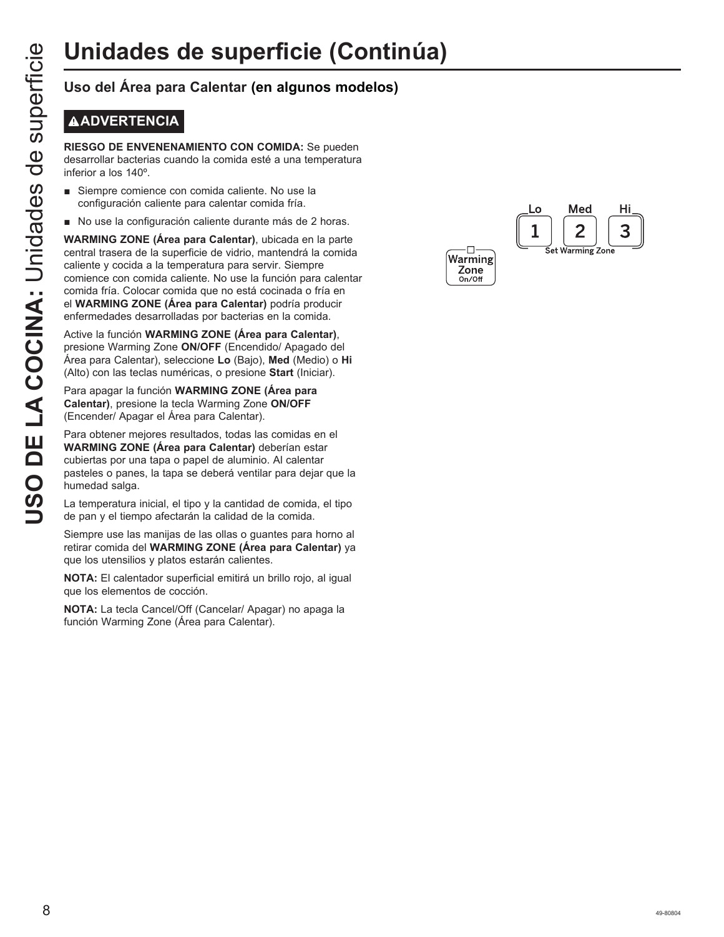## **ADVERTENCIA**

**RIESGO DE ENVENENAMIENTO CON COMIDA:** Se pueden desarrollar bacterias cuando la comida esté a una temperatura inferior a los 140º.

- Siempre comience con comida caliente. No use la configuración caliente para calentar comida fría.
- No use la configuración caliente durante más de 2 horas.

**Unidades de superficie (Continual)**<br>
Uso del Área para Calentar (en algunos modelos)<br> **B**<br> **COCINT RESCO DE ENVENENAMIENTO CON COMIDA:** Se pueden<br> **COCINTE DE LA COCINA COCINA:**<br> **COCINTE COCINTE COCINT COCINT**<br> **COCINTEM WARMING ZONE (Área para Calentar)**, ubicada en la parte central trasera de la superficie de vidrio, mantendrá la comida caliente y cocida a la temperatura para servir. Siempre comience con comida caliente. No use la función para calentar comida fría. Colocar comida que no está cocinada o fría en el **WARMING ZONE (Área para Calentar)** podría producir enfermedades desarrolladas por bacterias en la comida.

Active la función **WARMING ZONE (Área para Calentar)**, presione Warming Zone ON/OFF (Encendido/ Apagado del Área para Calentar), seleccione **Lo**%DMR**Med** (Medio) o **Hi** (Alto) con las teclas numéricas, o presione **Start** (Iniciar).

Para apagar la función **WARMING ZONE (Área para Calentar)**, presione la tecla Warming Zone **ON/OFF**  (Encender/ Apagar el Área para Calentar).

Para obtener mejores resultados, todas las comidas en el **WARMING ZONE (Área para Calentar)** deberían estar cubiertas por una tapa o papel de aluminio. Al calentar pasteles o panes, la tapa se deberá ventilar para dejar que la humedad salga.

La temperatura inicial, el tipo y la cantidad de comida, el tipo de pan y el tiempo afectarán la calidad de la comida.

Siempre use las manijas de las ollas o guantes para horno al retirar comida del **WARMING ZONE (Área para Calentar)** ya que los utensilios y platos estarán calientes.

**NOTA:** El calentador superficial emitirá un brillo rojo, al igual que los elementos de cocción.

**NOTA:** La tecla Cancel/Off (Cancelar/ Apagar) no apaga la función Warming Zone (Área para Calentar).

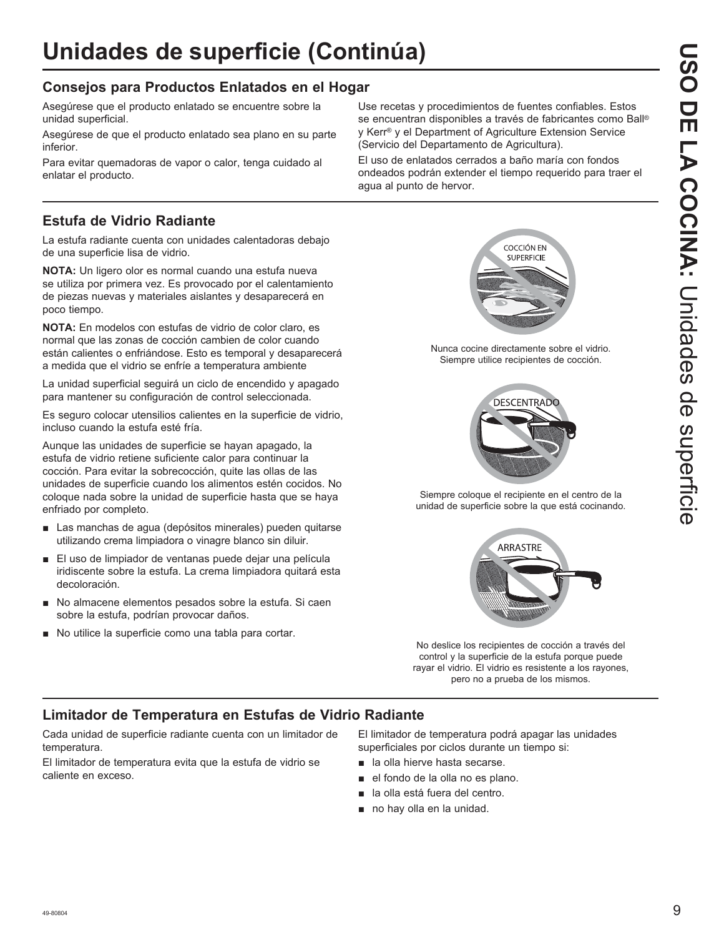## **Consejos para Productos Enlatados en el Hogar**

Asegúrese que el producto enlatado se encuentre sobre la unidad superficial.

Asegúrese de que el producto enlatado sea plano en su parte inferior.

Para evitar quemadoras de vapor o calor, tenga cuidado al enlatar el producto.

## **Estufa de Vidrio Radiante**

La estufa radiante cuenta con unidades calentadoras debajo de una superficie lisa de vidrio.

**NOTA:** Un ligero olor es normal cuando una estufa nueva se utiliza por primera vez. Es provocado por el calentamiento de piezas nuevas y materiales aislantes y desaparecerá en poco tiempo.

**NOTA:** En modelos con estufas de vidrio de color claro, es normal que las zonas de cocción cambien de color cuando están calientes o enfriándose. Esto es temporal y desaparecerá a medida que el vidrio se enfríe a temperatura ambiente

La unidad superficial seguirá un ciclo de encendido y apagado para mantener su configuración de control seleccionada.

Es seguro colocar utensilios calientes en la superficie de vidrio, incluso cuando la estufa esté fría.

Aunque las unidades de superficie se hayan apagado, la estufa de vidrio retiene suficiente calor para continuar la cocción. Para evitar la sobrecocción, quite las ollas de las unidades de superficie cuando los alimentos estén cocidos. No coloque nada sobre la unidad de superficie hasta que se haya enfriado por completo.

- Las manchas de agua (depósitos minerales) pueden quitarse utilizando crema limpiadora o vinagre blanco sin diluir.
- El uso de limpiador de ventanas puede dejar una película iridiscente sobre la estufa. La crema limpiadora quitará esta decoloración.
- No almacene elementos pesados sobre la estufa. Si caen sobre la estufa, podrían provocar daños.
- No utilice la superficie como una tabla para cortar.

Use recetas y procedimientos de fuentes confiables. Estos se encuentran disponibles a través de fabricantes como Ball® y Kerr® y el Department of Agriculture Extension Service (Servicio del Departamento de Agricultura).

El uso de enlatados cerrados a baño maría con fondos ondeados podrán extender el tiempo requerido para traer el agua al punto de hervor.



Nunca cocine directamente sobre el vidrio. Siempre utilice recipientes de cocción.



Siempre coloque el recipiente en el centro de la unidad de superficie sobre la que está cocinando.



No deslice los recipientes de cocción a través del control y la superficie de la estufa porque puede rayar el vidrio. El vidrio es resistente a los rayones, pero no a prueba de los mismos.

## **Limitador de Temperatura en Estufas de Vidrio Radiante**

Cada unidad de superficie radiante cuenta con un limitador de temperatura.

El limitador de temperatura evita que la estufa de vidrio se caliente en exceso.

El limitador de temperatura podrá apagar las unidades superficiales por ciclos durante un tiempo si:

- **a** la olla hierve hasta secarse.
- el fondo de la olla no es plano.
- la olla está fuera del centro.
- $\blacksquare$  no hay olla en la unidad.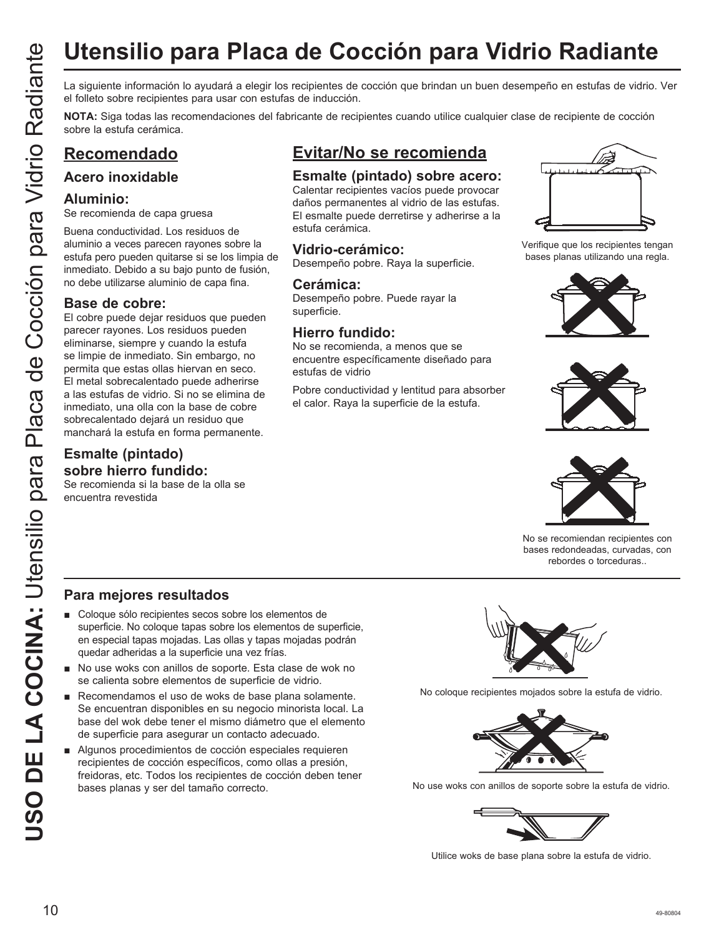# **Utensilio para Placa de Cocción para Vidrio Radiante**

el folleto sobre recipientes para usar con estufas de inducción.

**NOTA:** Siga todas las recomendaciones del fabricante de recipientes cuando utilice cualquier clase de recipiente de cocción sobre la estufa cerámica.

## **Recomendado**

## **Acero inoxidable**

#### **Aluminio:**

Se recomienda de capa gruesa

Buena conductividad. Los residuos de aluminio a veces parecen rayones sobre la estufa pero pueden quitarse si se los limpia de inmediato. Debido a su bajo punto de fusión, no debe utilizarse aluminio de capa fina.

### **Base de cobre:**

USO DE LA COCIDE DE LA COLUMBER DE LA COLUMBER DE LA COLUMBER DE LA COLUMBER DE LA COLUMBER DE LA COLUMBER DE LA COLUMBER DE LA COLUMBER DE LA COLUMBER DE LA COLUMBER DE LA COLUMBER DE LA COLUMBER DE LA COLUMBER DE LA COLU El cobre puede dejar residuos que pueden parecer rayones. Los residuos pueden eliminarse, siempre y cuando la estufa se limpie de inmediato. Sin embargo, no permita que estas ollas hiervan en seco. El metal sobrecalentado puede adherirse a las estufas de vidrio. Si no se elimina de inmediato, una olla con la base de cobre sobrecalentado dejará un residuo que manchará la estufa en forma permanente.

## **Esmalte (pintado) sobre hierro fundido:**

Se recomienda si la base de la olla se encuentra revestida

## **Evitar/No se recomienda**

## **Esmalte (pintado) sobre acero:**

Calentar recipientes vacíos puede provocar daños permanentes al vidrio de las estufas. El esmalte puede derretirse y adherirse a la estufa cerámica.

## **Vidrio-cerámico:**

Desempeño pobre. Raya la superficie.

#### **Cerámica:**

Desempeño pobre. Puede rayar la superficie.

## **Hierro fundido:**

No se recomienda, a menos que se encuentre específicamente diseñado para estufas de vidrio

Pobre conductividad y lentitud para absorber el calor. Raya la superficie de la estufa.



Verifique que los recipientes tengan bases planas utilizando una regla.







No se recomiendan recipientes con bases redondeadas, curvadas, con rebordes o torceduras..

## **Para mejores resultados**

- Coloque sólo recipientes secos sobre los elementos de superficie. No coloque tapas sobre los elementos de superficie, en especial tapas mojadas. Las ollas y tapas mojadas podrán quedar adheridas a la superficie una vez frías.
- No use woks con anillos de soporte. Esta clase de wok no se calienta sobre elementos de superficie de vidrio.
- Recomendamos el uso de woks de base plana solamente. Se encuentran disponibles en su negocio minorista local. La base del wok debe tener el mismo diámetro que el elemento de superficie para asegurar un contacto adecuado.
- Algunos procedimientos de cocción especiales requieren recipientes de cocción específicos, como ollas a presión, freidoras, etc. Todos los recipientes de cocción deben tener bases planas y ser del tamaño correcto.



No coloque recipientes mojados sobre la estufa de vidrio.



No use woks con anillos de soporte sobre la estufa de vidrio.



Utilice woks de base plana sobre la estufa de vidrio.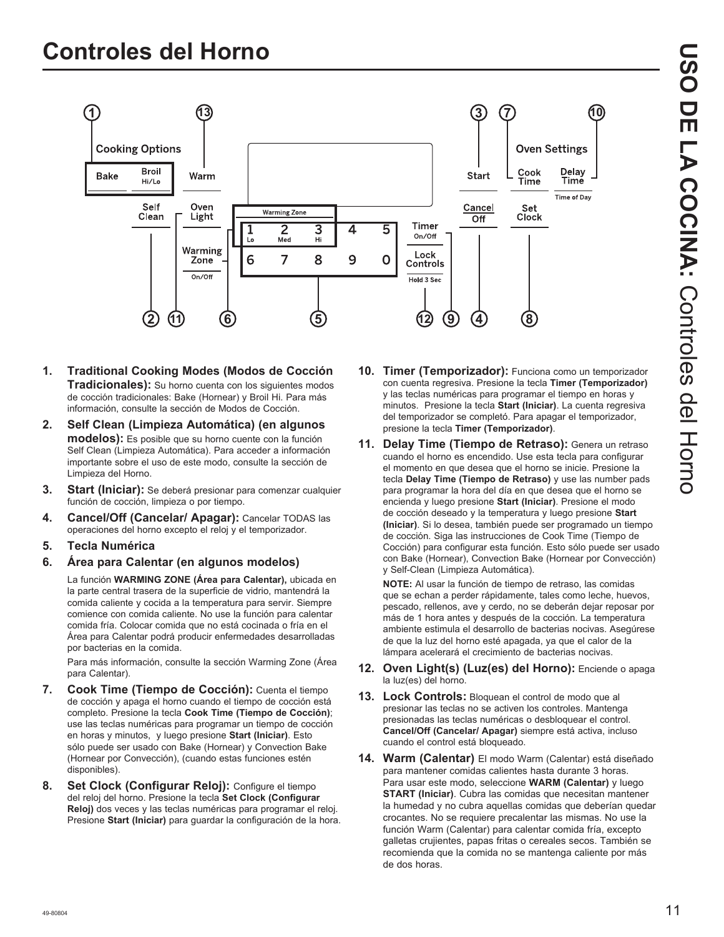

- **1. Traditional Cooking Modes (Modos de Cocción Tradicionales):** Su horno cuenta con los siguientes modos de cocción tradicionales: Bake (Hornear) y Broil Hi. Para más información, consulte la sección de Modos de Cocción.
- **2. Self Clean (Limpieza Automática) (en algunos modelos):** Es posible que su horno cuente con la función Self Clean (Limpieza Automática). Para acceder a información importante sobre el uso de este modo, consulte la sección de Limpieza del Horno.
- **3. Start (Iniciar):** Se deberá presionar para comenzar cualquier función de cocción, limpieza o por tiempo.
- **4. Cancel/Off (Cancelar/ Apagar):** Cancelar TODAS las operaciones del horno excepto el reloj y el temporizador.
- **5. Tecla Numérica**
- **6. Área para Calentar (en algunos modelos)**

La función **WARMING ZONE (Área para Calentar),** ubicada en la parte central trasera de la superficie de vidrio, mantendrá la comida caliente y cocida a la temperatura para servir. Siempre comience con comida caliente. No use la función para calentar comida fría. Colocar comida que no está cocinada o fría en el Área para Calentar podrá producir enfermedades desarrolladas por bacterias en la comida.

 Para más información, consulte la sección Warming Zone (Área para Calentar).

- **7. Cook Time (Tiempo de Cocción):** Cuenta el tiempo de cocción y apaga el horno cuando el tiempo de cocción está completo. Presione la tecla **Cook Time (Tiempo de Cocción)** use las teclas numéricas para programar un tiempo de cocción en horas y minutos, y luego presione **Start (Iniciar)**. Esto sólo puede ser usado con Bake (Hornear) y Convection Bake (Hornear por Convección), (cuando estas funciones estén disponibles).
- **8. Set Clock (Configurar Reloj):** Configure el tiempo del reloj del horno. Presione la tecla **Set Clock (Configurar Reloj)** dos veces y las teclas numéricas para programar el reloj. Presione **Start (Iniciar)** para guardar la configuración de la hora.
- **10. Timer (Temporizador):** Funciona como un temporizador con cuenta regresiva. Presione la tecla **Timer (Temporizador)** y las teclas numéricas para programar el tiempo en horas y minutos. Presione la tecla **Start (Iniciar)**. La cuenta regresiva del temporizador se completó. Para apagar el temporizador, presione la tecla **Timer (Temporizador)**.
- **11. Delay Time (Tiempo de Retraso):** Genera un retraso cuando el horno es encendido. Use esta tecla para configurar el momento en que desea que el horno se inicie. Presione la tecla **Delay Time (Tiempo de Retraso)** y use las number pads para programar la hora del día en que desea que el horno se encienda y luego presione **Start (Iniciar)**. Presione el modo de cocción deseado y la temperatura y luego presione **Start (Iniciar)**. Si lo desea, también puede ser programado un tiempo de cocción. Siga las instrucciones de Cook Time (Tiempo de Cocción) para configurar esta función. Esto sólo puede ser usado con Bake (Hornear), Convection Bake (Hornear por Convección) y Self-Clean (Limpieza Automática).

 **NOTE:** Al usar la función de tiempo de retraso, las comidas que se echan a perder rápidamente, tales como leche, huevos, pescado, rellenos, ave y cerdo, no se deberán dejar reposar por más de 1 hora antes y después de la cocción. La temperatura ambiente estimula el desarrollo de bacterias nocivas. Asegúrese de que la luz del horno esté apagada, ya que el calor de la lámpara acelerará el crecimiento de bacterias nocivas.

- **12. Oven Light(s) (Luz(es) del Horno):** Enciende o apaga la luz(es) del horno.
- **13. Lock Controls:** Bloquean el control de modo que al presionar las teclas no se activen los controles. Mantenga presionadas las teclas numéricas o desbloquear el control. **Cancel/Off (Cancelar/ Apagar)** siempre está activa, incluso cuando el control está bloqueado.
- **14. Warm (Calentar)** El modo Warm (Calentar) está diseñado para mantener comidas calientes hasta durante 3 horas. Para usar este modo, seleccione **WARM (Calentar)** y luego **START (Iniciar)**. Cubra las comidas que necesitan mantener la humedad y no cubra aquellas comidas que deberían quedar crocantes. No se requiere precalentar las mismas. No use la función Warm (Calentar) para calentar comida fría, excepto galletas crujientes, papas fritas o cereales secos. También se recomienda que la comida no se mantenga caliente por más de dos horas.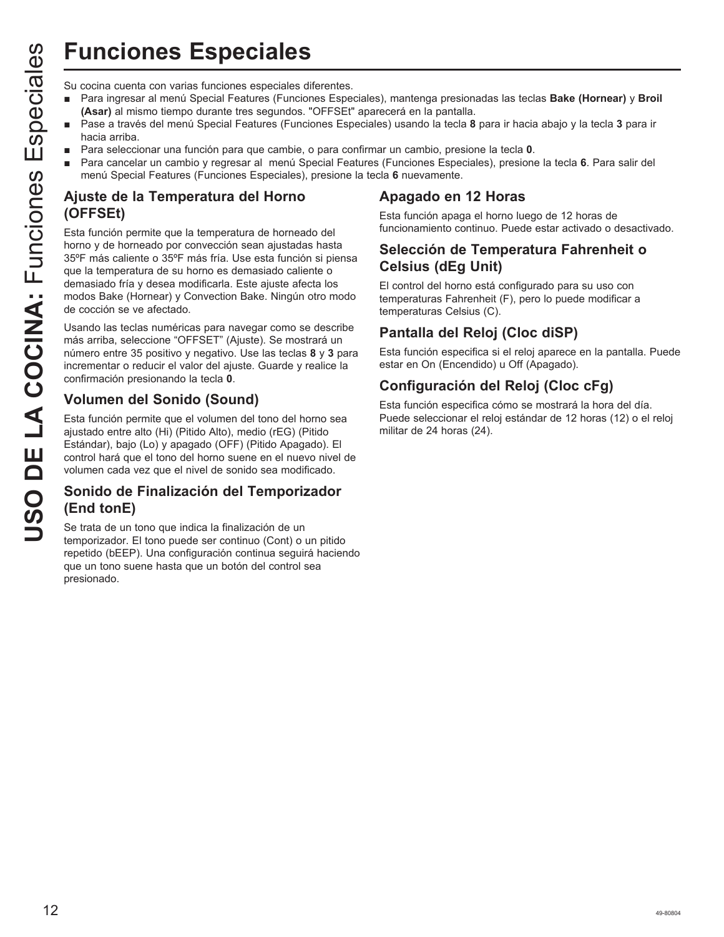# **Funciones Especiales**

- Para ingresar al menú Special Features (Funciones Especiales), mantenga presionadas las teclas **Bake (Hornear)** y **Broil (Asar)** al mismo tiempo durante tres segundos. "OFFSEt" aparecerá en la pantalla.
- Pase a través del menú Special Features (Funciones Especiales) usando la tecla 8 para ir hacia abajo y la tecla 3 para ir hacia arriba.
- Para seleccionar una función para que cambie, o para confirmar un cambio, presione la tecla 0.
- Para cancelar un cambio y regresar al menú Special Features (Funciones Especiales), presione la tecla 6. Para salir del menú Special Features (Funciones Especiales), presione la tecla **6** nuevamente.

## **Ajuste de la Temperatura del Horno (OFFSEt)**

**USO FINDENTIFY**<br>
Su cocina cuenta con varias funciones especiales diferentes.<br> **Assay** a imismo tiempo durante tres esgeundos. "OrFSET;<br> **Assay** a través del menú Special Features (Funciones Especiales de menú Special Fea Esta función permite que la temperatura de horneado del horno y de horneado por convección sean ajustadas hasta 35°F más caliente o 35°F más fría. Use esta función si piensa que la temperatura de su horno es demasiado caliente o demasiado fría y desea modificarla. Este ajuste afecta los modos Bake (Hornear) y Convection Bake. Ningún otro modo de cocción se ve afectado.

Usando las teclas numéricas para navegar como se describe más arriba, seleccione "OFFSET" (Ajuste). Se mostrará un número entre 35 positivo y negativo. Use las teclas 8 y 3 para incrementar o reducir el valor del ajuste. Guarde y realice la confirmación presionando la tecla **0**.

## **Volumen del Sonido (Sound)**

Esta función permite que el volumen del tono del horno sea ajustado entre alto (Hi) (Pitido Alto), medio (rEG) (Pitido Estándar), bajo (Lo) y apagado (OFF) (Pitido Apagado). El control hará que el tono del horno suene en el nuevo nivel de volumen cada vez que el nivel de sonido sea modificado.

## **Sonido de Finalización del Temporizador (End tonE)**

Se trata de un tono que indica la finalización de un temporizador. El tono puede ser continuo (Cont) o un pitido repetido (bEEP). Una configuración continua seguirá haciendo que un tono suene hasta que un botón del control sea presionado.

## **Apagado en 12 Horas**

Esta función apaga el horno luego de 12 horas de funcionamiento continuo. Puede estar activado o desactivado.

## **Selección de Temperatura Fahrenheit o Celsius (dEg Unit)**

El control del horno está configurado para su uso con temperaturas Fahrenheit (F), pero lo puede modificar a temperaturas Celsius (C).

## **Pantalla del Reloj (Cloc diSP)**

Esta función especifica si el reloj aparece en la pantalla. Puede estar en On (Encendido) u Off (Apagado).

## **Configuración del Reloj (Cloc cFg)**

Esta función especifica cómo se mostrará la hora del día. Puede seleccionar el reloj estándar de 12 horas (12) o el reloj militar de 24 horas (24).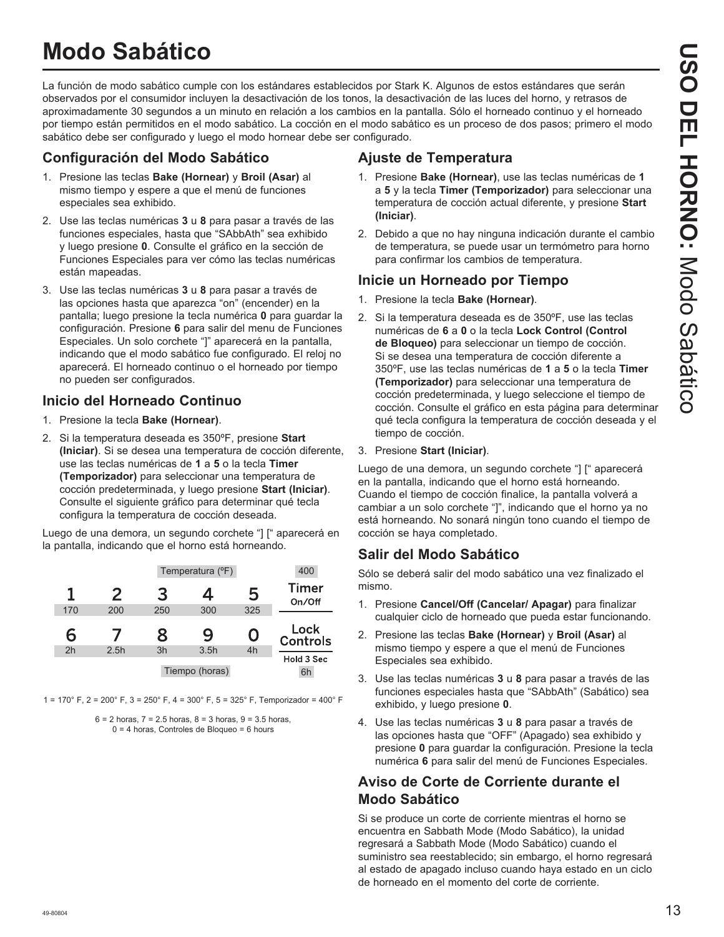## **Modo Sabático**

La función de modo sabático cumple con los estándares establecidos por Stark K. Algunos de estos estándares que serán observados por el consumidor incluyen la desactivación de los tonos, la desactivación de las luces del horno, y retrasos de aproximadamente 30 segundos a un minuto en relación a los cambios en la pantalla. Sólo el horneado continuo y el horneado por tiempo están permitidos en el modo sabático. La cocción en el modo sabático es un proceso de dos pasos; primero el modo sabático debe ser configurado y luego el modo hornear debe ser configurado.

## **Configuración del Modo Sabático**

- 1. Presione las teclas **Bake (Hornear)** y **Broil (Asar)** al mismo tiempo y espere a que el menú de funciones especiales sea exhibido.
- 2. Use las teclas numéricas 3 u 8 para pasar a través de las funciones especiales, hasta que "SAbbAth" sea exhibido y luego presione **0**. Consulte el gráfico en la sección de Funciones Especiales para ver cómo las teclas numéricas están mapeadas.
- 3. Use las teclas numéricas 3 u 8 para pasar a través de las opciones hasta que aparezca "on" (encender) en la pantalla: luego presione la tecla numérica 0 para guardar la configuración. Presione **6** para salir del menu de Funciones Especiales. Un solo corchete "]" aparecerá en la pantalla, indicando que el modo sabático fue configurado. El reloj no aparecerá. El horneado continuo o el horneado por tiempo no pueden ser configurados.

## **Inicio del Horneado Continuo**

- 1. Presione la tecla **Bake (Hornear)**.
- 2. Si la temperatura deseada es 350ºF, presione **Start (Iniciar)**. Si se desea una temperatura de cocción diferente, use las teclas numéricas de **1** a **5** o la tecla **Timer (Temporizador)** para seleccionar una temperatura de cocción predeterminada, y luego presione **Start (Iniciar)**. Consulte el siguiente gráfico para determinar qué tecla configura la temperatura de cocción deseada.

Luego de una demora, un segundo corchete "] [" aparecerá en la pantalla, indicando que el horno está horneando.

|                |      | Temperatura (°F) |      | 400 |                         |
|----------------|------|------------------|------|-----|-------------------------|
| 1              | 2    | З                | 4    | 5   | <b>Timer</b><br>On/Off  |
| 170            | 200  | 250              | 300  | 325 |                         |
|                |      |                  |      |     |                         |
| 6              |      | 8                | 9    | 0   | Lock<br><b>Controls</b> |
| 2 <sub>h</sub> | 2.5h | 3h               | 3.5h | 4h  | Hold 3 Sec              |

1 =  $170^{\circ}$  F, 2 =  $200^{\circ}$  F, 3 =  $250^{\circ}$  F, 4 =  $300^{\circ}$  F, 5 =  $325^{\circ}$  F, Temporizador =  $400^{\circ}$  F

 $6 = 2$  horas,  $7 = 2.5$  horas,  $8 = 3$  horas,  $9 = 3.5$  horas,  $0 = 4$  horas, Controles de Bloqueo = 6 hours

## **Ajuste de Temperatura**

- 1. Presione **Bake (Hornear)**, use las teclas numéricas de **1** a **5** y la tecla **Timer (Temporizador)** para seleccionar una temperatura de cocción actual diferente, y presione **Start (Iniciar)**.
- 2. Debido a que no hay ninguna indicación durante el cambio de temperatura, se puede usar un termómetro para horno para confirmar los cambios de temperatura.

## **Inicie un Horneado por Tiempo**

- 1. Presione la tecla **Bake (Hornear)**.
- 2. Si la temperatura deseada es de 350ºF, use las teclas numéricas de **6** a **0** o la tecla **Lock Control (Control de Bloqueo)** para seleccionar un tiempo de cocción. Si se desea una temperatura de cocción diferente a 350ºF, use las teclas numéricas de **1** a **5** o la tecla **Timer (Temporizador)** para seleccionar una temperatura de cocción predeterminada, y luego seleccione el tiempo de cocción. Consulte el gráfico en esta página para determinar qué tecla configura la temperatura de cocción deseada y el tiempo de cocción.
- 3. Presione **Start (Iniciar)**.

Luego de una demora, un segundo corchete "] [" aparecerá en la pantalla, indicando que el horno está horneando. Cuando el tiempo de cocción finalice, la pantalla volverá a cambiar a un solo corchete "]", indicando que el horno ya no está horneando. No sonará ningún tono cuando el tiempo de cocción se haya completado.

## **Salir del Modo Sabático**

Sólo se deberá salir del modo sabático una vez finalizado el mismo.

- 1. Presione **Cancel/Off (Cancelar/ Apagar)** para finalizar cualquier ciclo de horneado que pueda estar funcionando.
- 2. Presione las teclas **Bake (Hornear)** y **Broil (Asar)** al mismo tiempo y espere a que el menú de Funciones Especiales sea exhibido.
- 3. Use las teclas numéricas 3 u 8 para pasar a través de las funciones especiales hasta que "SAbbAth" (Sabático) sea exhibido, y luego presione **0**.
- 4. Use las teclas numéricas 3 u 8 para pasar a través de las opciones hasta que "OFF" (Apagado) sea exhibido y presione **0** para guardar la configuración. Presione la tecla numérica **6** para salir del menú de Funciones Especiales.

## **Aviso de Corte de Corriente durante el Modo Sabático**

Si se produce un corte de corriente mientras el horno se encuentra en Sabbath Mode (Modo Sabático), la unidad regresará a Sabbath Mode (Modo Sabático) cuando el suministro sea reestablecido; sin embargo, el horno regresará al estado de apagado incluso cuando haya estado en un ciclo de horneado en el momento del corte de corriente.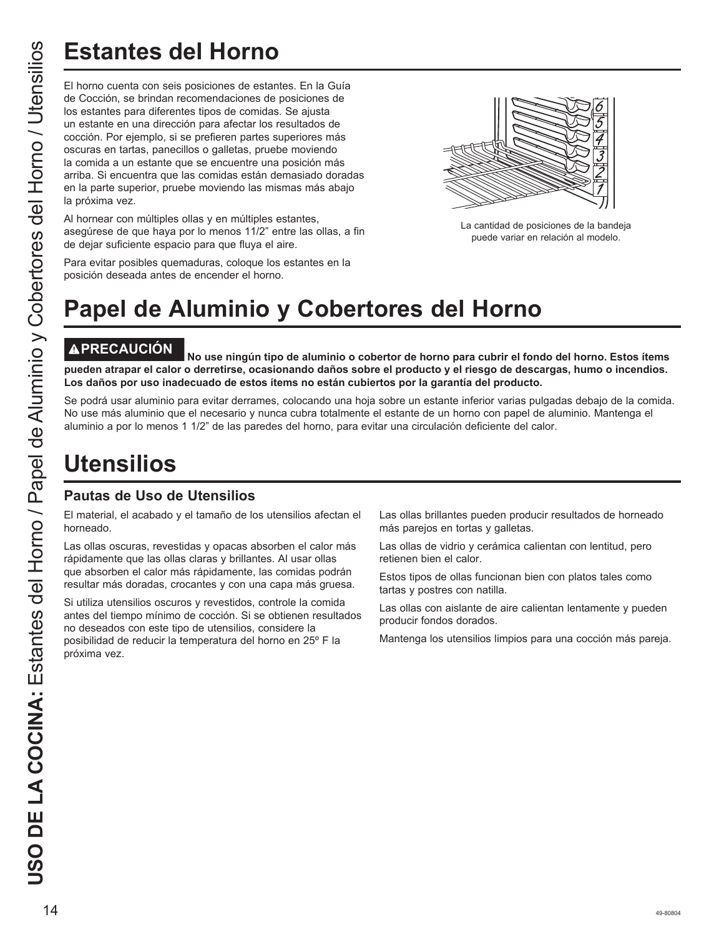# **Estantes del Horno**

El horno cuenta con seis posiciones de estantes. En la Guía de Cocción, se brindan recomendaciones de posiciones de los estantes para diferentes tipos de comidas. Se ajusta un estante en una dirección para afectar los resultados de cocción. Por ejemplo, si se prefieren partes superiores más oscuras en tartas, panecillos o galletas, pruebe moviendo la comida a un estante que se encuentre una posición más arriba. Si encuentra que las comidas están demasiado doradas en la parte superior, pruebe moviendo las mismas más abajo la próxima vez.

Al hornear con múltiples ollas y en múltiples estantes, asegúrese de que haya por lo menos 11/2" entre las ollas, a fin de dejar suficiente espacio para que fluya el aire.



La cantidad de posiciones de la bandeja puede variar en relación al modelo.

Para evitar posibles quemaduras, coloque los estantes en la posición deseada antes de encender el horno.

# **Papel de Aluminio y Cobertores del Horno**

**PRECAUCIÓN No use ningún tipo de aluminio o cobertor de horno para cubrir el fondo del horno. Estos ítems pueden atrapar el calor o derretirse, ocasionando daños sobre el producto y el riesgo de descargas, humo o incendios. Los daños por uso inadecuado de estos ítems no están cubiertos por la garantía del producto.**

Se podrá usar aluminio para evitar derrames, colocando una hoja sobre un estante inferior varias pulgadas debajo de la comida. No use más aluminio que el necesario y nunca cubra totalmente el estante de un horno con papel de aluminio. Mantenga el aluminio a por lo menos 1 1/2" de las paredes del horno, para evitar una circulación deficiente del calor.

## **Utensilios**

## **Pautas de Uso de Utensilios**

El material, el acabado y el tamaño de los utensilios afectan el horneado.

Las ollas oscuras, revestidas y opacas absorben el calor más rápidamente que las ollas claras y brillantes. Al usar ollas que absorben el calor más rápidamente, las comidas podrán resultar más doradas, crocantes y con una capa más gruesa.

Si utiliza utensilios oscuros y revestidos, controle la comida antes del tiempo mínimo de cocción. Si se obtienen resultados no deseados con este tipo de utensilios, considere la posibilidad de reducir la temperatura del horno en 25º F la próxima vez.

Las ollas brillantes pueden producir resultados de horneado más parejos en tortas y galletas.

Las ollas de vidrio y cerámica calientan con lentitud, pero retienen bien el calor.

Estos tipos de ollas funcionan bien con platos tales como tartas y postres con natilla.

Las ollas con aislante de aire calientan lentamente y pueden producir fondos dorados.

Mantenga los utensilios limpios para una cocción más pareja.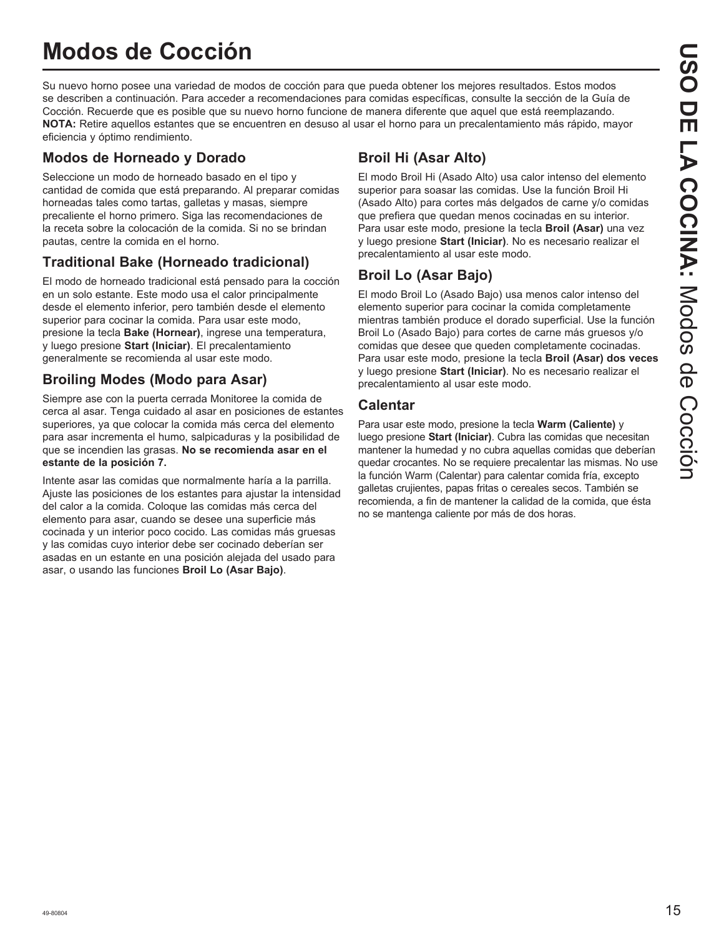## **Modos de Cocción**

Su nuevo horno posee una variedad de modos de cocción para que pueda obtener los mejores resultados. Estos modos se describen a continuación. Para acceder a recomendaciones para comidas específicas, consulte la sección de la Guía de Cocción. Recuerde que es posible que su nuevo horno funcione de manera diferente que aquel que está reemplazando. **NOTA:** Retire aquellos estantes que se encuentren en desuso al usar el horno para un precalentamiento más rápido, mayor eficiencia y óptimo rendimiento.

## **Modos de Horneado y Dorado**

Seleccione un modo de horneado basado en el tipo y cantidad de comida que está preparando. Al preparar comidas horneadas tales como tartas, galletas y masas, siempre precaliente el horno primero. Siga las recomendaciones de la receta sobre la colocación de la comida. Si no se brindan pautas, centre la comida en el horno.

## **Traditional Bake (Horneado tradicional)**

El modo de horneado tradicional está pensado para la cocción en un solo estante. Este modo usa el calor principalmente desde el elemento inferior, pero también desde el elemento superior para cocinar la comida. Para usar este modo, presione la tecla **Bake (Hornear)**, ingrese una temperatura, y luego presione **Start (Iniciar)**. El precalentamiento generalmente se recomienda al usar este modo.

## **Broiling Modes (Modo para Asar)**

Siempre ase con la puerta cerrada Monitoree la comida de cerca al asar. Tenga cuidado al asar en posiciones de estantes superiores, ya que colocar la comida más cerca del elemento para asar incrementa el humo, salpicaduras y la posibilidad de que se incendien las grasas. **No se recomienda asar en el estante de la posición 7.**

Intente asar las comidas que normalmente haría a la parrilla. Ajuste las posiciones de los estantes para ajustar la intensidad del calor a la comida. Coloque las comidas más cerca del elemento para asar, cuando se desee una superficie más cocinada y un interior poco cocido. Las comidas más gruesas y las comidas cuyo interior debe ser cocinado deberían ser asadas en un estante en una posición alejada del usado para asar, o usando las funciones **Broil Lo (Asar Bajo)**.

## **Broil Hi (Asar Alto)**

El modo Broil Hi (Asado Alto) usa calor intenso del elemento superior para soasar las comidas. Use la función Broil Hi (Asado Alto) para cortes más delgados de carne y/o comidas que prefiera que quedan menos cocinadas en su interior. Para usar este modo, presione la tecla **Broil (Asar)** una vez y luego presione **Start (Iniciar)**. No es necesario realizar el precalentamiento al usar este modo.

## **Broil Lo (Asar Bajo)**

El modo Broil Lo (Asado Bajo) usa menos calor intenso del elemento superior para cocinar la comida completamente mientras también produce el dorado superficial. Use la función Broil Lo (Asado Bajo) para cortes de carne más gruesos y/o comidas que desee que queden completamente cocinadas. Para usar este modo, presione la tecla **Broil (Asar) dos veces** y luego presione **Start (Iniciar)**. No es necesario realizar el precalentamiento al usar este modo.

## **Calentar**

Para usar este modo, presione la tecla **Warm (Caliente)** y luego presione **Start (Iniciar)**. Cubra las comidas que necesitan mantener la humedad y no cubra aquellas comidas que deberían quedar crocantes. No se requiere precalentar las mismas. No use la función Warm (Calentar) para calentar comida fría, excepto galletas crujientes, papas fritas o cereales secos. También se recomienda, a fin de mantener la calidad de la comida, que ésta no se mantenga caliente por más de dos horas.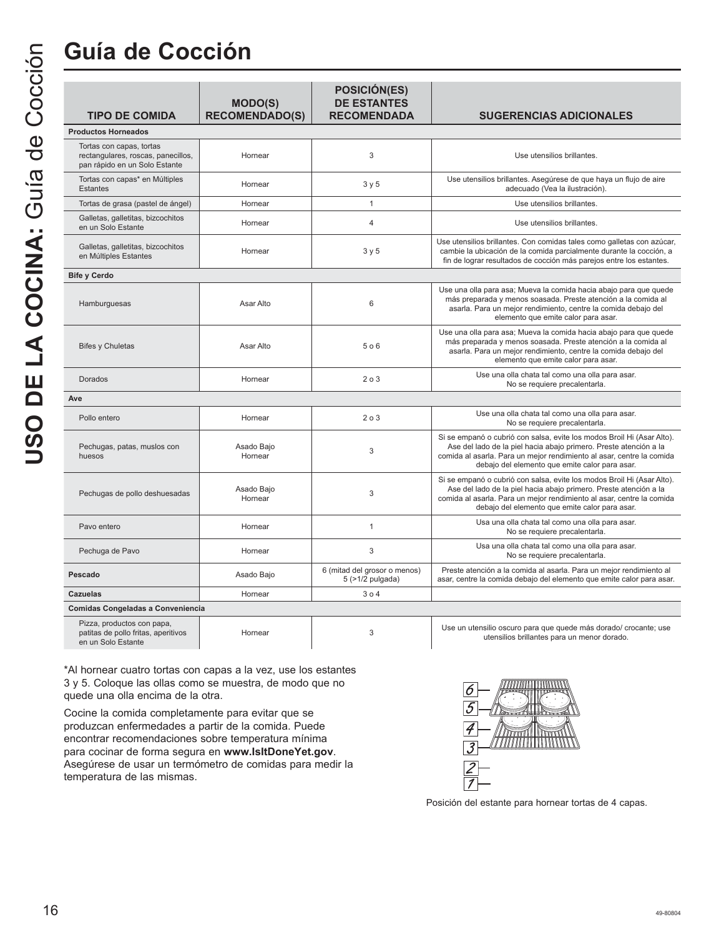## **Guía de Cocción**

|                                                                                                 | <b>MODO(S)</b>        | <b>POSICIÓN(ES)</b><br><b>DE ESTANTES</b>             |                                                                                                                                                                                                                                                                        |
|-------------------------------------------------------------------------------------------------|-----------------------|-------------------------------------------------------|------------------------------------------------------------------------------------------------------------------------------------------------------------------------------------------------------------------------------------------------------------------------|
| <b>TIPO DE COMIDA</b>                                                                           | <b>RECOMENDADO(S)</b> | <b>RECOMENDADA</b>                                    | <b>SUGERENCIAS ADICIONALES</b>                                                                                                                                                                                                                                         |
| <b>Productos Horneados</b>                                                                      |                       |                                                       |                                                                                                                                                                                                                                                                        |
| Tortas con capas, tortas<br>rectangulares, roscas, panecillos,<br>pan rápido en un Solo Estante | Hornear               | 3                                                     | Use utensilios brillantes.                                                                                                                                                                                                                                             |
| Tortas con capas* en Múltiples<br><b>Estantes</b>                                               | Hornear               | 3 y 5                                                 | Use utensilios brillantes. Asegúrese de que haya un flujo de aire<br>adecuado (Vea la ilustración).                                                                                                                                                                    |
| Tortas de grasa (pastel de ángel)                                                               | Hornear               | $\mathbf{1}$                                          | Use utensilios brillantes.                                                                                                                                                                                                                                             |
| Galletas, galletitas, bizcochitos<br>en un Solo Estante                                         | Hornear               | $\overline{4}$                                        | Use utensilios brillantes.                                                                                                                                                                                                                                             |
| Galletas, galletitas, bizcochitos<br>en Múltiples Estantes                                      | Hornear               | 3 y 5                                                 | Use utensilios brillantes. Con comidas tales como galletas con azúcar,<br>cambie la ubicación de la comida parcialmente durante la cocción, a<br>fin de lograr resultados de cocción más parejos entre los estantes.                                                   |
| <b>Bife y Cerdo</b>                                                                             |                       |                                                       |                                                                                                                                                                                                                                                                        |
| Hamburguesas                                                                                    | Asar Alto             | 6                                                     | Use una olla para asa; Mueva la comida hacia abajo para que quede<br>más preparada y menos soasada. Preste atención a la comida al<br>asarla. Para un mejor rendimiento, centre la comida debajo del<br>elemento que emite calor para asar.                            |
| <b>Bifes y Chuletas</b>                                                                         | Asar Alto             | 506                                                   | Use una olla para asa; Mueva la comida hacia abajo para que quede<br>más preparada y menos soasada. Preste atención a la comida al<br>asarla. Para un mejor rendimiento, centre la comida debajo del<br>elemento que emite calor para asar.                            |
| Dorados                                                                                         | Hornear               | 203                                                   | Use una olla chata tal como una olla para asar.<br>No se requiere precalentarla.                                                                                                                                                                                       |
| Ave                                                                                             |                       |                                                       |                                                                                                                                                                                                                                                                        |
| Pollo entero                                                                                    | Hornear               | 203                                                   | Use una olla chata tal como una olla para asar.<br>No se requiere precalentarla.                                                                                                                                                                                       |
| Pechugas, patas, muslos con<br>huesos                                                           | Asado Bajo<br>Hornear | 3                                                     | Si se empanó o cubrió con salsa, evite los modos Broil Hi (Asar Alto).<br>Ase del lado de la piel hacia abajo primero. Preste atención a la<br>comida al asarla. Para un mejor rendimiento al asar, centre la comida<br>debajo del elemento que emite calor para asar. |
| Pechugas de pollo deshuesadas                                                                   | Asado Bajo<br>Hornear | 3                                                     | Si se empanó o cubrió con salsa, evite los modos Broil Hi (Asar Alto).<br>Ase del lado de la piel hacia abajo primero. Preste atención a la<br>comida al asarla. Para un mejor rendimiento al asar, centre la comida<br>debajo del elemento que emite calor para asar. |
| Pavo entero                                                                                     | Hornear               | $\mathbf{1}$                                          | Usa una olla chata tal como una olla para asar.<br>No se requiere precalentarla.                                                                                                                                                                                       |
| Pechuga de Pavo                                                                                 | Hornear               | 3                                                     | Usa una olla chata tal como una olla para asar.<br>No se requiere precalentarla.                                                                                                                                                                                       |
| Pescado                                                                                         | Asado Bajo            | 6 (mitad del grosor o menos)<br>$5$ ( $>1/2$ pulgada) | Preste atención a la comida al asarla. Para un mejor rendimiento al<br>asar, centre la comida debajo del elemento que emite calor para asar.                                                                                                                           |
| <b>Cazuelas</b>                                                                                 | Hornear               | 304                                                   |                                                                                                                                                                                                                                                                        |
| Comidas Congeladas a Conveniencia                                                               |                       |                                                       |                                                                                                                                                                                                                                                                        |

| Pizza, productos con papa,          |         |  |
|-------------------------------------|---------|--|
| patitas de pollo fritas, aperitivos | Hornear |  |
| en un Solo Estante                  |         |  |

\*Al hornear cuatro tortas con capas a la vez, use los estantes 3 y 5. Coloque las ollas como se muestra, de modo que no quede una olla encima de la otra.

Cocine la comida completamente para evitar que se produzcan enfermedades a partir de la comida. Puede encontrar recomendaciones sobre temperatura mínima para cocinar de forma segura en **www.IsItDoneYet.gov**. Asegúrese de usar un termómetro de comidas para medir la temperatura de las mismas.



Posición del estante para hornear tortas de 4 capas.

Use un utensilio oscuro para que quede más dorado/ crocante; use utensilios brillantes para un menor dorado.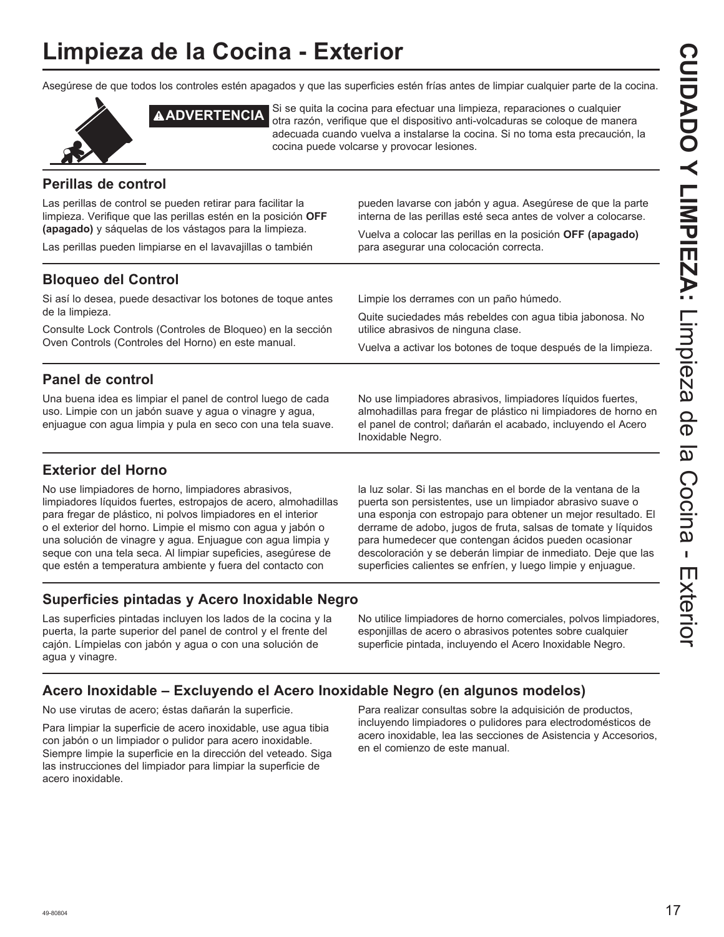## **Limpieza de la Cocina - Exterior**

Asegúrese de que todos los controles estén apagados y que las superficies estén frías antes de limpiar cualquier parte de la cocina.



**ADVERTENCIA** Si se quita la cocina para efectuar una limpieza, reparaciones o cualquier otra razón, verifique que el dispositivo anti-volcaduras se coloque de manera adecuada cuando vuelva a instalarse la cocina. Si no toma esta precaución, la cocina puede volcarse y provocar lesiones.

## **Perillas de control**

Las perillas de control se pueden retirar para facilitar la limpieza. Verifique que las perillas estén en la posición **OFF (apagado)** y sáquelas de los vástagos para la limpieza.

Las perillas pueden limpiarse en el lavavajillas o también

pueden lavarse con jabón y agua. Asegúrese de que la parte interna de las perillas esté seca antes de volver a colocarse.

Vuelva a colocar las perillas en la posición **OFF (apagado)** para asegurar una colocación correcta.

## **Bloqueo del Control**

Si así lo desea, puede desactivar los botones de toque antes de la limpieza.

Consulte Lock Controls (Controles de Bloqueo) en la sección Oven Controls (Controles del Horno) en este manual.

Limpie los derrames con un paño húmedo.

Quite suciedades más rebeldes con agua tibia jabonosa. No utilice abrasivos de ninguna clase.

Vuelva a activar los botones de toque después de la limpieza.

## **Panel de control**

Una buena idea es limpiar el panel de control luego de cada uso. Limpie con un jabón suave y agua o vinagre y agua, enjuague con agua limpia y pula en seco con una tela suave. No use limpiadores abrasivos, limpiadores líquidos fuertes, almohadillas para fregar de plástico ni limpiadores de horno en el panel de control; dañarán el acabado, incluyendo el Acero Inoxidable Negro.

## **Exterior del Horno**

No use limpiadores de horno, limpiadores abrasivos, limpiadores líquidos fuertes, estropajos de acero, almohadillas para fregar de plástico, ni polvos limpiadores en el interior o el exterior del horno. Limpie el mismo con agua y jabón o una solución de vinagre y agua. Enjuague con agua limpia y seque con una tela seca. Al limpiar supeficies, asegúrese de que estén a temperatura ambiente y fuera del contacto con

la luz solar. Si las manchas en el borde de la ventana de la puerta son persistentes, use un limpiador abrasivo suave o una esponja con estropajo para obtener un mejor resultado. El derrame de adobo, jugos de fruta, salsas de tomate y líquidos para humedecer que contengan ácidos pueden ocasionar descoloración y se deberán limpiar de inmediato. Deje que las superficies calientes se enfríen, y luego limpie y enjuague.

## **Superficies pintadas y Acero Inoxidable Negro**

Las superficies pintadas incluyen los lados de la cocina y la puerta, la parte superior del panel de control y el frente del cajón. Límpielas con jabón y agua o con una solución de agua y vinagre.

No utilice limpiadores de horno comerciales, polvos limpiadores, esponjillas de acero o abrasivos potentes sobre cualquier superficie pintada, incluyendo el Acero Inoxidable Negro.

## **Acero Inoxidable – Excluyendo el Acero Inoxidable Negro (en algunos modelos)**

No use virutas de acero; éstas dañarán la superficie.

Para limpiar la superficie de acero inoxidable, use agua tibia con jabón o un limpiador o pulidor para acero inoxidable. Siempre limpie la superficie en la dirección del veteado. Siga las instrucciones del limpiador para limpiar la superficie de acero inoxidable.

Para realizar consultas sobre la adquisición de productos, incluyendo limpiadores o pulidores para electrodomésticos de acero inoxidable, lea las secciones de Asistencia y Accesorios, en el comienzo de este manual.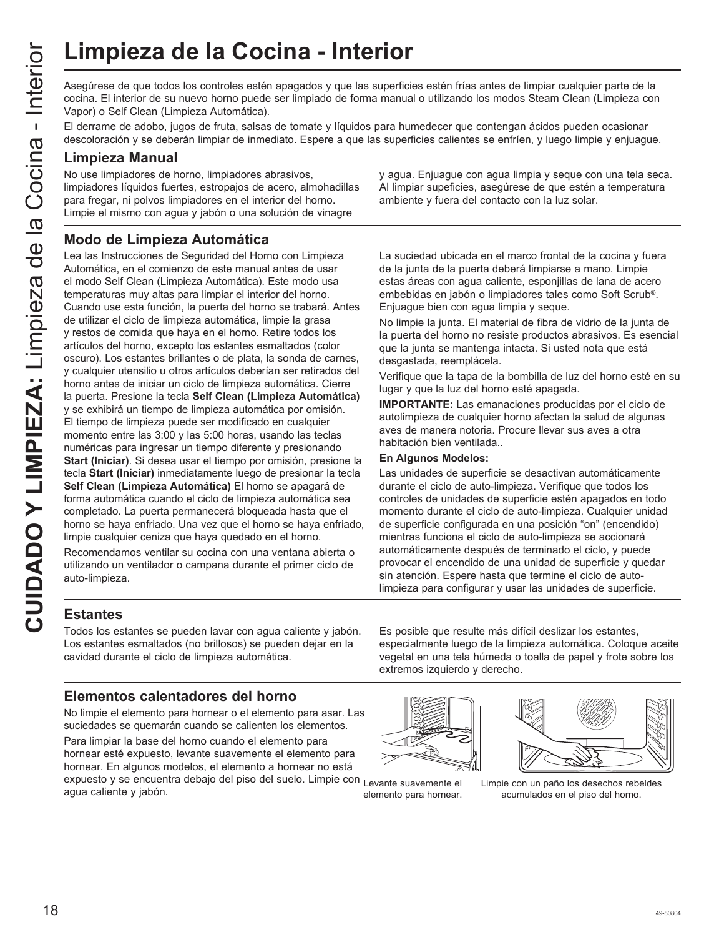Asegúrese de que todos los controles estén apagados y que las superficies estén frías antes de limpiar cualquier parte de la cocina. El interior de su nuevo horno puede ser limpiado de forma manual o utilizando los modos Steam Clean (Limpieza con Vapor) o Self Clean (Limpieza Automática).

El derrame de adobo, jugos de fruta, salsas de tomate y líquidos para humedecer que contengan ácidos pueden ocasionar descoloración y se deberán limpiar de inmediato. Espere a que las superficies calientes se enfríen, y luego limpie y enjuague.

#### **Limpieza Manual**

No use limpiadores de horno, limpiadores abrasivos, limpiadores líquidos fuertes, estropajos de acero, almohadillas para fregar, ni polvos limpiadores en el interior del horno. Limpie el mismo con agua y jabón o una solución de vinagre

y agua. Enjuague con agua limpia y seque con una tela seca. Al limpiar supeficies, asegúrese de que estén a temperatura ambiente y fuera del contacto con la luz solar.

## **Modo de Limpieza Automática**

CUIMPIEZA de la Cocina - Interior<br>
Cuine de la Cocina - Interior<br>
cocina Elimento de su nuevo homo puedo ser limpiado de forma manua<br>
Elemento de su nuevo homo puedo ser limpiado de forma manua<br>
Elemento de adopo, joys de Lea las Instrucciones de Seguridad del Horno con Limpieza Automática, en el comienzo de este manual antes de usar el modo Self Clean (Limpieza Automática). Este modo usa temperaturas muy altas para limpiar el interior del horno. Cuando use esta función, la puerta del horno se trabará. Antes de utilizar el ciclo de limpieza automática, limpie la grasa y restos de comida que haya en el horno. Retire todos los artículos del horno, excepto los estantes esmaltados (color oscuro). Los estantes brillantes o de plata, la sonda de carnes, y cualquier utensilio u otros artículos deberían ser retirados del horno antes de iniciar un ciclo de limpieza automática. Cierre la puerta. Presione la tecla **Self Clean (Limpieza Automática)** y se exhibirá un tiempo de limpieza automática por omisión. El tiempo de limpieza puede ser modificado en cualquier momento entre las 3:00 y las 5:00 horas, usando las teclas numéricas para ingresar un tiempo diferente y presionando **Start (Iniciar)**. Si desea usar el tiempo por omisión, presione la tecla **Start (Iniciar)** inmediatamente luego de presionar la tecla **Self Clean (Limpieza Automática)** El horno se apagará de forma automática cuando el ciclo de limpieza automática sea completado. La puerta permanecerá bloqueada hasta que el horno se haya enfriado. Una vez que el horno se haya enfriado, limpie cualquier ceniza que haya quedado en el horno.

Recomendamos ventilar su cocina con una ventana abierta o utilizando un ventilador o campana durante el primer ciclo de auto-limpieza.

La suciedad ubicada en el marco frontal de la cocina y fuera de la junta de la puerta deberá limpiarse a mano. Limpie estas áreas con agua caliente, esponjillas de lana de acero embebidas en jabón o limpiadores tales como Soft Scrub®. Enjuague bien con agua limpia y seque.

No limpie la junta. El material de fibra de vidrio de la junta de la puerta del horno no resiste productos abrasivos. Es esencial que la junta se mantenga intacta. Si usted nota que está desgastada, reemplácela.

Verifique que la tapa de la bombilla de luz del horno esté en su lugar y que la luz del horno esté apagada.

**IMPORTANTE:** Las emanaciones producidas por el ciclo de autolimpieza de cualquier horno afectan la salud de algunas aves de manera notoria. Procure llevar sus aves a otra habitación bien ventilada..

#### **En Algunos Modelos:**

Las unidades de superficie se desactivan automáticamente durante el ciclo de auto-limpieza. Verifique que todos los controles de unidades de superficie estén apagados en todo momento durante el ciclo de auto-limpieza. Cualquier unidad de superficie configurada en una posición "on" (encendido) mientras funciona el ciclo de auto-limpieza se accionará automáticamente después de terminado el ciclo, y puede provocar el encendido de una unidad de superficie y quedar sin atención. Espere hasta que termine el ciclo de autolimpieza para configurar y usar las unidades de superficie.

## **Estantes**

Todos los estantes se pueden lavar con agua caliente y jabón. Los estantes esmaltados (no brillosos) se pueden dejar en la cavidad durante el ciclo de limpieza automática.

## **Elementos calentadores del horno**

No limpie el elemento para hornear o el elemento para asar. Las suciedades se quemarán cuando se calienten los elementos.

Para limpiar la base del horno cuando el elemento para hornear esté expuesto, levante suavemente el elemento para hornear. En algunos modelos, el elemento a hornear no está expuesto y se encuentra debajo del piso del suelo. Limpie con agua caliente y jabón. Limpie con un paño los desechos rebeldes Levante suavemente el elemento para hornear.

Es posible que resulte más difícil deslizar los estantes, especialmente luego de la limpieza automática. Coloque aceite vegetal en una tela húmeda o toalla de papel y frote sobre los extremos izquierdo y derecho.





acumulados en el piso del horno.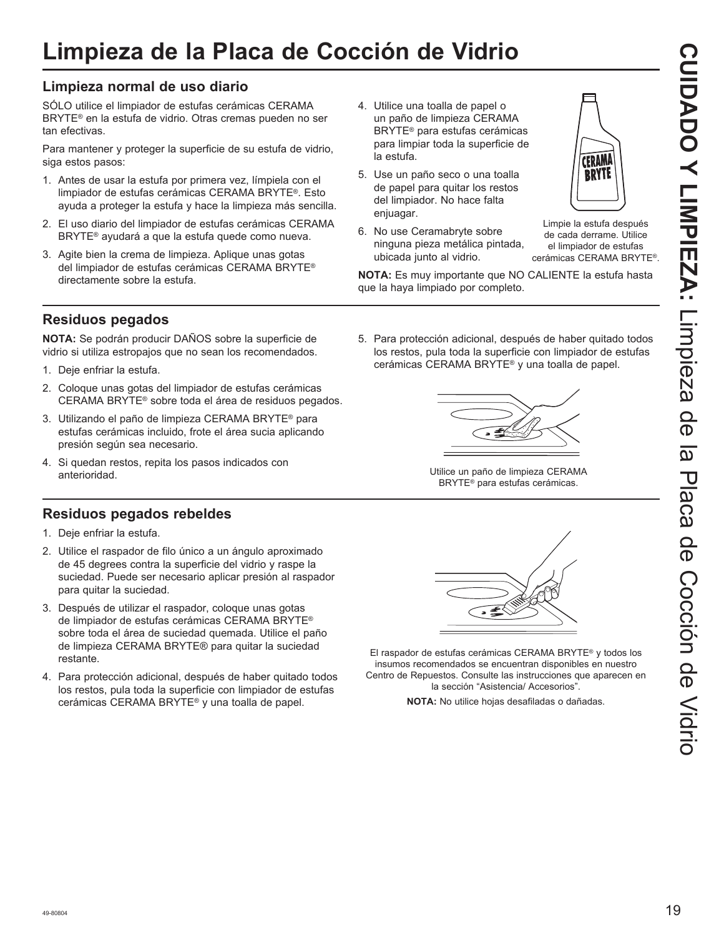## **Limpieza de la Placa de Cocción de Vidrio**

## **Limpieza normal de uso diario**

SÓLO utilice el limpiador de estufas cerámicas CERAMA BRYTE<sup>®</sup> en la estufa de vidrio. Otras cremas pueden no ser tan efectivas.

Para mantener y proteger la superficie de su estufa de vidrio, siga estos pasos:

- 1. Antes de usar la estufa por primera vez, límpiela con el limpiador de estufas cerámicas CERAMA BRYTE®. Esto ayuda a proteger la estufa y hace la limpieza más sencilla.
- 2. El uso diario del limpiador de estufas cerámicas CERAMA BRYTE<sup>®</sup> ayudará a que la estufa quede como nueva.
- 3. Agite bien la crema de limpieza. Aplique unas gotas del limpiador de estufas cerámicas CERAMA BRYTE® directamente sobre la estufa.
- 4. Utilice una toalla de papel o un paño de limpieza CERAMA BRYTE<sup>®</sup> para estufas cerámicas para limpiar toda la superficie de la estufa.
- 5. Use un paño seco o una toalla de papel para quitar los restos del limpiador. No hace falta enjuagar.
- 6. No use Ceramabryte sobre ninguna pieza metálica pintada, ubicada junto al vidrio.



Limpie la estufa después de cada derrame. Utilice el limpiador de estufas cerámicas CERAMA BRYTE®

**NOTA:** Es muy importante que NO CALIENTE la estufa hasta que la haya limpiado por completo.

## **Residuos pegados**

**NOTA:** Se podrán producir DAÑOS sobre la superficie de vidrio si utiliza estropajos que no sean los recomendados.

- 1. Deje enfriar la estufa.
- 2. Coloque unas gotas del limpiador de estufas cerámicas CERAMA BRYTE® sobre toda el área de residuos pegados.
- 3. Utilizando el paño de limpieza CERAMA BRYTE<sup>®</sup> para estufas cerámicas incluido, frote el área sucia aplicando presión según sea necesario.
- 4. Si quedan restos, repita los pasos indicados con anterioridad.

## **Residuos pegados rebeldes**

- 1. Deje enfriar la estufa.
- 2. Utilice el raspador de filo único a un ángulo aproximado de 45 degrees contra la superficie del vidrio y raspe la suciedad. Puede ser necesario aplicar presión al raspador para quitar la suciedad.
- 3. Después de utilizar el raspador, coloque unas gotas de limpiador de estufas cerámicas CERAMA BRYTE® sobre toda el área de suciedad quemada. Utilice el paño de limpieza CERAMA BRYTE® para quitar la suciedad restante.
- 4. Para protección adicional, después de haber quitado todos los restos, pula toda la superficie con limpiador de estufas cerámicas CERAMA BRYTE® y una toalla de papel.

5. Para protección adicional, después de haber quitado todos los restos, pula toda la superficie con limpiador de estufas cerámicas CERAMA BRYTE® y una toalla de papel.



Utilice un paño de limpieza CERAMA BRYTE® para estufas cerámicas.



El raspador de estufas cerámicas CERAMA BRYTE® y todos los insumos recomendados se encuentran disponibles en nuestro Centro de Repuestos. Consulte las instrucciones que aparecen en la sección "Asistencia/ Accesorios".

**NOTA:** No utilice hojas desafiladas o dañadas.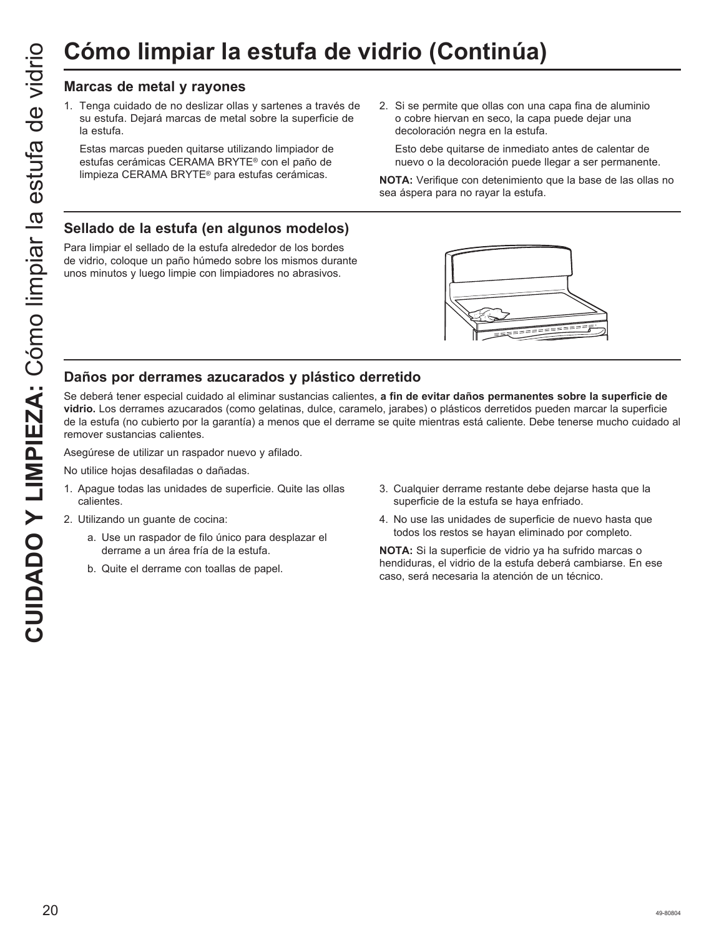1. Tenga cuidado de no deslizar ollas y sartenes a través de su estufa. Dejará marcas de metal sobre la superficie de la estufa.

 Estas marcas pueden quitarse utilizando limpiador de estufas cerámicas CERAMA BRYTE® con el paño de limpieza CERAMA BRYTE<sup>®</sup> para estufas cerámicas.

2. Si se permite que ollas con una capa fina de aluminio o cobre hiervan en seco, la capa puede dejar una decoloración negra en la estufa.

 Esto debe quitarse de inmediato antes de calentar de nuevo o la decoloración puede llegar a ser permanente.

**NOTA:** Verifique con detenimiento que la base de las ollas no sea áspera para no rayar la estufa.

## **Sellado de la estufa (en algunos modelos)**

Para limpiar el sellado de la estufa alrededor de los bordes de vidrio, coloque un paño húmedo sobre los mismos durante unos minutos y luego limpie con limpiadores no abrasivos.



## **Daños por derrames azucarados y plástico derretido**

Se deberá tener especial cuidado al eliminar sustancias calientes, **a fin de evitar daños permanentes sobre la superficie de vidrio.** Los derrames azucarados (como gelatinas, dulce, caramelo, jarabes) o plásticos derretidos pueden marcar la superficie de la estufa (no cubierto por la garantía) a menos que el derrame se quite mientras está caliente. Debe tenerse mucho cuidado al remover sustancias calientes.

Asegúrese de utilizar un raspador nuevo y afilado.

No utilice hojas desafiladas o dañadas.

- 1. Apague todas las unidades de superficie. Quite las ollas calientes.
- 2. Utilizando un guante de cocina:
	- a. Use un raspador de filo único para desplazar el derrame a un área fría de la estufa.
	- b. Quite el derrame con toallas de papel.
- 3. Cualquier derrame restante debe dejarse hasta que la superficie de la estufa se haya enfriado.
- 4. No use las unidades de superficie de nuevo hasta que todos los restos se hayan eliminado por completo.

**NOTA:** Si la superficie de vidrio ya ha sufrido marcas o hendiduras, el vidrio de la estufa deberá cambiarse. En ese caso, será necesaria la atención de un técnico.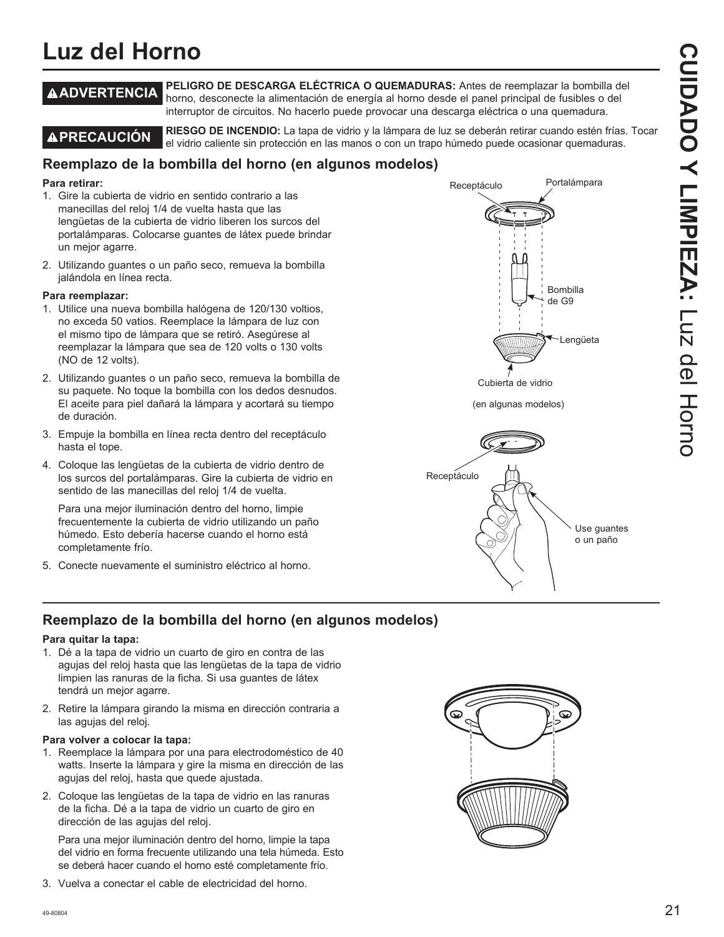## **Luz del Horno**

**ADVERTENCIA PELIGRO DE DESCARGA ELÉCTRICA O QUEMADURAS:** Antes de reemplazar la bombilla del horno, desconecte la alimentación de energía al horno desde el panel principal de fusibles o del interruptor de circuitos. No hacerlo puede provocar una descarga eléctrica o una quemadura.

**PRECAUCIÓN RIESGO DE INCENDIO:** La tapa de vidrio y la lámpara de luz se deberán retirar cuando estén frías. Tocar el vidrio caliente sin protección en las manos o con un trapo húmedo puede ocasionar quemaduras.

## **Reemplazo de la bombilla del horno (en algunos modelos)**

#### **Para retirar:**

- 1. Gire la cubierta de vidrio en sentido contrario a las manecillas del reloj 1/4 de vuelta hasta que las lengüetas de la cubierta de vidrio liberen los surcos del portalámparas. Colocarse guantes de látex puede brindar un mejor agarre.
- 2. Utilizando guantes o un paño seco, remueva la bombilla jalándola en línea recta.

#### **Para reemplazar:**

- 1. Utilice una nueva bombilla halógena de 120/130 voltios, no exceda 50 vatios. Reemplace la lámpara de luz con el mismo tipo de lámpara que se retiró. Asegúrese al reemplazar la lámpara que sea de 120 volts o 130 volts (NO de 12 volts).
- 2. Utilizando quantes o un paño seco, remueva la bombilla de su paquete. No toque la bombilla con los dedos desnudos. El aceite para piel dañará la lámpara y acortará su tiempo de duración.
- 3. Empuje la bombilla en línea recta dentro del receptáculo hasta el tope.
- 4. Coloque las lengüetas de la cubierta de vidrio dentro de los surcos del portalámparas. Gire la cubierta de vidrio en sentido de las manecillas del reloj 1/4 de vuelta.

 Para una mejor iluminación dentro del horno, limpie frecuentemente la cubierta de vidrio utilizando un paño húmedo. Esto debería hacerse cuando el horno está completamente frío.

5. Conecte nuevamente el suministro eléctrico al horno.





## **Reemplazo de la bombilla del horno (en algunos modelos)**

#### **Para quitar la tapa:**

- 1. Dé a la tapa de vidrio un cuarto de giro en contra de las agujas del reloj hasta que las lengüetas de la tapa de vidrio limpien las ranuras de la ficha. Si usa guantes de látex tendrá un mejor agarre.
- 2. Retire la lámpara girando la misma en dirección contraria a las agujas del reloj.

#### **Para volver a colocar la tapa:**

- 1. Reemplace la lámpara por una para electrodoméstico de 40 watts. Inserte la lámpara y gire la misma en dirección de las agujas del reloj, hasta que quede ajustada.
- 2. Coloque las lengüetas de la tapa de vidrio en las ranuras de la ficha. Dé a la tapa de vidrio un cuarto de giro en dirección de las agujas del reloj.

 Para una mejor iluminación dentro del horno, limpie la tapa del vidrio en forma frecuente utilizando una tela húmeda. Esto se deberá hacer cuando el horno esté completamente frío.

3. Vuelva a conectar el cable de electricidad del horno.

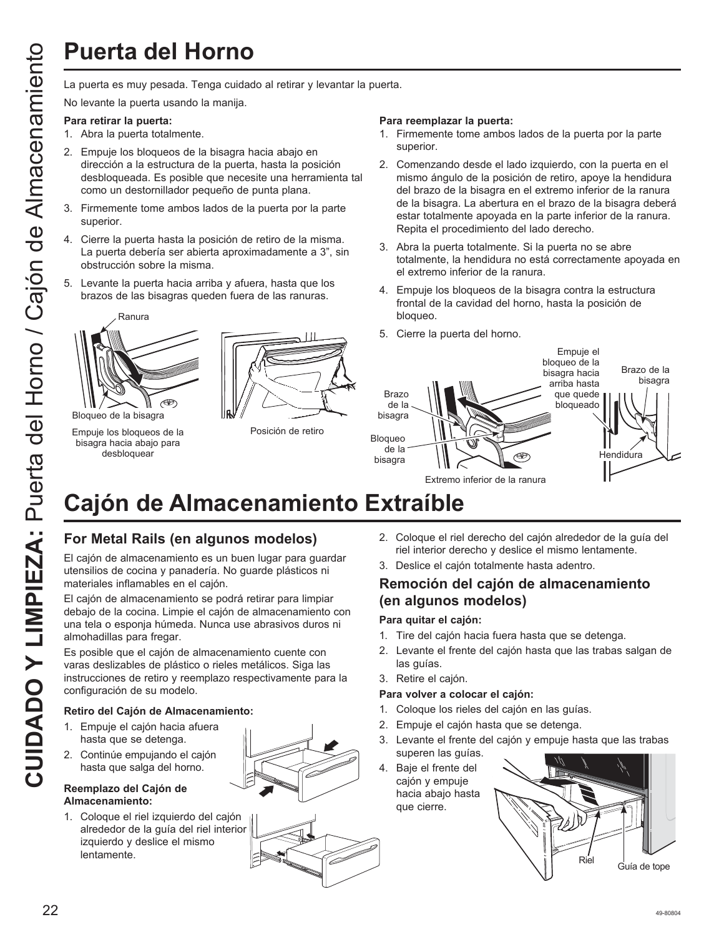La puerta es muy pesada. Tenga cuidado al retirar y levantar la puerta.

No levante la puerta usando la manija.

#### **Para retirar la puerta:**

- 1. Abra la puerta totalmente.
- 2. Empuje los bloqueos de la bisagra hacia abajo en dirección a la estructura de la puerta, hasta la posición desbloqueada. Es posible que necesite una herramienta tal como un destornillador pequeño de punta plana.
- 3. Firmemente tome ambos lados de la puerta por la parte superior.
- 4. Cierre la puerta hasta la posición de retiro de la misma. La puerta debería ser abierta aproximadamente a 3", sin obstrucción sobre la misma.
- 5. Levante la puerta hacia arriba y afuera, hasta que los brazos de las bisagras queden fuera de las ranuras.



Bloqueo de la bisagra

Empuje los bloqueos de la bisagra hacia abajo para desbloquear



Posición de retiro

#### **Para reemplazar la puerta:**

- 1. Firmemente tome ambos lados de la puerta por la parte superior.
- 2. Comenzando desde el lado izquierdo, con la puerta en el mismo ángulo de la posición de retiro, apoye la hendidura del brazo de la bisagra en el extremo inferior de la ranura de la bisagra. La abertura en el brazo de la bisagra deberá estar totalmente apoyada en la parte inferior de la ranura. Repita el procedimiento del lado derecho.
- 3. Abra la puerta totalmente. Si la puerta no se abre totalmente, la hendidura no está correctamente apoyada en el extremo inferior de la ranura.
- 4. Empuje los bloqueos de la bisagra contra la estructura frontal de la cavidad del horno, hasta la posición de bloqueo.
- 5. Cierre la puerta del horno.



# **Cajón de Almacenamiento Extraíble**

## **For Metal Rails (en algunos modelos)**

El cajón de almacenamiento es un buen lugar para guardar utensilios de cocina y panadería. No guarde plásticos ni materiales inflamables en el cajón.

El cajón de almacenamiento se podrá retirar para limpiar debajo de la cocina. Limpie el cajón de almacenamiento con una tela o esponja húmeda. Nunca use abrasivos duros ni almohadillas para fregar.

Es posible que el cajón de almacenamiento cuente con varas deslizables de plástico o rieles metálicos. Siga las instrucciones de retiro y reemplazo respectivamente para la configuración de su modelo.

#### **Retiro del Cajón de Almacenamiento:**

- 1. Empuje el cajón hacia afuera hasta que se detenga.
- 2. Continúe empujando el cajón hasta que salga del horno.

#### **Reemplazo del Cajón de Almacenamiento:**

1. Coloque el riel izquierdo del cajón alrededor de la guía del riel interior izquierdo y deslice el mismo lentamente.

riel interior derecho y deslice el mismo lentamente. 3. Deslice el cajón totalmente hasta adentro.

2. Coloque el riel derecho del cajón alrededor de la guía del

## **Remoción del cajón de almacenamiento (en algunos modelos)**

#### **Para quitar el cajón:**

- 1. Tire del cajón hacia fuera hasta que se detenga.
- 2. Levante el frente del cajón hasta que las trabas salgan de las guías.
- 3. Retire el cajón.

#### **Para volver a colocar el cajón:**

- 1. Coloque los rieles del cajón en las guías.
- 2. Empuje el cajón hasta que se detenga.
- 3. Levante el frente del cajón y empuje hasta que las trabas superen las guías.
- 4. Baje el frente del cajón y empuje hacia abajo hasta que cierre.



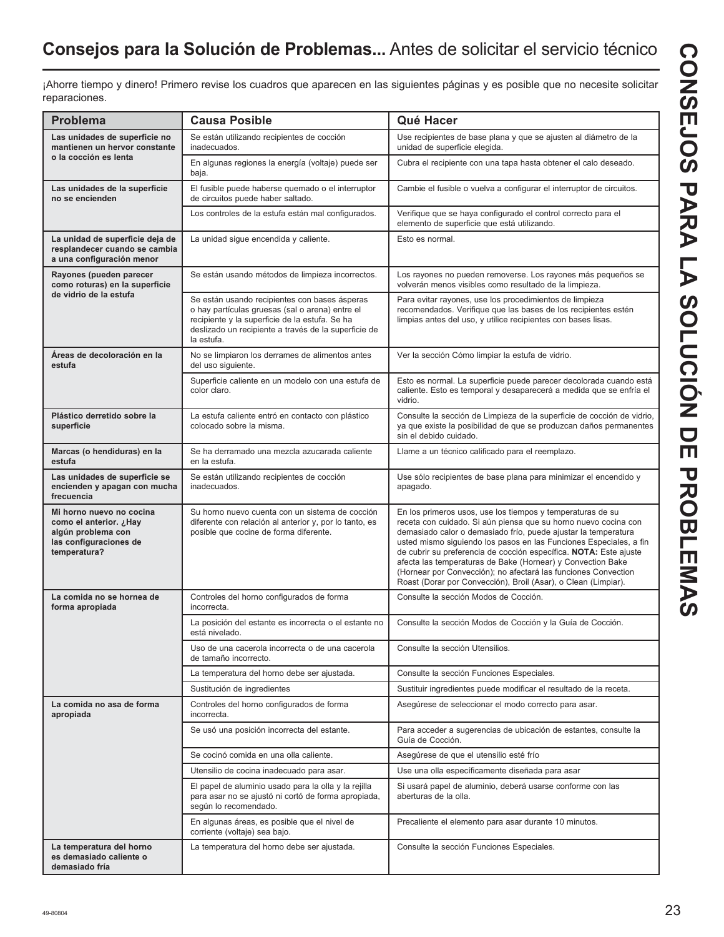## **Consejos para la Solución de Problemas...** Antes de solicitar el servicio técnico

¡Ahorre tiempo y dinero! Primero revise los cuadros que aparecen en las siguientes páginas y es posible que no necesite solicitar reparaciones.

| <b>Problema</b>                                                                                                    | <b>Causa Posible</b>                                                                                                                                                                                                     | Qué Hacer                                                                                                                                                                                                                                                                                                                                                                                                                                                                                                                                     |
|--------------------------------------------------------------------------------------------------------------------|--------------------------------------------------------------------------------------------------------------------------------------------------------------------------------------------------------------------------|-----------------------------------------------------------------------------------------------------------------------------------------------------------------------------------------------------------------------------------------------------------------------------------------------------------------------------------------------------------------------------------------------------------------------------------------------------------------------------------------------------------------------------------------------|
| Las unidades de superficie no<br>mantienen un hervor constante                                                     | Se están utilizando recipientes de cocción<br>inadecuados.                                                                                                                                                               | Use recipientes de base plana y que se ajusten al diámetro de la<br>unidad de superficie elegida.                                                                                                                                                                                                                                                                                                                                                                                                                                             |
| o la cocción es lenta                                                                                              | En algunas regiones la energía (voltaje) puede ser<br>baja.                                                                                                                                                              | Cubra el recipiente con una tapa hasta obtener el calo deseado.                                                                                                                                                                                                                                                                                                                                                                                                                                                                               |
| Las unidades de la superficie<br>no se encienden                                                                   | El fusible puede haberse quemado o el interruptor<br>de circuitos puede haber saltado.                                                                                                                                   | Cambie el fusible o vuelva a configurar el interruptor de circuitos.                                                                                                                                                                                                                                                                                                                                                                                                                                                                          |
|                                                                                                                    | Los controles de la estufa están mal configurados.                                                                                                                                                                       | Verifique que se haya configurado el control correcto para el<br>elemento de superficie que está utilizando.                                                                                                                                                                                                                                                                                                                                                                                                                                  |
| La unidad de superficie deja de<br>resplandecer cuando se cambia<br>a una configuración menor                      | La unidad sigue encendida y caliente.                                                                                                                                                                                    | Esto es normal.                                                                                                                                                                                                                                                                                                                                                                                                                                                                                                                               |
| Rayones (pueden parecer<br>como roturas) en la superficie                                                          | Se están usando métodos de limpieza incorrectos.                                                                                                                                                                         | Los rayones no pueden removerse. Los rayones más pequeños se<br>volverán menos visibles como resultado de la limpieza.                                                                                                                                                                                                                                                                                                                                                                                                                        |
| de vidrio de la estufa                                                                                             | Se están usando recipientes con bases ásperas<br>o hay partículas gruesas (sal o arena) entre el<br>recipiente y la superficie de la estufa. Se ha<br>deslizado un recipiente a través de la superficie de<br>la estufa. | Para evitar rayones, use los procedimientos de limpieza<br>recomendados. Verifique que las bases de los recipientes estén<br>limpias antes del uso, y utilice recipientes con bases lisas.                                                                                                                                                                                                                                                                                                                                                    |
| Áreas de decoloración en la<br>estufa                                                                              | No se limpiaron los derrames de alimentos antes<br>del uso siguiente.                                                                                                                                                    | Ver la sección Cómo limpiar la estufa de vidrio.                                                                                                                                                                                                                                                                                                                                                                                                                                                                                              |
|                                                                                                                    | Superficie caliente en un modelo con una estufa de<br>color claro.                                                                                                                                                       | Esto es normal. La superficie puede parecer decolorada cuando está<br>caliente. Esto es temporal y desaparecerá a medida que se enfría el<br>vidrio.                                                                                                                                                                                                                                                                                                                                                                                          |
| Plástico derretido sobre la<br>superficie                                                                          | La estufa caliente entró en contacto con plástico<br>colocado sobre la misma.                                                                                                                                            | Consulte la sección de Limpieza de la superficie de cocción de vidrio,<br>ya que existe la posibilidad de que se produzcan daños permanentes<br>sin el debido cuidado.                                                                                                                                                                                                                                                                                                                                                                        |
| Marcas (o hendiduras) en la<br>estufa                                                                              | Se ha derramado una mezcla azucarada caliente<br>en la estufa.                                                                                                                                                           | Llame a un técnico calificado para el reemplazo.                                                                                                                                                                                                                                                                                                                                                                                                                                                                                              |
| Las unidades de superficie se<br>encienden y apagan con mucha<br>frecuencia                                        | Se están utilizando recipientes de cocción<br>inadecuados.                                                                                                                                                               | Use sólo recipientes de base plana para minimizar el encendido y<br>apagado.                                                                                                                                                                                                                                                                                                                                                                                                                                                                  |
| Mi horno nuevo no cocina<br>como el anterior. ¿Hay<br>algún problema con<br>las configuraciones de<br>temperatura? | Su horno nuevo cuenta con un sistema de cocción<br>diferente con relación al anterior y, por lo tanto, es<br>posible que cocine de forma diferente.                                                                      | En los primeros usos, use los tiempos y temperaturas de su<br>receta con cuidado. Si aún piensa que su horno nuevo cocina con<br>demasiado calor o demasiado frío, puede ajustar la temperatura<br>usted mismo siguiendo los pasos en las Funciones Especiales, a fin<br>de cubrir su preferencia de cocción específica. NOTA: Este ajuste<br>afecta las temperaturas de Bake (Hornear) y Convection Bake<br>(Hornear por Convección); no afectará las funciones Convection<br>Roast (Dorar por Convección), Broil (Asar), o Clean (Limpiar). |
| La comida no se hornea de<br>forma apropiada                                                                       | Controles del horno configurados de forma<br>incorrecta.                                                                                                                                                                 | Consulte la sección Modos de Cocción.                                                                                                                                                                                                                                                                                                                                                                                                                                                                                                         |
|                                                                                                                    | La posición del estante es incorrecta o el estante no<br>está nivelado.                                                                                                                                                  | Consulte la sección Modos de Cocción y la Guía de Cocción.                                                                                                                                                                                                                                                                                                                                                                                                                                                                                    |
|                                                                                                                    | Uso de una cacerola incorrecta o de una cacerola<br>de tamaño incorrecto.                                                                                                                                                | Consulte la sección Utensilios.                                                                                                                                                                                                                                                                                                                                                                                                                                                                                                               |
|                                                                                                                    | La temperatura del horno debe ser ajustada.                                                                                                                                                                              | Consulte la sección Funciones Especiales.                                                                                                                                                                                                                                                                                                                                                                                                                                                                                                     |
|                                                                                                                    | Sustitución de ingredientes                                                                                                                                                                                              | Sustituir ingredientes puede modificar el resultado de la receta.                                                                                                                                                                                                                                                                                                                                                                                                                                                                             |
| La comida no asa de forma<br>apropiada                                                                             | Controles del horno configurados de forma<br>incorrecta.                                                                                                                                                                 | Asegúrese de seleccionar el modo correcto para asar.                                                                                                                                                                                                                                                                                                                                                                                                                                                                                          |
|                                                                                                                    | Se usó una posición incorrecta del estante.                                                                                                                                                                              | Para acceder a sugerencias de ubicación de estantes, consulte la<br>Guía de Cocción.                                                                                                                                                                                                                                                                                                                                                                                                                                                          |
|                                                                                                                    | Se cocinó comida en una olla caliente.                                                                                                                                                                                   | Asegúrese de que el utensilio esté frío                                                                                                                                                                                                                                                                                                                                                                                                                                                                                                       |
|                                                                                                                    | Utensilio de cocina inadecuado para asar.                                                                                                                                                                                | Use una olla específicamente diseñada para asar                                                                                                                                                                                                                                                                                                                                                                                                                                                                                               |
|                                                                                                                    | El papel de aluminio usado para la olla y la rejilla<br>para asar no se ajustó ni cortó de forma apropiada,<br>según lo recomendado.                                                                                     | Si usará papel de aluminio, deberá usarse conforme con las<br>aberturas de la olla.                                                                                                                                                                                                                                                                                                                                                                                                                                                           |
|                                                                                                                    | En algunas áreas, es posible que el nivel de<br>corriente (voltaje) sea bajo.                                                                                                                                            | Precaliente el elemento para asar durante 10 minutos.                                                                                                                                                                                                                                                                                                                                                                                                                                                                                         |
| La temperatura del horno<br>es demasiado caliente o<br>demasiado fría                                              | La temperatura del horno debe ser ajustada.                                                                                                                                                                              | Consulte la sección Funciones Especiales.                                                                                                                                                                                                                                                                                                                                                                                                                                                                                                     |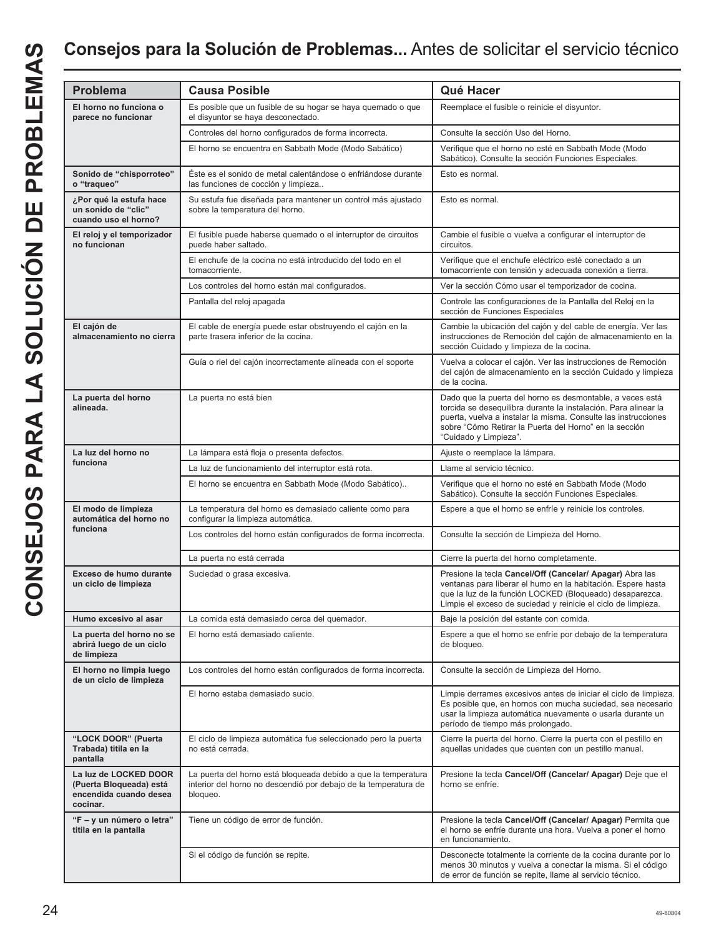## **Consejos para la Solución de Problemas...** Antes de solicitar el servicio técnico

| <b>Problema</b>                                                                        | <b>Causa Posible</b>                                                                                                                          | Qué Hacer                                                                                                                                                                                                                                                                         |
|----------------------------------------------------------------------------------------|-----------------------------------------------------------------------------------------------------------------------------------------------|-----------------------------------------------------------------------------------------------------------------------------------------------------------------------------------------------------------------------------------------------------------------------------------|
| El horno no funciona o<br>parece no funcionar                                          | Es posible que un fusible de su hogar se haya quemado o que<br>el disyuntor se haya desconectado.                                             | Reemplace el fusible o reinicie el disyuntor.                                                                                                                                                                                                                                     |
|                                                                                        | Controles del horno configurados de forma incorrecta.                                                                                         | Consulte la sección Uso del Horno.                                                                                                                                                                                                                                                |
|                                                                                        | El horno se encuentra en Sabbath Mode (Modo Sabático)                                                                                         | Verifique que el horno no esté en Sabbath Mode (Modo<br>Sabático). Consulte la sección Funciones Especiales.                                                                                                                                                                      |
| Sonido de "chisporroteo"<br>o "traqueo"                                                | Éste es el sonido de metal calentándose o enfriándose durante<br>las funciones de cocción y limpieza                                          | Esto es normal.                                                                                                                                                                                                                                                                   |
| ¿Por qué la estufa hace<br>un sonido de "clic"<br>cuando uso el horno?                 | Su estufa fue diseñada para mantener un control más ajustado<br>sobre la temperatura del horno.                                               | Esto es normal.                                                                                                                                                                                                                                                                   |
| El reloj y el temporizador<br>no funcionan                                             | El fusible puede haberse quemado o el interruptor de circuitos<br>puede haber saltado.                                                        | Cambie el fusible o vuelva a configurar el interruptor de<br>circuitos.                                                                                                                                                                                                           |
|                                                                                        | El enchufe de la cocina no está introducido del todo en el<br>tomacorriente.                                                                  | Verifique que el enchufe eléctrico esté conectado a un<br>tomacorriente con tensión y adecuada conexión a tierra.                                                                                                                                                                 |
|                                                                                        | Los controles del horno están mal configurados.                                                                                               | Ver la sección Cómo usar el temporizador de cocina.                                                                                                                                                                                                                               |
|                                                                                        | Pantalla del reloj apagada                                                                                                                    | Controle las configuraciones de la Pantalla del Reloj en la<br>sección de Funciones Especiales                                                                                                                                                                                    |
| El cajón de<br>almacenamiento no cierra                                                | El cable de energía puede estar obstruyendo el cajón en la<br>parte trasera inferior de la cocina.                                            | Cambie la ubicación del cajón y del cable de energía. Ver las<br>instrucciones de Remoción del cajón de almacenamiento en la<br>sección Cuidado y limpieza de la cocina.                                                                                                          |
|                                                                                        | Guía o riel del cajón incorrectamente alineada con el soporte                                                                                 | Vuelva a colocar el cajón. Ver las instrucciones de Remoción<br>del cajón de almacenamiento en la sección Cuidado y limpieza<br>de la cocina.                                                                                                                                     |
| La puerta del horno<br>alineada.                                                       | La puerta no está bien                                                                                                                        | Dado que la puerta del horno es desmontable, a veces está<br>torcida se desequilibra durante la instalación. Para alinear la<br>puerta, vuelva a instalar la misma. Consulte las instrucciones<br>sobre "Cómo Retirar la Puerta del Horno" en la sección<br>"Cuidado y Limpieza". |
| La luz del horno no                                                                    | La lámpara está floja o presenta defectos.                                                                                                    | Ajuste o reemplace la lámpara.                                                                                                                                                                                                                                                    |
| funciona                                                                               | La luz de funcionamiento del interruptor está rota.                                                                                           | Llame al servicio técnico.                                                                                                                                                                                                                                                        |
|                                                                                        | El horno se encuentra en Sabbath Mode (Modo Sabático)                                                                                         | Verifique que el horno no esté en Sabbath Mode (Modo<br>Sabático). Consulte la sección Funciones Especiales.                                                                                                                                                                      |
| El modo de limpieza<br>automática del horno no                                         | La temperatura del horno es demasiado caliente como para<br>configurar la limpieza automática.                                                | Espere a que el horno se enfríe y reinicie los controles.                                                                                                                                                                                                                         |
| funciona                                                                               | Los controles del horno están configurados de forma incorrecta.                                                                               | Consulte la sección de Limpieza del Horno.                                                                                                                                                                                                                                        |
|                                                                                        | La puerta no está cerrada                                                                                                                     | Cierre la puerta del horno completamente.                                                                                                                                                                                                                                         |
| Exceso de humo durante<br>un ciclo de limpieza                                         | Suciedad o grasa excesiva.                                                                                                                    | Presione la tecla Cancel/Off (Cancelar/ Apagar) Abra las<br>ventanas para liberar el humo en la habitación. Espere hasta<br>que la luz de la función LOCKED (Bloqueado) desaparezca.<br>Limpie el exceso de suciedad y reinicie el ciclo de limpieza.                             |
| Humo excesivo al asar                                                                  | La comida está demasiado cerca del quemador.                                                                                                  | Baje la posición del estante con comida.                                                                                                                                                                                                                                          |
| La puerta del horno no se<br>abrirá luego de un ciclo<br>de limpieza                   | El horno está demasiado caliente.                                                                                                             | Espere a que el horno se enfríe por debajo de la temperatura<br>de bloqueo.                                                                                                                                                                                                       |
| El horno no limpia luego<br>de un ciclo de limpieza                                    | Los controles del horno están configurados de forma incorrecta.                                                                               | Consulte la sección de Limpieza del Horno.                                                                                                                                                                                                                                        |
|                                                                                        | El horno estaba demasiado sucio.                                                                                                              | Limpie derrames excesivos antes de iniciar el ciclo de limpieza.<br>Es posible que, en hornos con mucha suciedad, sea necesario<br>usar la limpieza automática nuevamente o usarla durante un<br>período de tiempo más prolongado.                                                |
| "LOCK DOOR" (Puerta<br>Trabada) titila en la<br>pantalla                               | El ciclo de limpieza automática fue seleccionado pero la puerta<br>no está cerrada.                                                           | Cierre la puerta del horno. Cierre la puerta con el pestillo en<br>aquellas unidades que cuenten con un pestillo manual.                                                                                                                                                          |
| La luz de LOCKED DOOR<br>(Puerta Bloqueada) está<br>encendida cuando desea<br>cocinar. | La puerta del horno está bloqueada debido a que la temperatura<br>interior del horno no descendió por debajo de la temperatura de<br>bloqueo. | Presione la tecla Cancel/Off (Cancelar/ Apagar) Deje que el<br>horno se enfríe.                                                                                                                                                                                                   |
| "F - y un número o letra"<br>titila en la pantalla                                     | Tiene un código de error de función.                                                                                                          | Presione la tecla Cancel/Off (Cancelar/ Apagar) Permita que<br>el horno se enfríe durante una hora. Vuelva a poner el horno<br>en funcionamiento.                                                                                                                                 |
|                                                                                        | Si el código de función se repite.                                                                                                            | Desconecte totalmente la corriente de la cocina durante por lo<br>menos 30 minutos y vuelva a conectar la misma. Si el código<br>de error de función se repite, llame al servicio técnico.                                                                                        |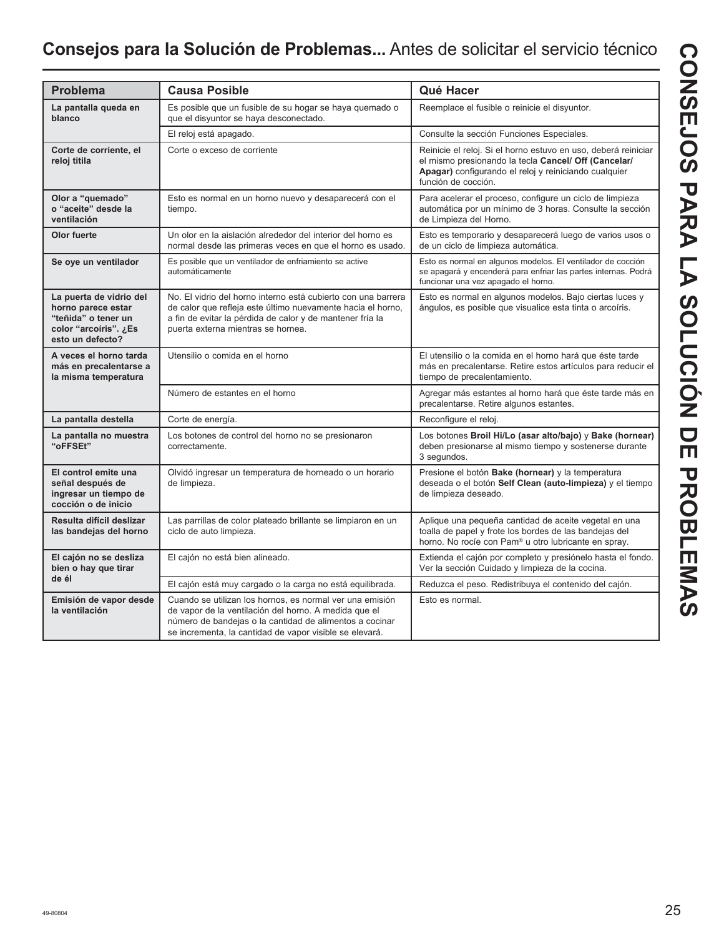## **Consejos para la Solución de Problemas...** Antes de solicitar el servicio técnico

| <b>Problema</b>                                                                                                   | <b>Causa Posible</b>                                                                                                                                                                                                                    | Qué Hacer                                                                                                                                                                                              |
|-------------------------------------------------------------------------------------------------------------------|-----------------------------------------------------------------------------------------------------------------------------------------------------------------------------------------------------------------------------------------|--------------------------------------------------------------------------------------------------------------------------------------------------------------------------------------------------------|
| La pantalla queda en<br>blanco                                                                                    | Es posible que un fusible de su hogar se haya quemado o<br>que el disyuntor se haya desconectado.                                                                                                                                       | Reemplace el fusible o reinicie el disyuntor.                                                                                                                                                          |
|                                                                                                                   | El reloj está apagado.                                                                                                                                                                                                                  | Consulte la sección Funciones Especiales.                                                                                                                                                              |
| Corte de corriente, el<br>reloj titila                                                                            | Corte o exceso de corriente                                                                                                                                                                                                             | Reinicie el reloj. Si el horno estuvo en uso, deberá reiniciar<br>el mismo presionando la tecla Cancel/ Off (Cancelar/<br>Apagar) configurando el reloj y reiniciando cualquier<br>función de cocción. |
| Olor a "quemado"<br>o "aceite" desde la<br>ventilación                                                            | Esto es normal en un horno nuevo y desaparecerá con el<br>tiempo.                                                                                                                                                                       | Para acelerar el proceso, configure un ciclo de limpieza<br>automática por un mínimo de 3 horas. Consulte la sección<br>de Limpieza del Horno.                                                         |
| Olor fuerte                                                                                                       | Un olor en la aislación alrededor del interior del horno es<br>normal desde las primeras veces en que el horno es usado.                                                                                                                | Esto es temporario y desaparecerá luego de varios usos o<br>de un ciclo de limpieza automática.                                                                                                        |
| Se oye un ventilador                                                                                              | Es posible que un ventilador de enfriamiento se active<br>automáticamente                                                                                                                                                               | Esto es normal en algunos modelos. El ventilador de cocción<br>se apagará y encenderá para enfriar las partes internas. Podrá<br>funcionar una vez apagado el horno.                                   |
| La puerta de vidrio del<br>horno parece estar<br>"teñida" o tener un<br>color "arcoíris". ¿Es<br>esto un defecto? | No. El vidrio del horno interno está cubierto con una barrera<br>de calor que refleja este último nuevamente hacia el horno,<br>a fin de evitar la pérdida de calor y de mantener fría la<br>puerta externa mientras se hornea.         | Esto es normal en algunos modelos. Bajo ciertas luces y<br>ángulos, es posible que visualice esta tinta o arcoíris.                                                                                    |
| A veces el horno tarda<br>más en precalentarse a<br>la misma temperatura                                          | Utensilio o comida en el horno                                                                                                                                                                                                          | El utensilio o la comida en el horno hará que éste tarde<br>más en precalentarse. Retire estos artículos para reducir el<br>tiempo de precalentamiento.                                                |
|                                                                                                                   | Número de estantes en el horno                                                                                                                                                                                                          | Agregar más estantes al horno hará que éste tarde más en<br>precalentarse. Retire algunos estantes.                                                                                                    |
| La pantalla destella                                                                                              | Corte de energía.                                                                                                                                                                                                                       | Reconfigure el reloj.                                                                                                                                                                                  |
| La pantalla no muestra<br>"oFFSEt"                                                                                | Los botones de control del horno no se presionaron<br>correctamente.                                                                                                                                                                    | Los botones Broil Hi/Lo (asar alto/bajo) y Bake (hornear)<br>deben presionarse al mismo tiempo y sostenerse durante<br>3 segundos.                                                                     |
| El control emite una<br>señal después de<br>ingresar un tiempo de<br>cocción o de inicio                          | Olvidó ingresar un temperatura de horneado o un horario<br>de limpieza.                                                                                                                                                                 | Presione el botón Bake (hornear) y la temperatura<br>deseada o el botón Self Clean (auto-limpieza) y el tiempo<br>de limpieza deseado.                                                                 |
| Resulta difícil deslizar<br>las bandejas del horno                                                                | Las parrillas de color plateado brillante se limpiaron en un<br>ciclo de auto limpieza.                                                                                                                                                 | Aplique una pequeña cantidad de aceite vegetal en una<br>toalla de papel y frote los bordes de las bandejas del<br>horno. No rocíe con Pam <sup>®</sup> u otro lubricante en spray.                    |
| El cajón no se desliza<br>bien o hay que tirar                                                                    | El cajón no está bien alineado.                                                                                                                                                                                                         | Extienda el cajón por completo y presiónelo hasta el fondo.<br>Ver la sección Cuidado y limpieza de la cocina.                                                                                         |
| de él                                                                                                             | El cajón está muy cargado o la carga no está equilibrada.                                                                                                                                                                               | Reduzca el peso. Redistribuya el contenido del cajón.                                                                                                                                                  |
| Emisión de vapor desde<br>la ventilación                                                                          | Cuando se utilizan los hornos, es normal ver una emisión<br>de vapor de la ventilación del horno. A medida que el<br>número de bandejas o la cantidad de alimentos a cocinar<br>se incrementa, la cantidad de vapor visible se elevará. | Esto es normal.                                                                                                                                                                                        |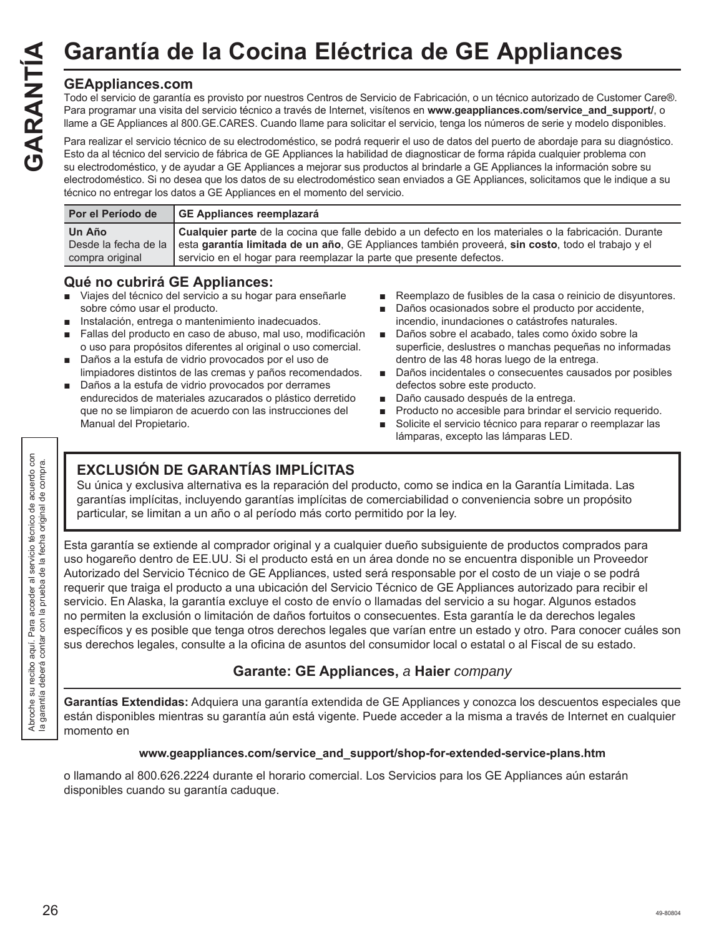## **GEAppliances.com**

Todo el servicio de garantía es provisto por nuestros Centros de Servicio de Fabricación, o un técnico autorizado de Customer Care®. Para programar una visita del servicio técnico a través de Internet, visítenos en **www.geappliances.com/service\_and\_support/**, o llame a GE Appliances al 800.GE.CARES. Cuando llame para solicitar el servicio, tenga los números de serie y modelo disponibles. Garantía de la Cocina Eléctrica de GE Appliances<br>
Tota de la cocina de Servicio de Fabricación, o un técnico autorizado de Custo<br>
Para programar una visita del servicio técnico a través de Internet, visítenos en www.geappl

Para realizar el servicio técnico de su electrodoméstico, se podrá requerir el uso de datos del puerto de abordaje para su diagnóstico. Esto da al técnico del servicio de fábrica de GE Appliances la habilidad de diagnosticar de forma rápida cualquier problema con su electrodoméstico, y de ayudar a GE Appliances a mejorar sus productos al brindarle a GE Appliances la información sobre su electrodoméstico. Si no desea que los datos de su electrodoméstico sean enviados a GE Appliances, solicitamos que le indique a su técnico no entregar los datos a GE Appliances en el momento del servicio.

| Por el Período de | GE Appliances reemplazará                                                                                              |
|-------------------|------------------------------------------------------------------------------------------------------------------------|
| Un Año            | Cualquier parte de la cocina que falle debido a un defecto en los materiales o la fabricación. Durante                 |
|                   | Desde la fecha de la esta garantía limitada de un año, GE Appliances también proveerá, sin costo, todo el trabajo y el |
| compra original   | servicio en el hogar para reemplazar la parte que presente defectos.                                                   |

## **Qué no cubrirá GE Appliances:**

- Viajes del técnico del servicio a su hogar para enseñarle sobre cómo usar el producto.
- Instalación, entrega o mantenimiento inadecuados.
- Fallas del producto en caso de abuso, mal uso, modificación o uso para propósitos diferentes al original o uso comercial.
- Daños a la estufa de vidrio provocados por el uso de limpiadores distintos de las cremas y paños recomendados.
- Daños a la estufa de vidrio provocados por derrames endurecidos de materiales azucarados o plástico derretido que no se limpiaron de acuerdo con las instrucciones del Manual del Propietario.
- Reemplazo de fusibles de la casa o reinicio de disyuntores.
- Daños ocasionados sobre el producto por accidente, incendio, inundaciones o catástrofes naturales.
- Daños sobre el acabado, tales como óxido sobre la superficie, deslustres o manchas pequeñas no informadas dentro de las 48 horas luego de la entrega.
- Daños incidentales o consecuentes causados por posibles defectos sobre este producto.
- Daño causado después de la entrega.
- Producto no accesible para brindar el servicio requerido.
- Solicite el servicio técnico para reparar o reemplazar las lámparas, excepto las lámparas LED.

## **EXCLUSIÓN DE GARANTÍAS IMPLÍCITAS**

Su única y exclusiva alternativa es la reparación del producto, como se indica en la Garantía Limitada. Las garantías implícitas, incluyendo garantías implícitas de comerciabilidad o conveniencia sobre un propósito particular, se limitan a un año o al período más corto permitido por la ley.

Esta garantía se extiende al comprador original y a cualquier dueño subsiguiente de productos comprados para uso hogareño dentro de EE.UU. Si el producto está en un área donde no se encuentra disponible un Proveedor Autorizado del Servicio Técnico de GE Appliances, usted será responsable por el costo de un viaje o se podrá requerir que traiga el producto a una ubicación del Servicio Técnico de GE Appliances autorizado para recibir el servicio. En Alaska, la garantía excluye el costo de envío o llamadas del servicio a su hogar. Algunos estados no permiten la exclusión o limitación de daños fortuitos o consecuentes. Esta garantía le da derechos legales específicos y es posible que tenga otros derechos legales que varían entre un estado y otro. Para conocer cuáles son sus derechos legales, consulte a la oficina de asuntos del consumidor local o estatal o al Fiscal de su estado.

## **Garante: GE Appliances,** *a* **Haier** *company*

**Garantías Extendidas:** Adquiera una garantía extendida de GE Appliances y conozca los descuentos especiales que están disponibles mientras su garantía aún está vigente. Puede acceder a la misma a través de Internet en cualquier momento en

#### **www.geappliances.com/service\_and\_support/shop-for-extended-service-plans.htm**

o llamando al 800.626.2224 durante el horario comercial. Los Servicios para los GE Appliances aún estarán disponibles cuando su garantía caduque.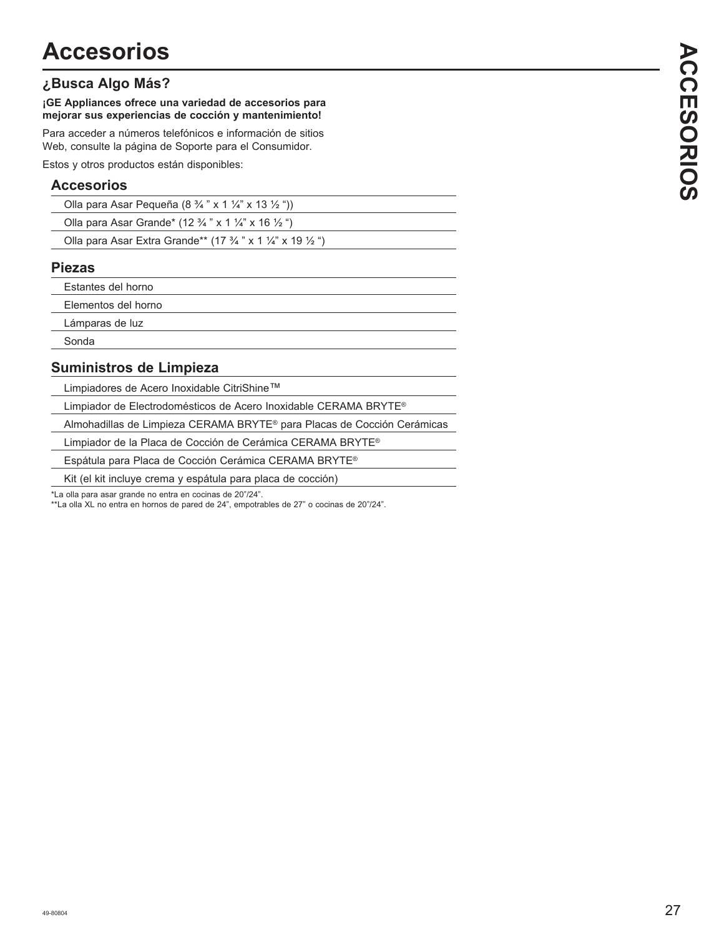## **¿Busca Algo Más?**

#### **¡GE Appliances ofrece una variedad de accesorios para mejorar sus experiencias de cocción y mantenimiento!**

Para acceder a números telefónicos e información de sitios Web, consulte la página de Soporte para el Consumidor.

Estos y otros productos están disponibles:

## **Accesorios**

| Olla para Asar Pequeña (8 $\frac{3}{4}$ " x 1 $\frac{1}{4}$ " x 13 $\frac{1}{2}$ ")  |  |
|--------------------------------------------------------------------------------------|--|
| Olla para Asar Grande* (12 $\frac{3}{4}$ " x 1 $\frac{1}{4}$ " x 16 $\frac{1}{2}$ ") |  |

| Olla para Asar Extra Grande** (17 $\frac{3}{4}$ " x 1 $\frac{1}{4}$ " x 19 $\frac{1}{2}$ ") |  |
|---------------------------------------------------------------------------------------------|--|
|                                                                                             |  |

## **Piezas**

Estantes del horno

Elementos del horno

Lámparas de luz

Sonda

## **Suministros de Limpieza**

Limpiadores de Acero Inoxidable CitriShine™

Limpiador de Electrodomésticos de Acero Inoxidable CERAMA BRYTE®

Almohadillas de Limpieza CERAMA BRYTE® para Placas de Cocción Cerámicas

Limpiador de la Placa de Cocción de Cerámica CERAMA BRYTE®

Espátula para Placa de Cocción Cerámica CERAMA BRYTE®

Kit (el kit incluye crema y espátula para placa de cocción)

\*La olla para asar grande no entra en cocinas de 20"/24".

<sup>2</sup> La olla XL no entra en hornos de pared de 24", empotrables de 27" o cocinas de 20"/24".